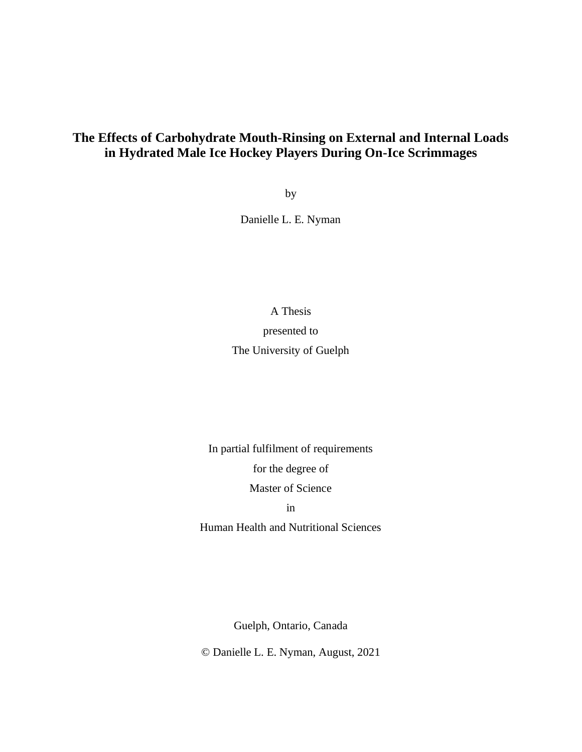# **The Effects of Carbohydrate Mouth-Rinsing on External and Internal Loads in Hydrated Male Ice Hockey Players During On-Ice Scrimmages**

by

Danielle L. E. Nyman

A Thesis

presented to The University of Guelph

In partial fulfilment of requirements for the degree of Master of Science

in

Human Health and Nutritional Sciences

Guelph, Ontario, Canada

© Danielle L. E. Nyman, August, 2021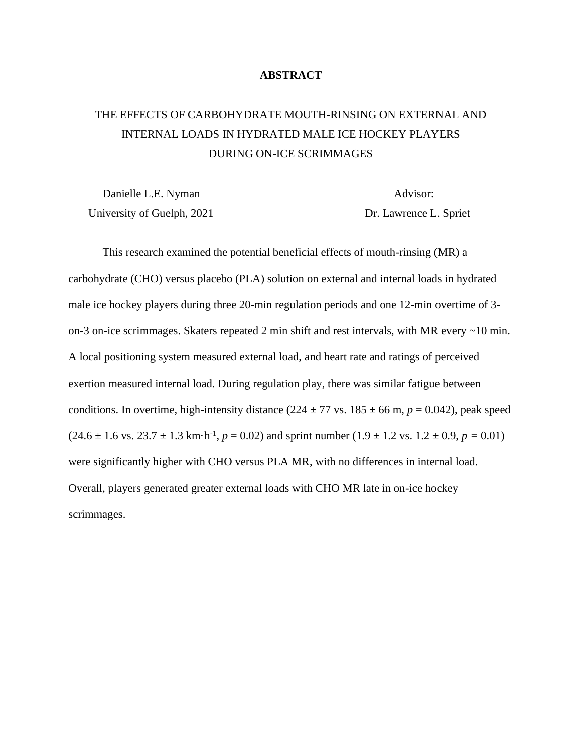### **ABSTRACT**

# THE EFFECTS OF CARBOHYDRATE MOUTH-RINSING ON EXTERNAL AND INTERNAL LOADS IN HYDRATED MALE ICE HOCKEY PLAYERS DURING ON-ICE SCRIMMAGES

Danielle L.E. Nyman Advisor: University of Guelph, 2021 Dr. Lawrence L. Spriet

This research examined the potential beneficial effects of mouth-rinsing (MR) a carbohydrate (CHO) versus placebo (PLA) solution on external and internal loads in hydrated male ice hockey players during three 20-min regulation periods and one 12-min overtime of 3 on-3 on-ice scrimmages. Skaters repeated 2 min shift and rest intervals, with MR every ~10 min. A local positioning system measured external load, and heart rate and ratings of perceived exertion measured internal load. During regulation play, there was similar fatigue between conditions. In overtime, high-intensity distance  $(224 \pm 77 \text{ vs. } 185 \pm 66 \text{ m}, p = 0.042)$ , peak speed  $(24.6 \pm 1.6 \text{ vs. } 23.7 \pm 1.3 \text{ km} \cdot \text{h}^{-1}, p = 0.02)$  and sprint number  $(1.9 \pm 1.2 \text{ vs. } 1.2 \pm 0.9, p = 0.01)$ were significantly higher with CHO versus PLA MR, with no differences in internal load. Overall, players generated greater external loads with CHO MR late in on-ice hockey scrimmages.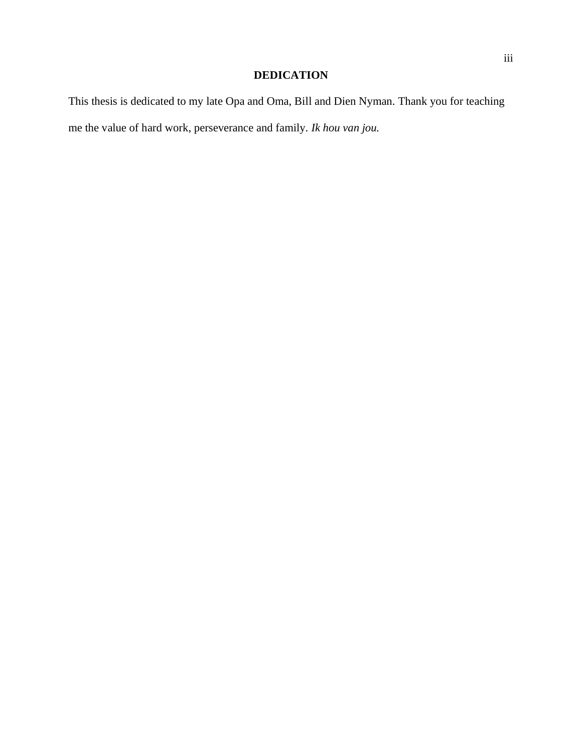# **DEDICATION**

This thesis is dedicated to my late Opa and Oma, Bill and Dien Nyman. Thank you for teaching me the value of hard work, perseverance and family. *Ik hou van jou.*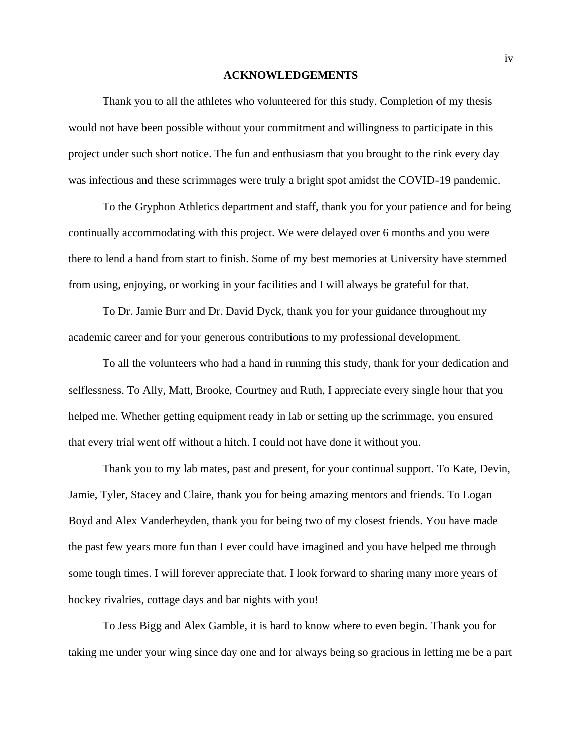#### **ACKNOWLEDGEMENTS**

Thank you to all the athletes who volunteered for this study. Completion of my thesis would not have been possible without your commitment and willingness to participate in this project under such short notice. The fun and enthusiasm that you brought to the rink every day was infectious and these scrimmages were truly a bright spot amidst the COVID-19 pandemic.

To the Gryphon Athletics department and staff, thank you for your patience and for being continually accommodating with this project. We were delayed over 6 months and you were there to lend a hand from start to finish. Some of my best memories at University have stemmed from using, enjoying, or working in your facilities and I will always be grateful for that.

To Dr. Jamie Burr and Dr. David Dyck, thank you for your guidance throughout my academic career and for your generous contributions to my professional development.

To all the volunteers who had a hand in running this study, thank for your dedication and selflessness. To Ally, Matt, Brooke, Courtney and Ruth, I appreciate every single hour that you helped me. Whether getting equipment ready in lab or setting up the scrimmage, you ensured that every trial went off without a hitch. I could not have done it without you.

Thank you to my lab mates, past and present, for your continual support. To Kate, Devin, Jamie, Tyler, Stacey and Claire, thank you for being amazing mentors and friends. To Logan Boyd and Alex Vanderheyden, thank you for being two of my closest friends. You have made the past few years more fun than I ever could have imagined and you have helped me through some tough times. I will forever appreciate that. I look forward to sharing many more years of hockey rivalries, cottage days and bar nights with you!

To Jess Bigg and Alex Gamble, it is hard to know where to even begin. Thank you for taking me under your wing since day one and for always being so gracious in letting me be a part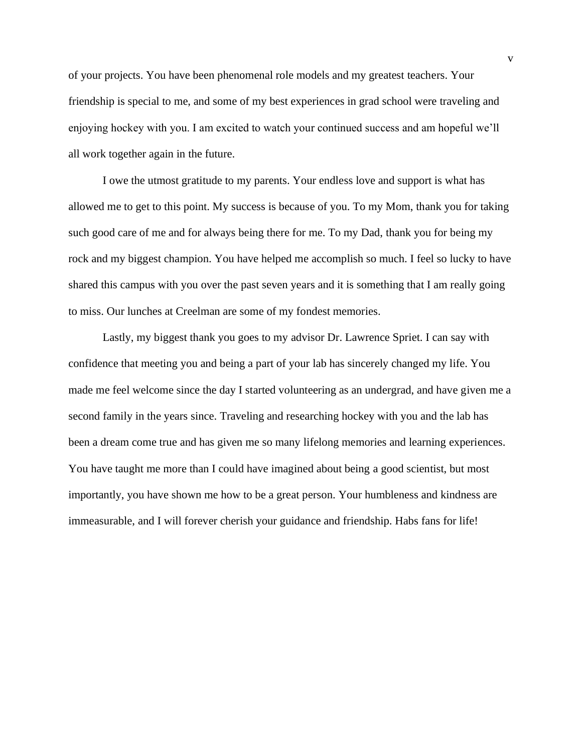of your projects. You have been phenomenal role models and my greatest teachers. Your friendship is special to me, and some of my best experiences in grad school were traveling and enjoying hockey with you. I am excited to watch your continued success and am hopeful we'll all work together again in the future.

I owe the utmost gratitude to my parents. Your endless love and support is what has allowed me to get to this point. My success is because of you. To my Mom, thank you for taking such good care of me and for always being there for me. To my Dad, thank you for being my rock and my biggest champion. You have helped me accomplish so much. I feel so lucky to have shared this campus with you over the past seven years and it is something that I am really going to miss. Our lunches at Creelman are some of my fondest memories.

Lastly, my biggest thank you goes to my advisor Dr. Lawrence Spriet. I can say with confidence that meeting you and being a part of your lab has sincerely changed my life. You made me feel welcome since the day I started volunteering as an undergrad, and have given me a second family in the years since. Traveling and researching hockey with you and the lab has been a dream come true and has given me so many lifelong memories and learning experiences. You have taught me more than I could have imagined about being a good scientist, but most importantly, you have shown me how to be a great person. Your humbleness and kindness are immeasurable, and I will forever cherish your guidance and friendship. Habs fans for life!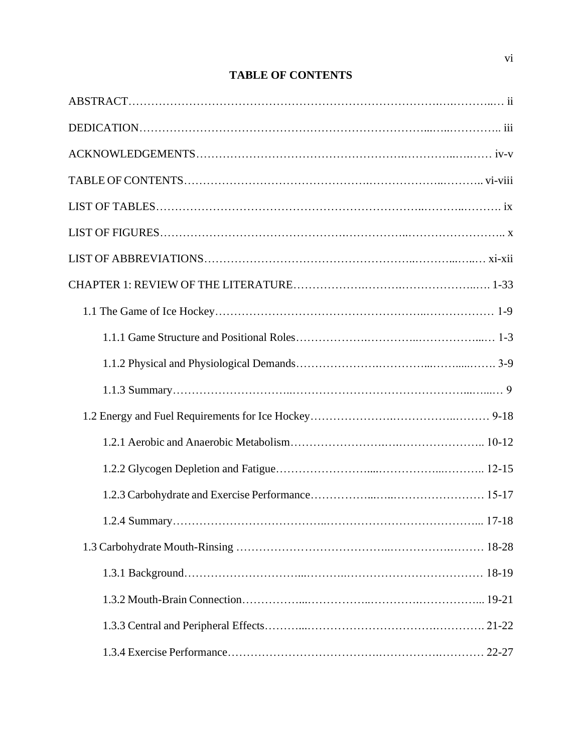# **TABLE OF CONTENTS**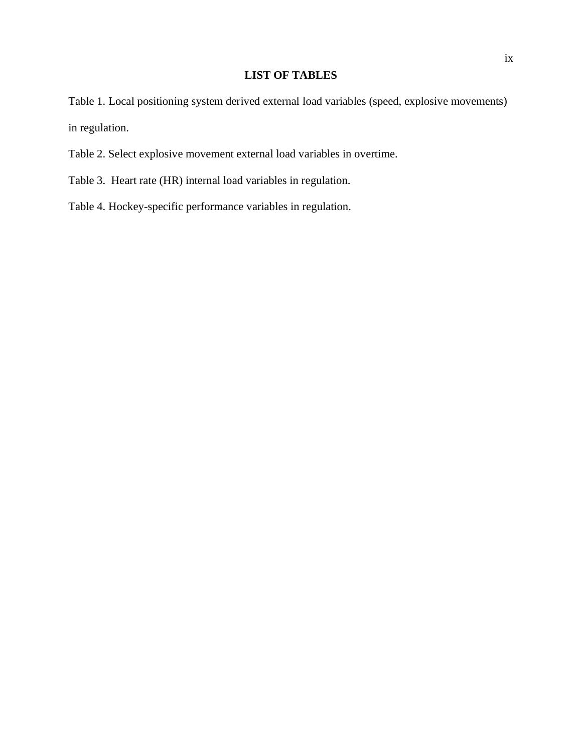# **LIST OF TABLES**

Table 1. Local positioning system derived external load variables (speed, explosive movements) in regulation.

- Table 2. Select explosive movement external load variables in overtime.
- Table 3. Heart rate (HR) internal load variables in regulation.
- Table 4. Hockey-specific performance variables in regulation.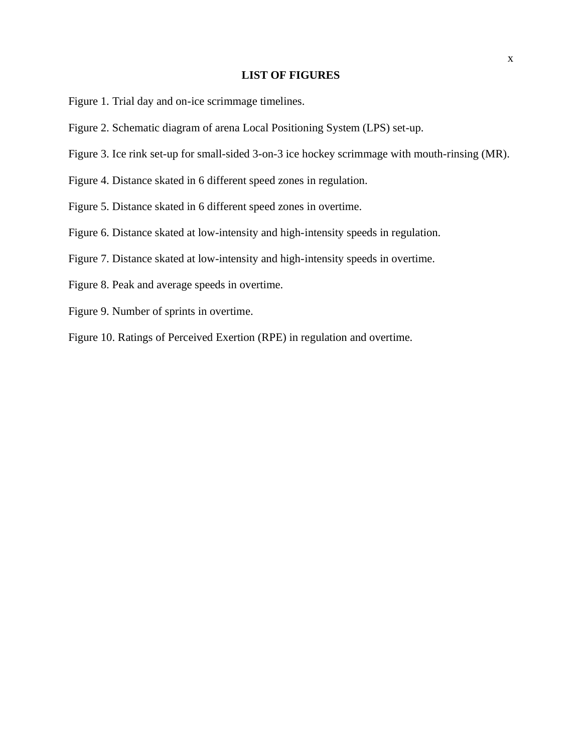# **LIST OF FIGURES**

- Figure 1. Trial day and on-ice scrimmage timelines.
- Figure 2. Schematic diagram of arena Local Positioning System (LPS) set-up.
- Figure 3. Ice rink set-up for small-sided 3-on-3 ice hockey scrimmage with mouth-rinsing (MR).
- Figure 4. Distance skated in 6 different speed zones in regulation.
- Figure 5. Distance skated in 6 different speed zones in overtime.
- Figure 6. Distance skated at low-intensity and high-intensity speeds in regulation.
- Figure 7. Distance skated at low-intensity and high-intensity speeds in overtime.
- Figure 8. Peak and average speeds in overtime.
- Figure 9. Number of sprints in overtime.
- Figure 10. Ratings of Perceived Exertion (RPE) in regulation and overtime.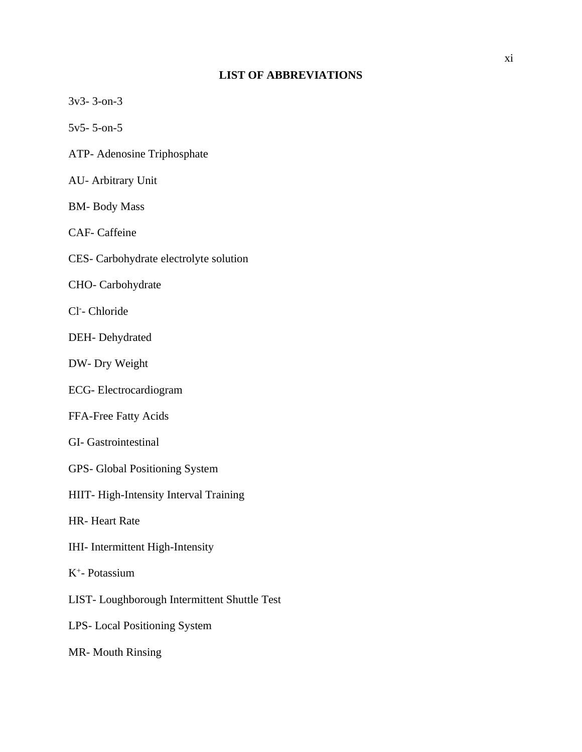# **LIST OF ABBREVIATIONS**

| $3v3 - 3 - 0n - 3$                           |
|----------------------------------------------|
| $5v5 - 5 - 0n - 5$                           |
| ATP- Adenosine Triphosphate                  |
| <b>AU-Arbitrary Unit</b>                     |
| <b>BM-Body Mass</b>                          |
| <b>CAF-</b> Caffeine                         |
| CES- Carbohydrate electrolyte solution       |
| CHO- Carbohydrate                            |
| Cl-Chloride                                  |
| DEH-Dehydrated                               |
| DW- Dry Weight                               |
| ECG-Electrocardiogram                        |
| FFA-Free Fatty Acids                         |
| <b>GI-</b> Gastrointestinal                  |
| GPS- Global Positioning System               |
| HIIT-High-Intensity Interval Training        |
| <b>HR-Heart Rate</b>                         |
| IHI- Intermittent High-Intensity             |
| $K^+$ - Potassium                            |
| LIST- Loughborough Intermittent Shuttle Test |
| LPS-Local Positioning System                 |
| <b>MR-Mouth Rinsing</b>                      |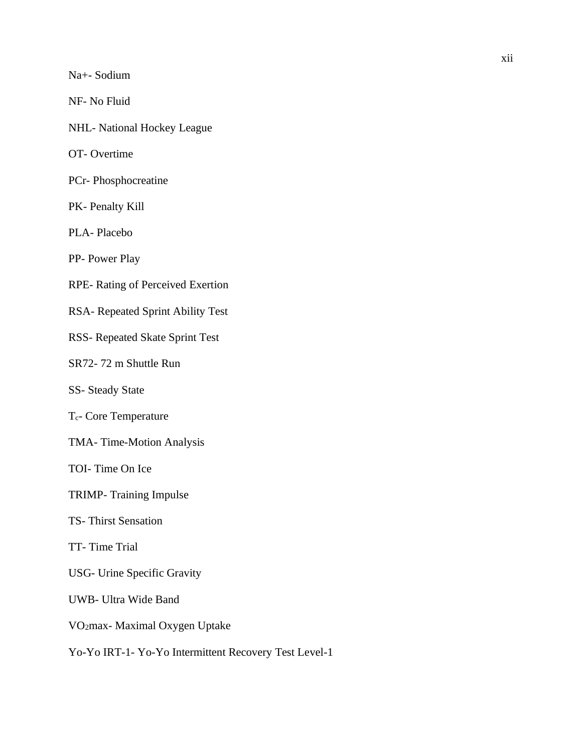Na+- Sodium

NF- No Fluid

NHL- National Hockey League

OT- Overtime

PCr- Phosphocreatine

PK- Penalty Kill

PLA- Placebo

PP- Power Play

RPE- Rating of Perceived Exertion

RSA- Repeated Sprint Ability Test

RSS- Repeated Skate Sprint Test

SR72- 72 m Shuttle Run

SS- Steady State

Tc- Core Temperature

TMA- Time-Motion Analysis

TOI- Time On Ice

TRIMP- Training Impulse

TS- Thirst Sensation

TT- Time Trial

USG- Urine Specific Gravity

UWB- Ultra Wide Band

VO2max- Maximal Oxygen Uptake

Yo-Yo IRT-1- Yo-Yo Intermittent Recovery Test Level-1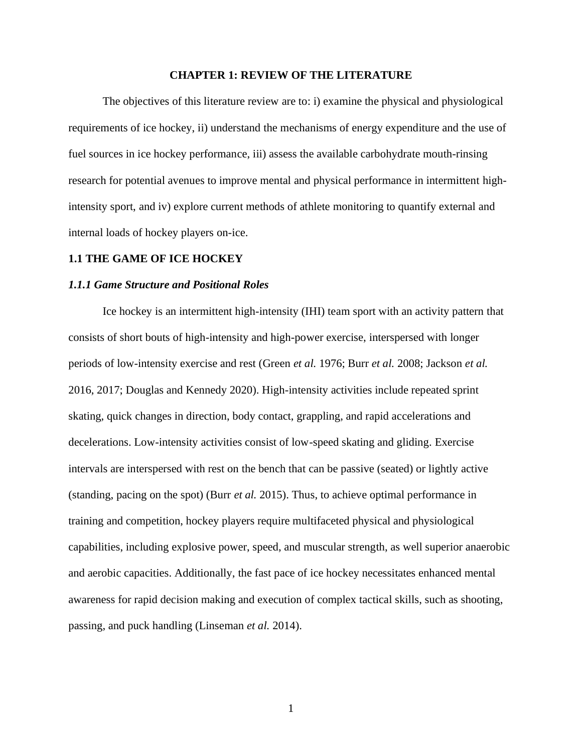#### **CHAPTER 1: REVIEW OF THE LITERATURE**

The objectives of this literature review are to: i) examine the physical and physiological requirements of ice hockey, ii) understand the mechanisms of energy expenditure and the use of fuel sources in ice hockey performance, iii) assess the available carbohydrate mouth-rinsing research for potential avenues to improve mental and physical performance in intermittent highintensity sport, and iv) explore current methods of athlete monitoring to quantify external and internal loads of hockey players on-ice.

#### **1.1 THE GAME OF ICE HOCKEY**

#### *1.1.1 Game Structure and Positional Roles*

Ice hockey is an intermittent high-intensity (IHI) team sport with an activity pattern that consists of short bouts of high-intensity and high-power exercise, interspersed with longer periods of low-intensity exercise and rest (Green *et al.* 1976; Burr *et al.* 2008; Jackson *et al.*  2016, 2017; Douglas and Kennedy 2020). High-intensity activities include repeated sprint skating, quick changes in direction, body contact, grappling, and rapid accelerations and decelerations. Low-intensity activities consist of low-speed skating and gliding. Exercise intervals are interspersed with rest on the bench that can be passive (seated) or lightly active (standing, pacing on the spot) (Burr *et al.* 2015). Thus, to achieve optimal performance in training and competition, hockey players require multifaceted physical and physiological capabilities, including explosive power, speed, and muscular strength, as well superior anaerobic and aerobic capacities. Additionally, the fast pace of ice hockey necessitates enhanced mental awareness for rapid decision making and execution of complex tactical skills, such as shooting, passing, and puck handling (Linseman *et al.* 2014).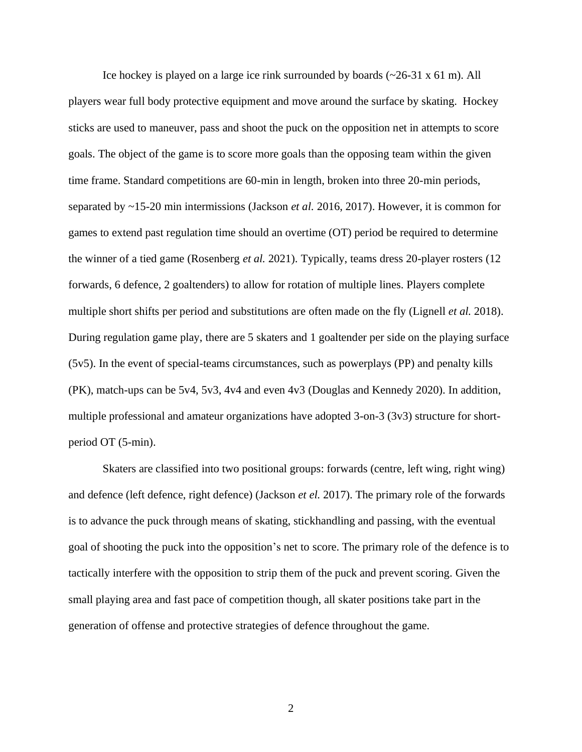Ice hockey is played on a large ice rink surrounded by boards  $(\sim 26-31 \times 61 \text{ m})$ . All players wear full body protective equipment and move around the surface by skating. Hockey sticks are used to maneuver, pass and shoot the puck on the opposition net in attempts to score goals. The object of the game is to score more goals than the opposing team within the given time frame. Standard competitions are 60-min in length, broken into three 20-min periods, separated by ~15-20 min intermissions (Jackson *et al.* 2016, 2017). However, it is common for games to extend past regulation time should an overtime (OT) period be required to determine the winner of a tied game (Rosenberg *et al.* 2021). Typically, teams dress 20-player rosters (12 forwards, 6 defence, 2 goaltenders) to allow for rotation of multiple lines. Players complete multiple short shifts per period and substitutions are often made on the fly (Lignell *et al.* 2018). During regulation game play, there are 5 skaters and 1 goaltender per side on the playing surface (5v5). In the event of special-teams circumstances, such as powerplays (PP) and penalty kills (PK), match-ups can be 5v4, 5v3, 4v4 and even 4v3 (Douglas and Kennedy 2020). In addition, multiple professional and amateur organizations have adopted 3-on-3 (3v3) structure for shortperiod OT (5-min).

Skaters are classified into two positional groups: forwards (centre, left wing, right wing) and defence (left defence, right defence) (Jackson *et el.* 2017). The primary role of the forwards is to advance the puck through means of skating, stickhandling and passing, with the eventual goal of shooting the puck into the opposition's net to score. The primary role of the defence is to tactically interfere with the opposition to strip them of the puck and prevent scoring. Given the small playing area and fast pace of competition though, all skater positions take part in the generation of offense and protective strategies of defence throughout the game.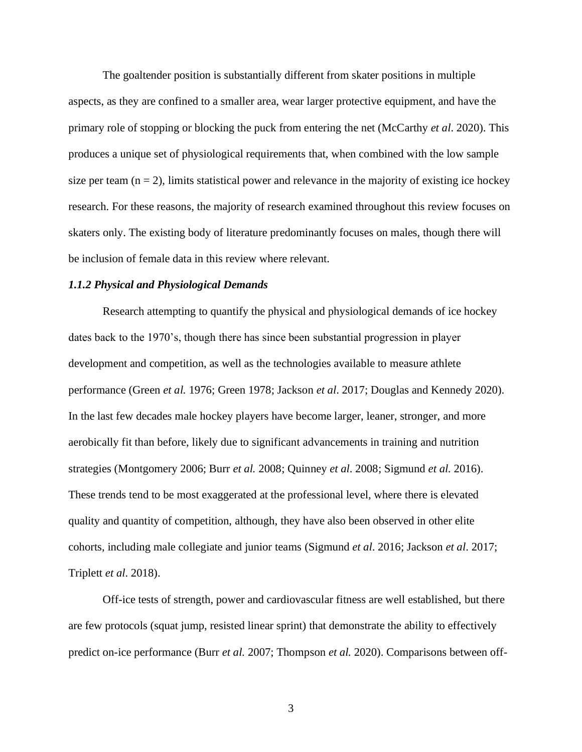The goaltender position is substantially different from skater positions in multiple aspects, as they are confined to a smaller area, wear larger protective equipment, and have the primary role of stopping or blocking the puck from entering the net (McCarthy *et al*. 2020). This produces a unique set of physiological requirements that, when combined with the low sample size per team  $(n = 2)$ , limits statistical power and relevance in the majority of existing ice hockey research. For these reasons, the majority of research examined throughout this review focuses on skaters only. The existing body of literature predominantly focuses on males, though there will be inclusion of female data in this review where relevant.

### *1.1.2 Physical and Physiological Demands*

Research attempting to quantify the physical and physiological demands of ice hockey dates back to the 1970's, though there has since been substantial progression in player development and competition, as well as the technologies available to measure athlete performance (Green *et al.* 1976; Green 1978; Jackson *et al*. 2017; Douglas and Kennedy 2020). In the last few decades male hockey players have become larger, leaner, stronger, and more aerobically fit than before, likely due to significant advancements in training and nutrition strategies (Montgomery 2006; Burr *et al.* 2008; Quinney *et al*. 2008; Sigmund *et al.* 2016). These trends tend to be most exaggerated at the professional level, where there is elevated quality and quantity of competition, although, they have also been observed in other elite cohorts, including male collegiate and junior teams (Sigmund *et al*. 2016; Jackson *et al*. 2017; Triplett *et al*. 2018).

Off-ice tests of strength, power and cardiovascular fitness are well established, but there are few protocols (squat jump, resisted linear sprint) that demonstrate the ability to effectively predict on-ice performance (Burr *et al.* 2007; Thompson *et al.* 2020). Comparisons between off-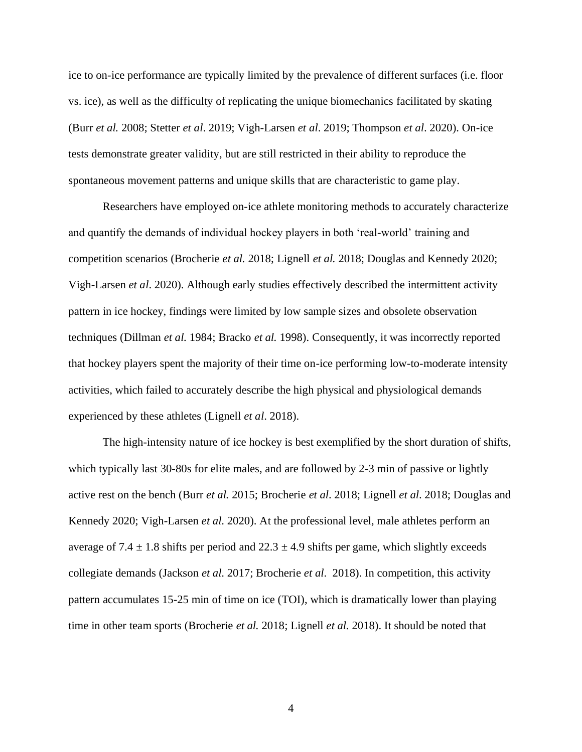ice to on-ice performance are typically limited by the prevalence of different surfaces (i.e. floor vs. ice), as well as the difficulty of replicating the unique biomechanics facilitated by skating (Burr *et al.* 2008; Stetter *et al*. 2019; Vigh-Larsen *et al*. 2019; Thompson *et al*. 2020). On-ice tests demonstrate greater validity, but are still restricted in their ability to reproduce the spontaneous movement patterns and unique skills that are characteristic to game play.

Researchers have employed on-ice athlete monitoring methods to accurately characterize and quantify the demands of individual hockey players in both 'real-world' training and competition scenarios (Brocherie *et al.* 2018; Lignell *et al.* 2018; Douglas and Kennedy 2020; Vigh-Larsen *et al*. 2020). Although early studies effectively described the intermittent activity pattern in ice hockey, findings were limited by low sample sizes and obsolete observation techniques (Dillman *et al.* 1984; Bracko *et al.* 1998). Consequently, it was incorrectly reported that hockey players spent the majority of their time on-ice performing low-to-moderate intensity activities, which failed to accurately describe the high physical and physiological demands experienced by these athletes (Lignell *et al*. 2018).

The high-intensity nature of ice hockey is best exemplified by the short duration of shifts, which typically last 30-80s for elite males, and are followed by 2-3 min of passive or lightly active rest on the bench (Burr *et al.* 2015; Brocherie *et al*. 2018; Lignell *et al*. 2018; Douglas and Kennedy 2020; Vigh-Larsen *et al*. 2020). At the professional level, male athletes perform an average of 7.4  $\pm$  1.8 shifts per period and 22.3  $\pm$  4.9 shifts per game, which slightly exceeds collegiate demands (Jackson *et al*. 2017; Brocherie *et al*. 2018). In competition, this activity pattern accumulates 15-25 min of time on ice (TOI), which is dramatically lower than playing time in other team sports (Brocherie *et al.* 2018; Lignell *et al.* 2018). It should be noted that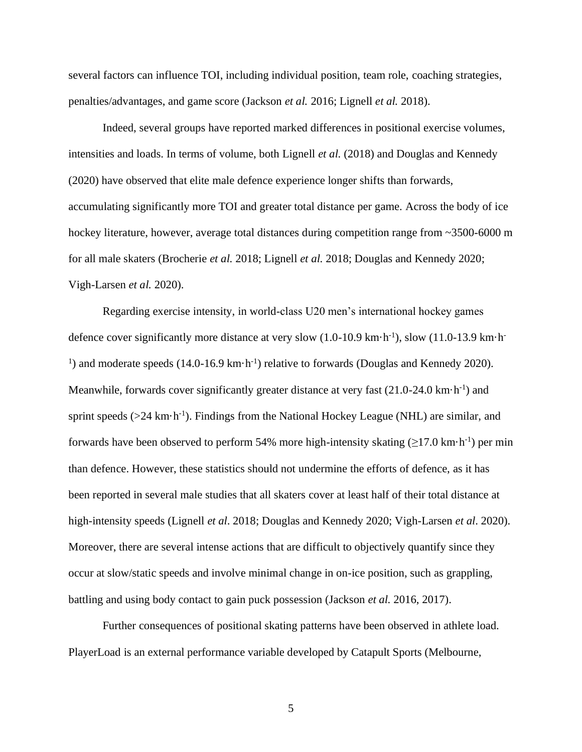several factors can influence TOI, including individual position, team role, coaching strategies, penalties/advantages, and game score (Jackson *et al.* 2016; Lignell *et al.* 2018).

Indeed, several groups have reported marked differences in positional exercise volumes, intensities and loads. In terms of volume, both Lignell *et al.* (2018) and Douglas and Kennedy (2020) have observed that elite male defence experience longer shifts than forwards, accumulating significantly more TOI and greater total distance per game. Across the body of ice hockey literature, however, average total distances during competition range from ~3500-6000 m for all male skaters (Brocherie *et al.* 2018; Lignell *et al.* 2018; Douglas and Kennedy 2020; Vigh-Larsen *et al.* 2020).

Regarding exercise intensity, in world-class U20 men's international hockey games defence cover significantly more distance at very slow (1.0-10.9 km·h<sup>-1</sup>), slow (11.0-13.9 km·h<sup>-1</sup>) <sup>1</sup>) and moderate speeds (14.0-16.9 km·h<sup>-1</sup>) relative to forwards (Douglas and Kennedy 2020). Meanwhile, forwards cover significantly greater distance at very fast  $(21.0\n-24.0 \text{ km} \cdot \text{h}^{-1})$  and sprint speeds  $(>24 \text{ km} \cdot \text{h}^{-1})$ . Findings from the National Hockey League (NHL) are similar, and forwards have been observed to perform 54% more high-intensity skating  $(\geq 17.0 \text{ km} \cdot \text{h}^{-1})$  per min than defence. However, these statistics should not undermine the efforts of defence, as it has been reported in several male studies that all skaters cover at least half of their total distance at high-intensity speeds (Lignell *et al*. 2018; Douglas and Kennedy 2020; Vigh-Larsen *et al*. 2020). Moreover, there are several intense actions that are difficult to objectively quantify since they occur at slow/static speeds and involve minimal change in on-ice position, such as grappling, battling and using body contact to gain puck possession (Jackson *et al.* 2016, 2017).

Further consequences of positional skating patterns have been observed in athlete load. PlayerLoad is an external performance variable developed by Catapult Sports (Melbourne,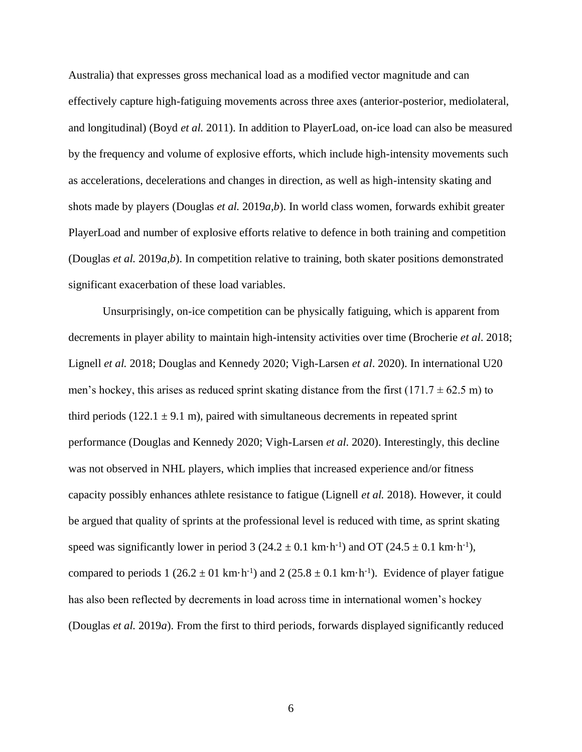Australia) that expresses gross mechanical load as a modified vector magnitude and can effectively capture high-fatiguing movements across three axes (anterior-posterior, mediolateral, and longitudinal) (Boyd *et al.* 2011). In addition to PlayerLoad, on-ice load can also be measured by the frequency and volume of explosive efforts, which include high-intensity movements such as accelerations, decelerations and changes in direction, as well as high-intensity skating and shots made by players (Douglas *et al.* 2019*a,b*). In world class women, forwards exhibit greater PlayerLoad and number of explosive efforts relative to defence in both training and competition (Douglas *et al.* 2019*a,b*). In competition relative to training, both skater positions demonstrated significant exacerbation of these load variables.

Unsurprisingly, on-ice competition can be physically fatiguing, which is apparent from decrements in player ability to maintain high-intensity activities over time (Brocherie *et al*. 2018; Lignell *et al.* 2018; Douglas and Kennedy 2020; Vigh-Larsen *et al*. 2020). In international U20 men's hockey, this arises as reduced sprint skating distance from the first (171.7  $\pm$  62.5 m) to third periods  $(122.1 \pm 9.1 \text{ m})$ , paired with simultaneous decrements in repeated sprint performance (Douglas and Kennedy 2020; Vigh-Larsen *et al*. 2020). Interestingly, this decline was not observed in NHL players, which implies that increased experience and/or fitness capacity possibly enhances athlete resistance to fatigue (Lignell *et al.* 2018). However, it could be argued that quality of sprints at the professional level is reduced with time, as sprint skating speed was significantly lower in period  $3(24.2 \pm 0.1 \text{ km} \cdot \text{h}^{-1})$  and OT  $(24.5 \pm 0.1 \text{ km} \cdot \text{h}^{-1})$ , compared to periods  $1 (26.2 \pm 01 \text{ km} \cdot \text{h}^{-1})$  and  $2 (25.8 \pm 0.1 \text{ km} \cdot \text{h}^{-1})$ . Evidence of player fatigue has also been reflected by decrements in load across time in international women's hockey (Douglas *et al.* 2019*a*). From the first to third periods, forwards displayed significantly reduced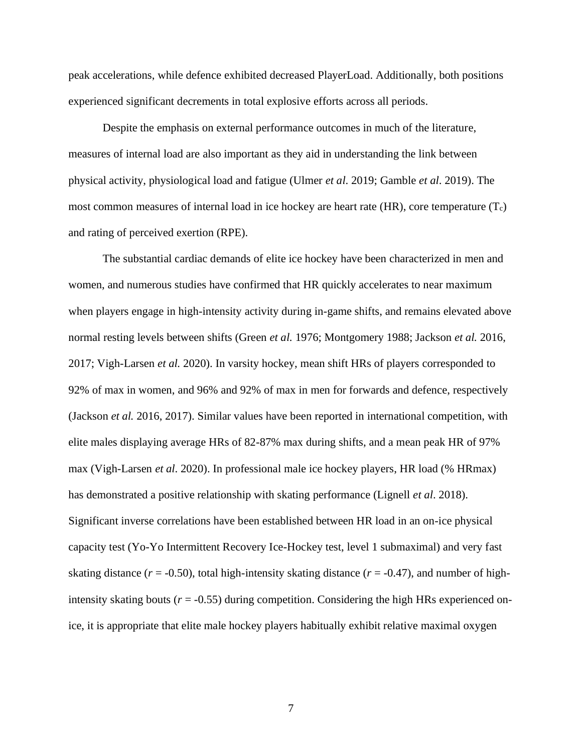peak accelerations, while defence exhibited decreased PlayerLoad. Additionally, both positions experienced significant decrements in total explosive efforts across all periods.

Despite the emphasis on external performance outcomes in much of the literature, measures of internal load are also important as they aid in understanding the link between physical activity, physiological load and fatigue (Ulmer *et al*. 2019; Gamble *et al*. 2019). The most common measures of internal load in ice hockey are heart rate  $(HR)$ , core temperature  $(T_c)$ and rating of perceived exertion (RPE).

The substantial cardiac demands of elite ice hockey have been characterized in men and women, and numerous studies have confirmed that HR quickly accelerates to near maximum when players engage in high-intensity activity during in-game shifts, and remains elevated above normal resting levels between shifts (Green *et al.* 1976; Montgomery 1988; Jackson *et al.* 2016, 2017; Vigh-Larsen *et al.* 2020). In varsity hockey, mean shift HRs of players corresponded to 92% of max in women, and 96% and 92% of max in men for forwards and defence, respectively (Jackson *et al.* 2016, 2017). Similar values have been reported in international competition, with elite males displaying average HRs of 82-87% max during shifts, and a mean peak HR of 97% max (Vigh-Larsen *et al*. 2020). In professional male ice hockey players, HR load (% HRmax) has demonstrated a positive relationship with skating performance (Lignell *et al*. 2018). Significant inverse correlations have been established between HR load in an on-ice physical capacity test (Yo-Yo Intermittent Recovery Ice-Hockey test, level 1 submaximal) and very fast skating distance ( $r = -0.50$ ), total high-intensity skating distance ( $r = -0.47$ ), and number of highintensity skating bouts ( $r = -0.55$ ) during competition. Considering the high HRs experienced onice, it is appropriate that elite male hockey players habitually exhibit relative maximal oxygen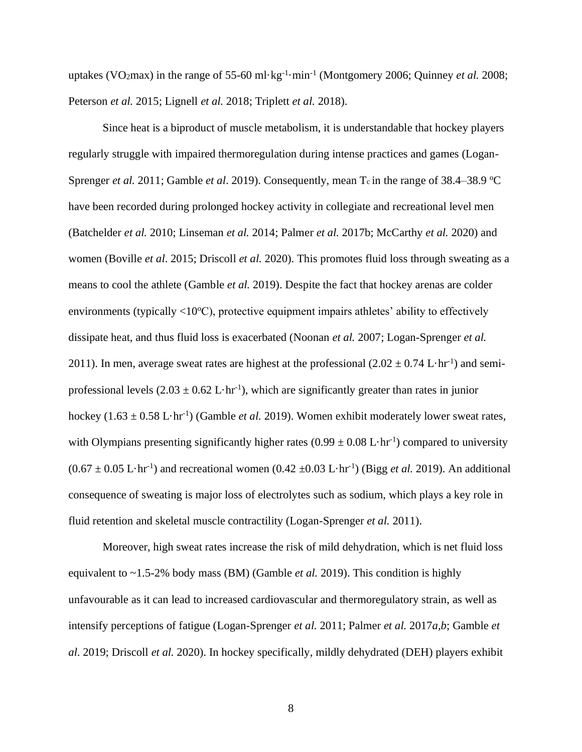uptakes (VO<sub>2</sub>max) in the range of 55-60 ml·kg<sup>-1</sup>·min<sup>-1</sup> (Montgomery 2006; Quinney *et al.* 2008; Peterson *et al.* 2015; Lignell *et al.* 2018; Triplett *et al.* 2018).

Since heat is a biproduct of muscle metabolism, it is understandable that hockey players regularly struggle with impaired thermoregulation during intense practices and games (Logan-Sprenger *et al.* 2011; Gamble *et al.* 2019). Consequently, mean T<sub>c</sub> in the range of 38.4–38.9 °C have been recorded during prolonged hockey activity in collegiate and recreational level men (Batchelder *et al.* 2010; Linseman *et al.* 2014; Palmer *et al.* 2017b; McCarthy *et al.* 2020) and women (Boville *et al*. 2015; Driscoll *et al.* 2020). This promotes fluid loss through sweating as a means to cool the athlete (Gamble *et al.* 2019). Despite the fact that hockey arenas are colder environments (typically  $\langle 10^{\circ}$ C), protective equipment impairs athletes' ability to effectively dissipate heat, and thus fluid loss is exacerbated (Noonan *et al.* 2007; Logan-Sprenger *et al.* 2011). In men, average sweat rates are highest at the professional  $(2.02 \pm 0.74 \mathrm{~L}\cdot\mathrm{hr}^{-1})$  and semiprofessional levels  $(2.03 \pm 0.62 \mathrm{L} \cdot \mathrm{hr}^{-1})$ , which are significantly greater than rates in junior hockey  $(1.63 \pm 0.58 \text{ L} \cdot \text{hr}^{-1})$  (Gamble *et al.* 2019). Women exhibit moderately lower sweat rates, with Olympians presenting significantly higher rates  $(0.99 \pm 0.08 \text{ L} \cdot \text{hr}^{-1})$  compared to university  $(0.67 \pm 0.05 \text{ L} \cdot \text{hr}^1)$  and recreational women  $(0.42 \pm 0.03 \text{ L} \cdot \text{hr}^1)$  (Bigg *et al.* 2019). An additional consequence of sweating is major loss of electrolytes such as sodium, which plays a key role in fluid retention and skeletal muscle contractility (Logan-Sprenger *et al.* 2011).

Moreover, high sweat rates increase the risk of mild dehydration, which is net fluid loss equivalent to ~1.5-2% body mass (BM) (Gamble *et al.* 2019). This condition is highly unfavourable as it can lead to increased cardiovascular and thermoregulatory strain, as well as intensify perceptions of fatigue (Logan-Sprenger *et al.* 2011; Palmer *et al.* 2017*a,b*; Gamble *et al*. 2019; Driscoll *et al.* 2020). In hockey specifically, mildly dehydrated (DEH) players exhibit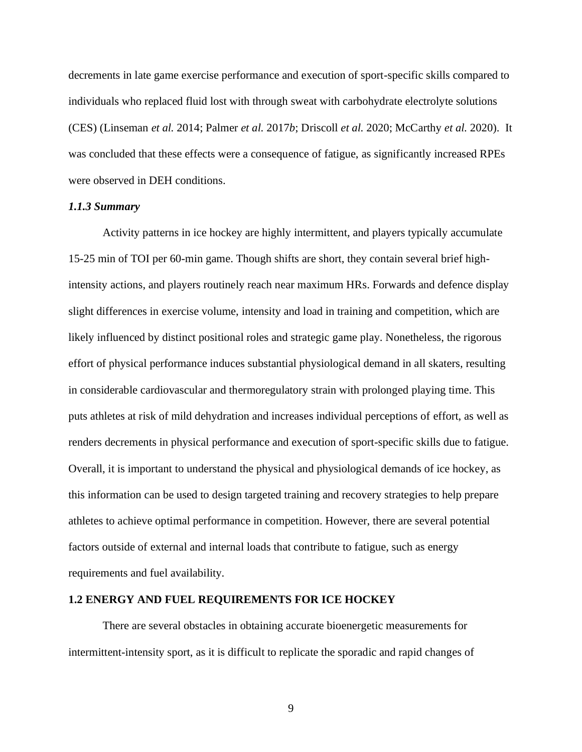decrements in late game exercise performance and execution of sport-specific skills compared to individuals who replaced fluid lost with through sweat with carbohydrate electrolyte solutions (CES) (Linseman *et al.* 2014; Palmer *et al.* 2017*b*; Driscoll *et al.* 2020; McCarthy *et al.* 2020). It was concluded that these effects were a consequence of fatigue, as significantly increased RPEs were observed in DEH conditions.

## *1.1.3 Summary*

Activity patterns in ice hockey are highly intermittent, and players typically accumulate 15-25 min of TOI per 60-min game. Though shifts are short, they contain several brief highintensity actions, and players routinely reach near maximum HRs. Forwards and defence display slight differences in exercise volume, intensity and load in training and competition, which are likely influenced by distinct positional roles and strategic game play. Nonetheless, the rigorous effort of physical performance induces substantial physiological demand in all skaters, resulting in considerable cardiovascular and thermoregulatory strain with prolonged playing time. This puts athletes at risk of mild dehydration and increases individual perceptions of effort, as well as renders decrements in physical performance and execution of sport-specific skills due to fatigue. Overall, it is important to understand the physical and physiological demands of ice hockey, as this information can be used to design targeted training and recovery strategies to help prepare athletes to achieve optimal performance in competition. However, there are several potential factors outside of external and internal loads that contribute to fatigue, such as energy requirements and fuel availability.

#### **1.2 ENERGY AND FUEL REQUIREMENTS FOR ICE HOCKEY**

There are several obstacles in obtaining accurate bioenergetic measurements for intermittent-intensity sport, as it is difficult to replicate the sporadic and rapid changes of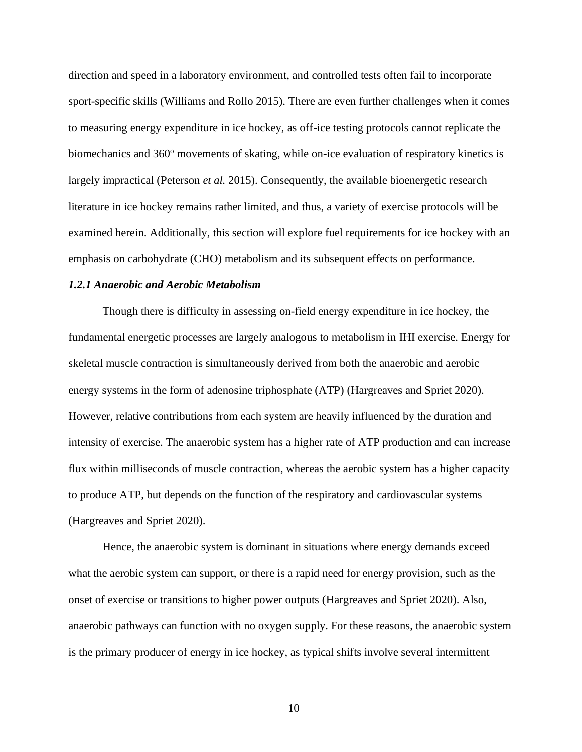direction and speed in a laboratory environment, and controlled tests often fail to incorporate sport-specific skills (Williams and Rollo 2015). There are even further challenges when it comes to measuring energy expenditure in ice hockey, as off-ice testing protocols cannot replicate the biomechanics and 360<sup>o</sup> movements of skating, while on-ice evaluation of respiratory kinetics is largely impractical (Peterson *et al.* 2015). Consequently, the available bioenergetic research literature in ice hockey remains rather limited, and thus, a variety of exercise protocols will be examined herein. Additionally, this section will explore fuel requirements for ice hockey with an emphasis on carbohydrate (CHO) metabolism and its subsequent effects on performance.

### *1.2.1 Anaerobic and Aerobic Metabolism*

Though there is difficulty in assessing on-field energy expenditure in ice hockey, the fundamental energetic processes are largely analogous to metabolism in IHI exercise. Energy for skeletal muscle contraction is simultaneously derived from both the anaerobic and aerobic energy systems in the form of adenosine triphosphate (ATP) (Hargreaves and Spriet 2020). However, relative contributions from each system are heavily influenced by the duration and intensity of exercise. The anaerobic system has a higher rate of ATP production and can increase flux within milliseconds of muscle contraction, whereas the aerobic system has a higher capacity to produce ATP, but depends on the function of the respiratory and cardiovascular systems (Hargreaves and Spriet 2020).

Hence, the anaerobic system is dominant in situations where energy demands exceed what the aerobic system can support, or there is a rapid need for energy provision, such as the onset of exercise or transitions to higher power outputs (Hargreaves and Spriet 2020). Also, anaerobic pathways can function with no oxygen supply. For these reasons, the anaerobic system is the primary producer of energy in ice hockey, as typical shifts involve several intermittent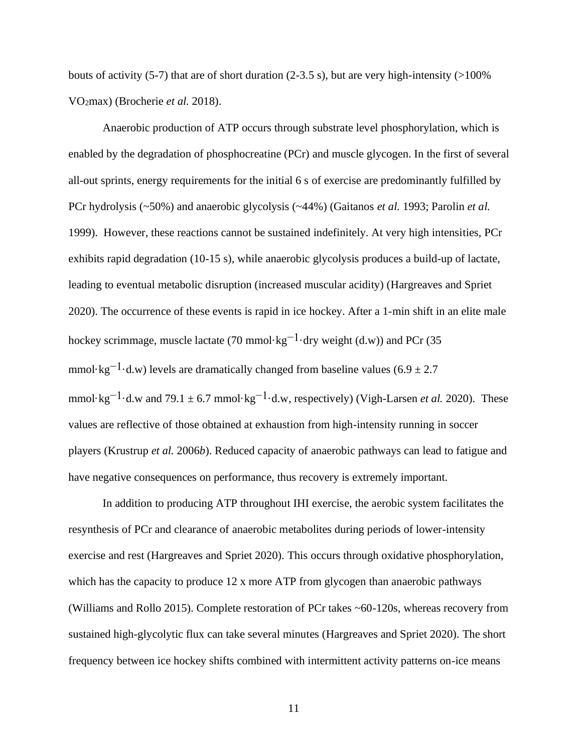bouts of activity (5-7) that are of short duration (2-3.5 s), but are very high-intensity ( $>100\%$ VO2max) (Brocherie *et al.* 2018).

Anaerobic production of ATP occurs through substrate level phosphorylation, which is enabled by the degradation of phosphocreatine (PCr) and muscle glycogen. In the first of several all-out sprints, energy requirements for the initial 6 s of exercise are predominantly fulfilled by PCr hydrolysis (~50%) and anaerobic glycolysis (~44%) (Gaitanos *et al.* 1993; Parolin *et al.* 1999). However, these reactions cannot be sustained indefinitely. At very high intensities, PCr exhibits rapid degradation (10-15 s), while anaerobic glycolysis produces a build-up of lactate, leading to eventual metabolic disruption (increased muscular acidity) (Hargreaves and Spriet 2020). The occurrence of these events is rapid in ice hockey. After a 1-min shift in an elite male hockey scrimmage, muscle lactate (70 mmol·kg<sup>-1</sup>·dry weight (d.w)) and PCr (35 mmol·kg<sup>-1</sup>·d.w) levels are dramatically changed from baseline values (6.9 ± 2.7) mmol·kg<sup>-1</sup>·d.w and 79.1  $\pm$  6.7 mmol·kg<sup>-1</sup>·d.w, respectively) (Vigh-Larsen *et al.* 2020). These values are reflective of those obtained at exhaustion from high-intensity running in soccer players (Krustrup *et al.* 2006*b*). Reduced capacity of anaerobic pathways can lead to fatigue and have negative consequences on performance, thus recovery is extremely important.

In addition to producing ATP throughout IHI exercise, the aerobic system facilitates the resynthesis of PCr and clearance of anaerobic metabolites during periods of lower-intensity exercise and rest (Hargreaves and Spriet 2020). This occurs through oxidative phosphorylation, which has the capacity to produce 12 x more ATP from glycogen than anaerobic pathways (Williams and Rollo 2015). Complete restoration of PCr takes ~60-120s, whereas recovery from sustained high-glycolytic flux can take several minutes (Hargreaves and Spriet 2020). The short frequency between ice hockey shifts combined with intermittent activity patterns on-ice means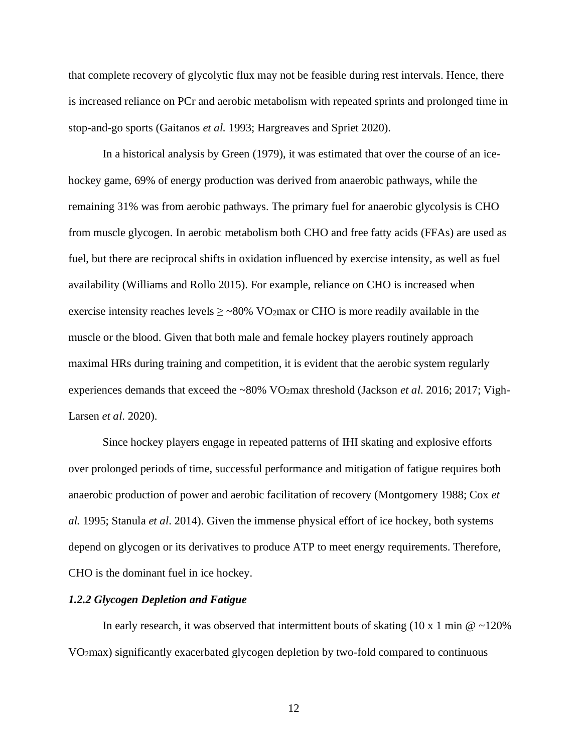that complete recovery of glycolytic flux may not be feasible during rest intervals. Hence, there is increased reliance on PCr and aerobic metabolism with repeated sprints and prolonged time in stop-and-go sports (Gaitanos *et al.* 1993; Hargreaves and Spriet 2020).

In a historical analysis by Green (1979), it was estimated that over the course of an icehockey game, 69% of energy production was derived from anaerobic pathways, while the remaining 31% was from aerobic pathways. The primary fuel for anaerobic glycolysis is CHO from muscle glycogen. In aerobic metabolism both CHO and free fatty acids (FFAs) are used as fuel, but there are reciprocal shifts in oxidation influenced by exercise intensity, as well as fuel availability (Williams and Rollo 2015). For example, reliance on CHO is increased when exercise intensity reaches levels  $\geq$  ~80% VO2max or CHO is more readily available in the muscle or the blood. Given that both male and female hockey players routinely approach maximal HRs during training and competition, it is evident that the aerobic system regularly experiences demands that exceed the ~80% VO2max threshold (Jackson *et al*. 2016; 2017; Vigh-Larsen *et al*. 2020).

Since hockey players engage in repeated patterns of IHI skating and explosive efforts over prolonged periods of time, successful performance and mitigation of fatigue requires both anaerobic production of power and aerobic facilitation of recovery (Montgomery 1988; Cox *et al.* 1995; Stanula *et al*. 2014). Given the immense physical effort of ice hockey, both systems depend on glycogen or its derivatives to produce ATP to meet energy requirements. Therefore, CHO is the dominant fuel in ice hockey.

#### *1.2.2 Glycogen Depletion and Fatigue*

In early research, it was observed that intermittent bouts of skating  $(10 \times 1 \text{ min} \cdot \textcircled{e} \sim 120\%$ VO2max) significantly exacerbated glycogen depletion by two-fold compared to continuous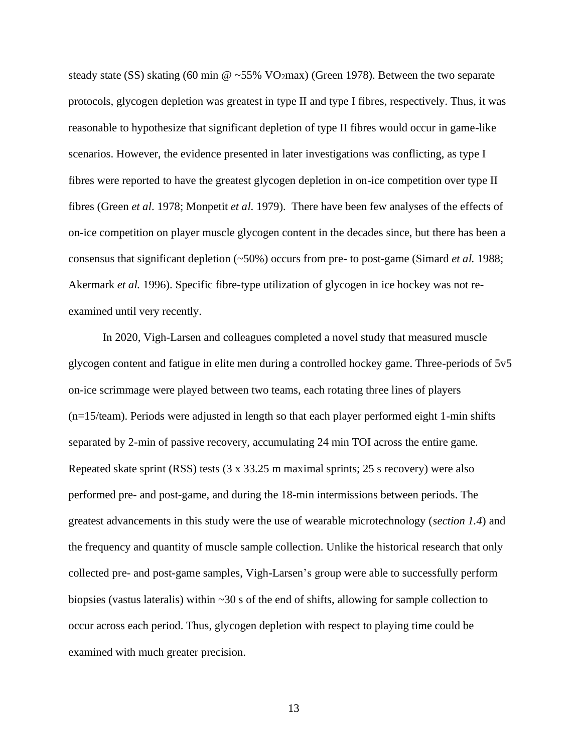steady state (SS) skating (60 min @ ~55% VO2max) (Green 1978). Between the two separate protocols, glycogen depletion was greatest in type II and type I fibres, respectively. Thus, it was reasonable to hypothesize that significant depletion of type II fibres would occur in game-like scenarios. However, the evidence presented in later investigations was conflicting, as type I fibres were reported to have the greatest glycogen depletion in on-ice competition over type II fibres (Green *et al*. 1978; Monpetit *et al*. 1979). There have been few analyses of the effects of on-ice competition on player muscle glycogen content in the decades since, but there has been a consensus that significant depletion (~50%) occurs from pre- to post-game (Simard *et al.* 1988; Akermark *et al.* 1996). Specific fibre-type utilization of glycogen in ice hockey was not reexamined until very recently.

In 2020, Vigh-Larsen and colleagues completed a novel study that measured muscle glycogen content and fatigue in elite men during a controlled hockey game. Three-periods of 5v5 on-ice scrimmage were played between two teams, each rotating three lines of players (n=15/team). Periods were adjusted in length so that each player performed eight 1-min shifts separated by 2-min of passive recovery, accumulating 24 min TOI across the entire game. Repeated skate sprint (RSS) tests (3 x 33.25 m maximal sprints; 25 s recovery) were also performed pre- and post-game, and during the 18-min intermissions between periods. The greatest advancements in this study were the use of wearable microtechnology (*section 1.4*) and the frequency and quantity of muscle sample collection. Unlike the historical research that only collected pre- and post-game samples, Vigh-Larsen's group were able to successfully perform biopsies (vastus lateralis) within ~30 s of the end of shifts, allowing for sample collection to occur across each period. Thus, glycogen depletion with respect to playing time could be examined with much greater precision.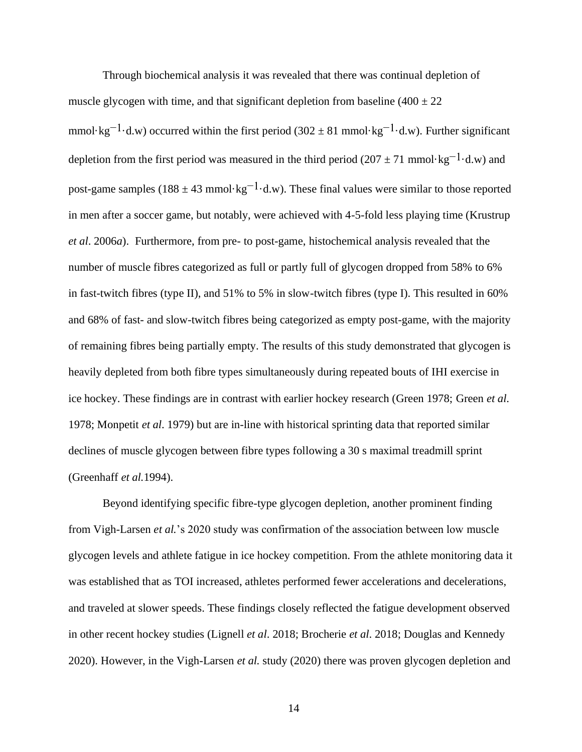Through biochemical analysis it was revealed that there was continual depletion of muscle glycogen with time, and that significant depletion from baseline  $(400 \pm 22)$ mmol·kg<sup>-1</sup>·d.w) occurred within the first period (302  $\pm$  81 mmol·kg<sup>-1</sup>·d.w). Further significant depletion from the first period was measured in the third period (207  $\pm$  71 mmol·kg<sup>-1</sup>·d.w) and post-game samples ( $188 \pm 43$  mmol·kg<sup>-1</sup>·d.w). These final values were similar to those reported in men after a soccer game, but notably, were achieved with 4-5-fold less playing time (Krustrup *et al*. 2006*a*). Furthermore, from pre- to post-game, histochemical analysis revealed that the number of muscle fibres categorized as full or partly full of glycogen dropped from 58% to 6% in fast-twitch fibres (type II), and 51% to 5% in slow-twitch fibres (type I). This resulted in 60% and 68% of fast- and slow-twitch fibres being categorized as empty post-game, with the majority of remaining fibres being partially empty. The results of this study demonstrated that glycogen is heavily depleted from both fibre types simultaneously during repeated bouts of IHI exercise in ice hockey. These findings are in contrast with earlier hockey research (Green 1978; Green *et al*. 1978; Monpetit *et al*. 1979) but are in-line with historical sprinting data that reported similar declines of muscle glycogen between fibre types following a 30 s maximal treadmill sprint (Greenhaff *et al.*1994).

Beyond identifying specific fibre-type glycogen depletion, another prominent finding from Vigh-Larsen *et al.*'s 2020 study was confirmation of the association between low muscle glycogen levels and athlete fatigue in ice hockey competition. From the athlete monitoring data it was established that as TOI increased, athletes performed fewer accelerations and decelerations, and traveled at slower speeds. These findings closely reflected the fatigue development observed in other recent hockey studies (Lignell *et al*. 2018; Brocherie *et al*. 2018; Douglas and Kennedy 2020). However, in the Vigh-Larsen *et al.* study (2020) there was proven glycogen depletion and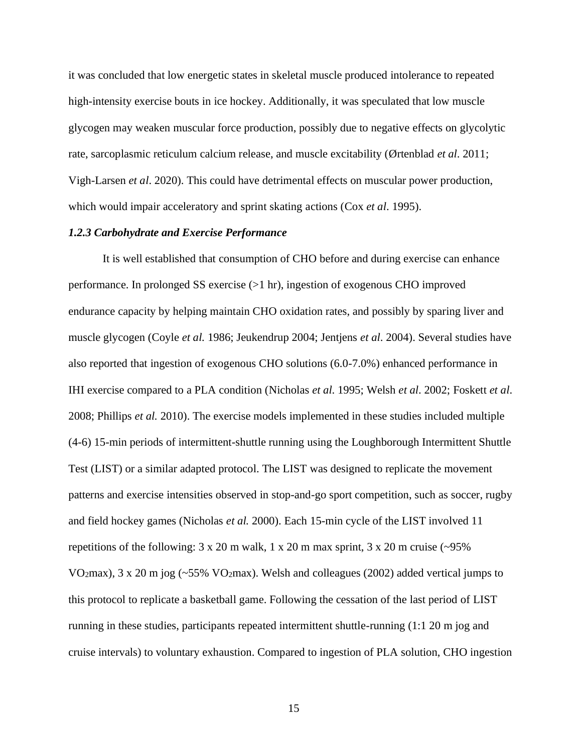it was concluded that low energetic states in skeletal muscle produced intolerance to repeated high-intensity exercise bouts in ice hockey. Additionally, it was speculated that low muscle glycogen may weaken muscular force production, possibly due to negative effects on glycolytic rate, sarcoplasmic reticulum calcium release, and muscle excitability (Ørtenblad *et al*. 2011; Vigh-Larsen *et al*. 2020). This could have detrimental effects on muscular power production, which would impair acceleratory and sprint skating actions (Cox *et al*. 1995).

#### *1.2.3 Carbohydrate and Exercise Performance*

It is well established that consumption of CHO before and during exercise can enhance performance. In prolonged SS exercise (>1 hr), ingestion of exogenous CHO improved endurance capacity by helping maintain CHO oxidation rates, and possibly by sparing liver and muscle glycogen (Coyle *et al.* 1986; Jeukendrup 2004; Jentjens *et al*. 2004). Several studies have also reported that ingestion of exogenous CHO solutions (6.0-7.0%) enhanced performance in IHI exercise compared to a PLA condition (Nicholas *et al*. 1995; Welsh *et al*. 2002; Foskett *et al*. 2008; Phillips *et al.* 2010). The exercise models implemented in these studies included multiple (4-6) 15-min periods of intermittent-shuttle running using the Loughborough Intermittent Shuttle Test (LIST) or a similar adapted protocol. The LIST was designed to replicate the movement patterns and exercise intensities observed in stop-and-go sport competition, such as soccer, rugby and field hockey games (Nicholas *et al.* 2000). Each 15-min cycle of the LIST involved 11 repetitions of the following:  $3 \times 20$  m walk,  $1 \times 20$  m max sprint,  $3 \times 20$  m cruise (~95%) VO2max), 3 x 20 m jog (~55% VO2max). Welsh and colleagues (2002) added vertical jumps to this protocol to replicate a basketball game. Following the cessation of the last period of LIST running in these studies, participants repeated intermittent shuttle-running (1:1 20 m jog and cruise intervals) to voluntary exhaustion. Compared to ingestion of PLA solution, CHO ingestion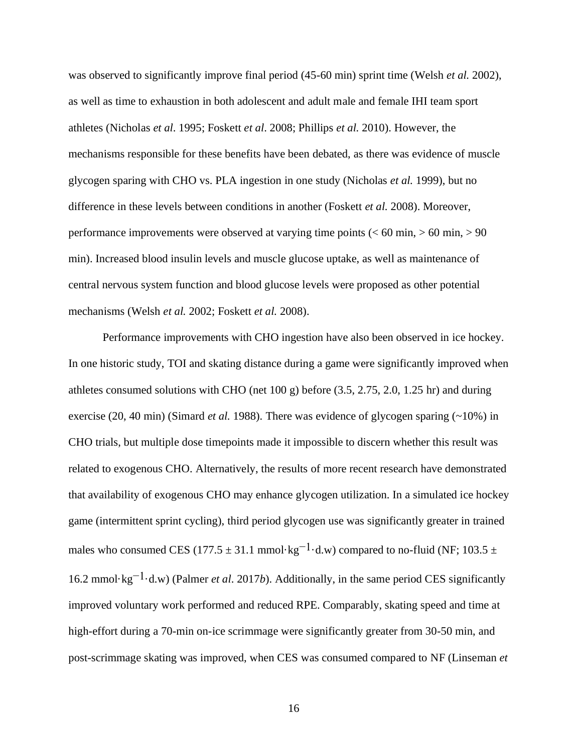was observed to significantly improve final period (45-60 min) sprint time (Welsh *et al.* 2002), as well as time to exhaustion in both adolescent and adult male and female IHI team sport athletes (Nicholas *et al*. 1995; Foskett *et al*. 2008; Phillips *et al.* 2010). However, the mechanisms responsible for these benefits have been debated, as there was evidence of muscle glycogen sparing with CHO vs. PLA ingestion in one study (Nicholas *et al.* 1999), but no difference in these levels between conditions in another (Foskett *et al.* 2008). Moreover, performance improvements were observed at varying time points (< 60 min, > 60 min, > 90 min). Increased blood insulin levels and muscle glucose uptake, as well as maintenance of central nervous system function and blood glucose levels were proposed as other potential mechanisms (Welsh *et al.* 2002; Foskett *et al.* 2008).

Performance improvements with CHO ingestion have also been observed in ice hockey. In one historic study, TOI and skating distance during a game were significantly improved when athletes consumed solutions with CHO (net 100 g) before (3.5, 2.75, 2.0, 1.25 hr) and during exercise (20, 40 min) (Simard *et al.* 1988). There was evidence of glycogen sparing (~10%) in CHO trials, but multiple dose timepoints made it impossible to discern whether this result was related to exogenous CHO. Alternatively, the results of more recent research have demonstrated that availability of exogenous CHO may enhance glycogen utilization. In a simulated ice hockey game (intermittent sprint cycling), third period glycogen use was significantly greater in trained males who consumed CES (177.5  $\pm$  31.1 mmol·kg<sup>-1</sup>·d.w) compared to no-fluid (NF; 103.5  $\pm$ 16.2 mmol·kg−1·d.w) (Palmer *et al*. 2017*b*). Additionally, in the same period CES significantly improved voluntary work performed and reduced RPE. Comparably, skating speed and time at high-effort during a 70-min on-ice scrimmage were significantly greater from 30-50 min, and post-scrimmage skating was improved, when CES was consumed compared to NF (Linseman *et*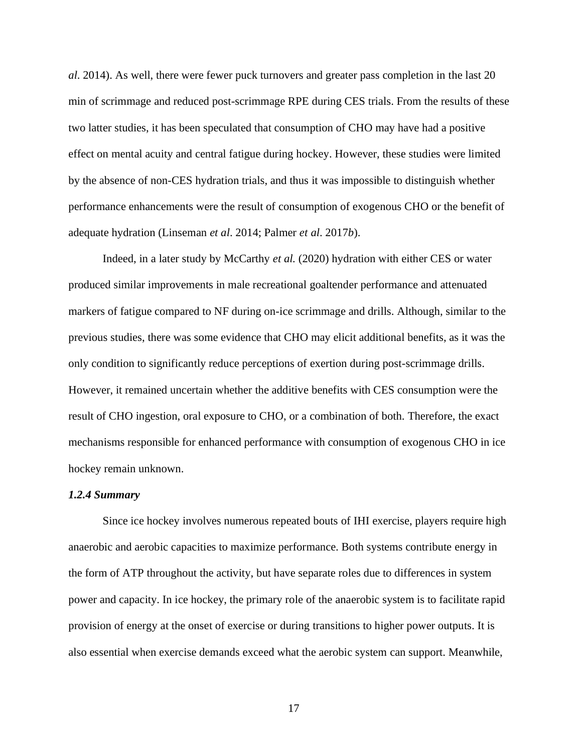*al*. 2014). As well, there were fewer puck turnovers and greater pass completion in the last 20 min of scrimmage and reduced post-scrimmage RPE during CES trials. From the results of these two latter studies, it has been speculated that consumption of CHO may have had a positive effect on mental acuity and central fatigue during hockey. However, these studies were limited by the absence of non-CES hydration trials, and thus it was impossible to distinguish whether performance enhancements were the result of consumption of exogenous CHO or the benefit of adequate hydration (Linseman *et al*. 2014; Palmer *et al*. 2017*b*).

Indeed, in a later study by McCarthy *et al.* (2020) hydration with either CES or water produced similar improvements in male recreational goaltender performance and attenuated markers of fatigue compared to NF during on-ice scrimmage and drills. Although, similar to the previous studies, there was some evidence that CHO may elicit additional benefits, as it was the only condition to significantly reduce perceptions of exertion during post-scrimmage drills. However, it remained uncertain whether the additive benefits with CES consumption were the result of CHO ingestion, oral exposure to CHO, or a combination of both. Therefore, the exact mechanisms responsible for enhanced performance with consumption of exogenous CHO in ice hockey remain unknown.

## *1.2.4 Summary*

Since ice hockey involves numerous repeated bouts of IHI exercise, players require high anaerobic and aerobic capacities to maximize performance. Both systems contribute energy in the form of ATP throughout the activity, but have separate roles due to differences in system power and capacity. In ice hockey, the primary role of the anaerobic system is to facilitate rapid provision of energy at the onset of exercise or during transitions to higher power outputs. It is also essential when exercise demands exceed what the aerobic system can support. Meanwhile,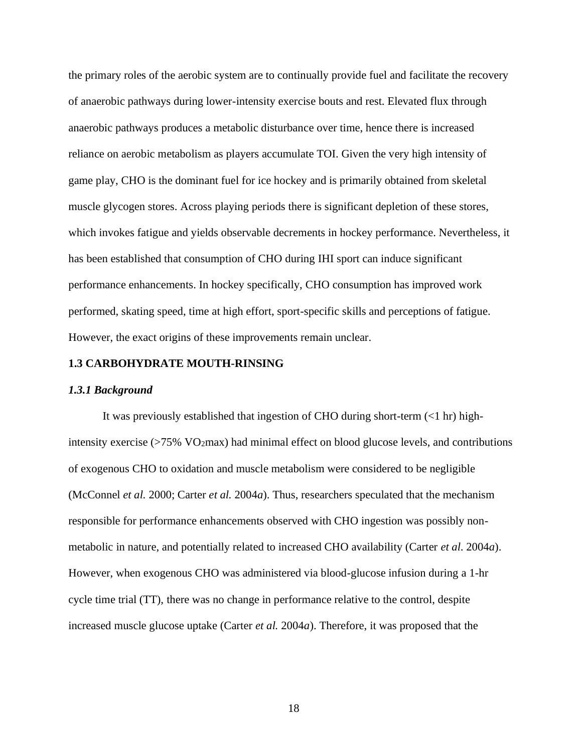the primary roles of the aerobic system are to continually provide fuel and facilitate the recovery of anaerobic pathways during lower-intensity exercise bouts and rest. Elevated flux through anaerobic pathways produces a metabolic disturbance over time, hence there is increased reliance on aerobic metabolism as players accumulate TOI. Given the very high intensity of game play, CHO is the dominant fuel for ice hockey and is primarily obtained from skeletal muscle glycogen stores. Across playing periods there is significant depletion of these stores, which invokes fatigue and yields observable decrements in hockey performance. Nevertheless, it has been established that consumption of CHO during IHI sport can induce significant performance enhancements. In hockey specifically, CHO consumption has improved work performed, skating speed, time at high effort, sport-specific skills and perceptions of fatigue. However, the exact origins of these improvements remain unclear.

# **1.3 CARBOHYDRATE MOUTH-RINSING**

#### *1.3.1 Background*

It was previously established that ingestion of CHO during short-term (<1 hr) highintensity exercise  $(>75\%$  VO<sub>2</sub>max) had minimal effect on blood glucose levels, and contributions of exogenous CHO to oxidation and muscle metabolism were considered to be negligible (McConnel *et al.* 2000; Carter *et al.* 2004*a*). Thus, researchers speculated that the mechanism responsible for performance enhancements observed with CHO ingestion was possibly nonmetabolic in nature, and potentially related to increased CHO availability (Carter *et al*. 2004*a*). However, when exogenous CHO was administered via blood-glucose infusion during a 1-hr cycle time trial (TT), there was no change in performance relative to the control, despite increased muscle glucose uptake (Carter *et al.* 2004*a*). Therefore, it was proposed that the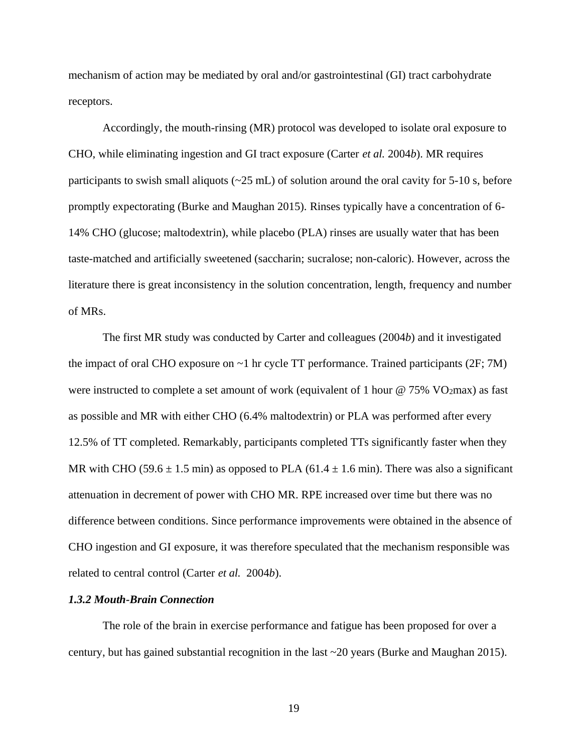mechanism of action may be mediated by oral and/or gastrointestinal (GI) tract carbohydrate receptors.

Accordingly, the mouth-rinsing (MR) protocol was developed to isolate oral exposure to CHO, while eliminating ingestion and GI tract exposure (Carter *et al.* 2004*b*). MR requires participants to swish small aliquots ( $\approx$ 25 mL) of solution around the oral cavity for 5-10 s, before promptly expectorating (Burke and Maughan 2015). Rinses typically have a concentration of 6- 14% CHO (glucose; maltodextrin), while placebo (PLA) rinses are usually water that has been taste-matched and artificially sweetened (saccharin; sucralose; non-caloric). However, across the literature there is great inconsistency in the solution concentration, length, frequency and number of MRs.

The first MR study was conducted by Carter and colleagues (2004*b*) and it investigated the impact of oral CHO exposure on  $\sim$ 1 hr cycle TT performance. Trained participants (2F; 7M) were instructed to complete a set amount of work (equivalent of 1 hour @ 75% VO2max) as fast as possible and MR with either CHO (6.4% maltodextrin) or PLA was performed after every 12.5% of TT completed. Remarkably, participants completed TTs significantly faster when they MR with CHO (59.6  $\pm$  1.5 min) as opposed to PLA (61.4  $\pm$  1.6 min). There was also a significant attenuation in decrement of power with CHO MR. RPE increased over time but there was no difference between conditions. Since performance improvements were obtained in the absence of CHO ingestion and GI exposure, it was therefore speculated that the mechanism responsible was related to central control (Carter *et al.* 2004*b*).

#### *1.3.2 Mouth-Brain Connection*

The role of the brain in exercise performance and fatigue has been proposed for over a century, but has gained substantial recognition in the last ~20 years (Burke and Maughan 2015).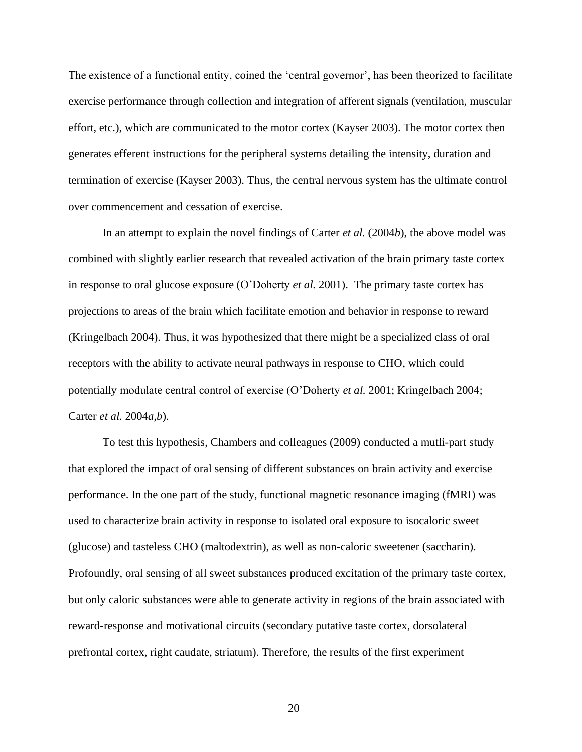The existence of a functional entity, coined the 'central governor', has been theorized to facilitate exercise performance through collection and integration of afferent signals (ventilation, muscular effort, etc.), which are communicated to the motor cortex (Kayser 2003). The motor cortex then generates efferent instructions for the peripheral systems detailing the intensity, duration and termination of exercise (Kayser 2003). Thus, the central nervous system has the ultimate control over commencement and cessation of exercise.

In an attempt to explain the novel findings of Carter *et al.* (2004*b*), the above model was combined with slightly earlier research that revealed activation of the brain primary taste cortex in response to oral glucose exposure (O'Doherty *et al.* 2001). The primary taste cortex has projections to areas of the brain which facilitate emotion and behavior in response to reward (Kringelbach 2004). Thus, it was hypothesized that there might be a specialized class of oral receptors with the ability to activate neural pathways in response to CHO, which could potentially modulate central control of exercise (O'Doherty *et al.* 2001; Kringelbach 2004; Carter *et al.* 2004*a,b*).

To test this hypothesis, Chambers and colleagues (2009) conducted a mutli-part study that explored the impact of oral sensing of different substances on brain activity and exercise performance. In the one part of the study, functional magnetic resonance imaging (fMRI) was used to characterize brain activity in response to isolated oral exposure to isocaloric sweet (glucose) and tasteless CHO (maltodextrin), as well as non-caloric sweetener (saccharin). Profoundly, oral sensing of all sweet substances produced excitation of the primary taste cortex, but only caloric substances were able to generate activity in regions of the brain associated with reward-response and motivational circuits (secondary putative taste cortex, dorsolateral prefrontal cortex, right caudate, striatum). Therefore, the results of the first experiment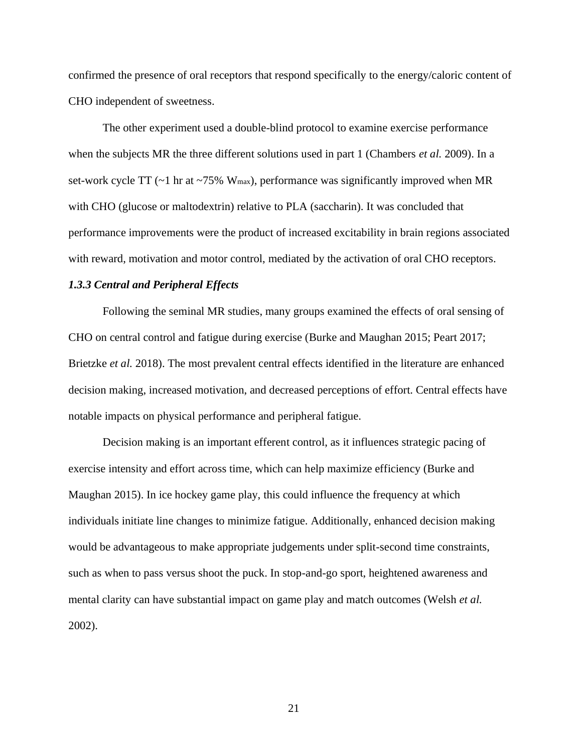confirmed the presence of oral receptors that respond specifically to the energy/caloric content of CHO independent of sweetness.

The other experiment used a double-blind protocol to examine exercise performance when the subjects MR the three different solutions used in part 1 (Chambers *et al.* 2009). In a set-work cycle TT ( $\sim$ 1 hr at  $\sim$ 75% W<sub>max</sub>), performance was significantly improved when MR with CHO (glucose or maltodextrin) relative to PLA (saccharin). It was concluded that performance improvements were the product of increased excitability in brain regions associated with reward, motivation and motor control, mediated by the activation of oral CHO receptors.

# *1.3.3 Central and Peripheral Effects*

Following the seminal MR studies, many groups examined the effects of oral sensing of CHO on central control and fatigue during exercise (Burke and Maughan 2015; Peart 2017; Brietzke *et al.* 2018). The most prevalent central effects identified in the literature are enhanced decision making, increased motivation, and decreased perceptions of effort. Central effects have notable impacts on physical performance and peripheral fatigue.

Decision making is an important efferent control, as it influences strategic pacing of exercise intensity and effort across time, which can help maximize efficiency (Burke and Maughan 2015). In ice hockey game play, this could influence the frequency at which individuals initiate line changes to minimize fatigue. Additionally, enhanced decision making would be advantageous to make appropriate judgements under split-second time constraints, such as when to pass versus shoot the puck. In stop-and-go sport, heightened awareness and mental clarity can have substantial impact on game play and match outcomes (Welsh *et al.*  2002).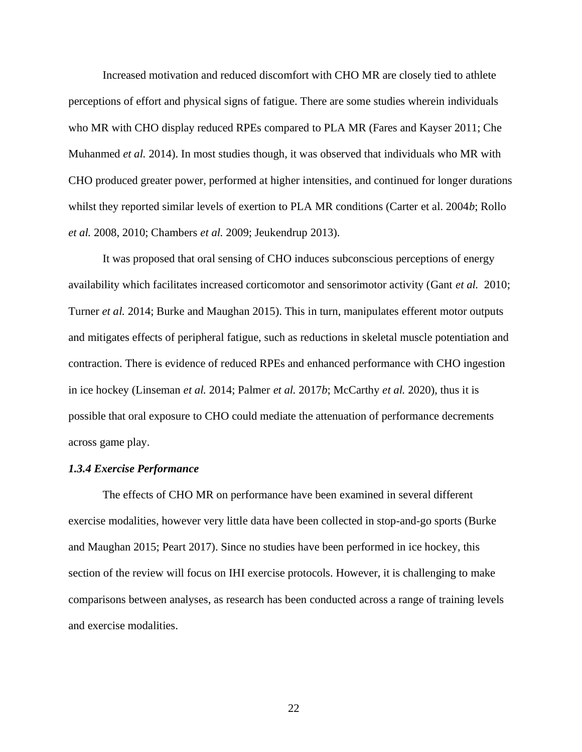Increased motivation and reduced discomfort with CHO MR are closely tied to athlete perceptions of effort and physical signs of fatigue. There are some studies wherein individuals who MR with CHO display reduced RPEs compared to PLA MR (Fares and Kayser 2011; Che Muhanmed *et al.* 2014). In most studies though, it was observed that individuals who MR with CHO produced greater power, performed at higher intensities, and continued for longer durations whilst they reported similar levels of exertion to PLA MR conditions (Carter et al. 2004*b*; Rollo *et al.* 2008, 2010; Chambers *et al.* 2009; Jeukendrup 2013).

It was proposed that oral sensing of CHO induces subconscious perceptions of energy availability which facilitates increased corticomotor and sensorimotor activity (Gant *et al.* 2010; Turner *et al.* 2014; Burke and Maughan 2015). This in turn, manipulates efferent motor outputs and mitigates effects of peripheral fatigue, such as reductions in skeletal muscle potentiation and contraction. There is evidence of reduced RPEs and enhanced performance with CHO ingestion in ice hockey (Linseman *et al.* 2014; Palmer *et al.* 2017*b*; McCarthy *et al.* 2020), thus it is possible that oral exposure to CHO could mediate the attenuation of performance decrements across game play.

## *1.3.4 Exercise Performance*

The effects of CHO MR on performance have been examined in several different exercise modalities, however very little data have been collected in stop-and-go sports (Burke and Maughan 2015; Peart 2017). Since no studies have been performed in ice hockey, this section of the review will focus on IHI exercise protocols. However, it is challenging to make comparisons between analyses, as research has been conducted across a range of training levels and exercise modalities.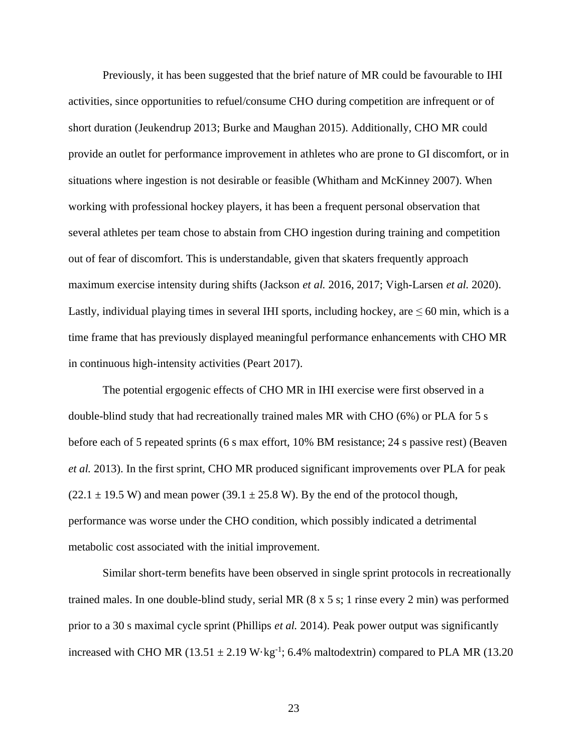Previously, it has been suggested that the brief nature of MR could be favourable to IHI activities, since opportunities to refuel/consume CHO during competition are infrequent or of short duration (Jeukendrup 2013; Burke and Maughan 2015). Additionally, CHO MR could provide an outlet for performance improvement in athletes who are prone to GI discomfort, or in situations where ingestion is not desirable or feasible (Whitham and McKinney 2007). When working with professional hockey players, it has been a frequent personal observation that several athletes per team chose to abstain from CHO ingestion during training and competition out of fear of discomfort. This is understandable, given that skaters frequently approach maximum exercise intensity during shifts (Jackson *et al.* 2016, 2017; Vigh-Larsen *et al.* 2020). Lastly, individual playing times in several IHI sports, including hockey, are  $\leq 60$  min, which is a time frame that has previously displayed meaningful performance enhancements with CHO MR in continuous high-intensity activities (Peart 2017).

The potential ergogenic effects of CHO MR in IHI exercise were first observed in a double-blind study that had recreationally trained males MR with CHO (6%) or PLA for 5 s before each of 5 repeated sprints (6 s max effort, 10% BM resistance; 24 s passive rest) (Beaven *et al.* 2013). In the first sprint, CHO MR produced significant improvements over PLA for peak  $(22.1 \pm 19.5 \text{ W})$  and mean power  $(39.1 \pm 25.8 \text{ W})$ . By the end of the protocol though, performance was worse under the CHO condition, which possibly indicated a detrimental metabolic cost associated with the initial improvement.

Similar short-term benefits have been observed in single sprint protocols in recreationally trained males. In one double-blind study, serial MR (8 x 5 s; 1 rinse every 2 min) was performed prior to a 30 s maximal cycle sprint (Phillips *et al.* 2014). Peak power output was significantly increased with CHO MR  $(13.51 \pm 2.19 \text{ W} \cdot \text{kg}^{-1})$ ; 6.4% maltodextrin) compared to PLA MR  $(13.20 \text{ m})$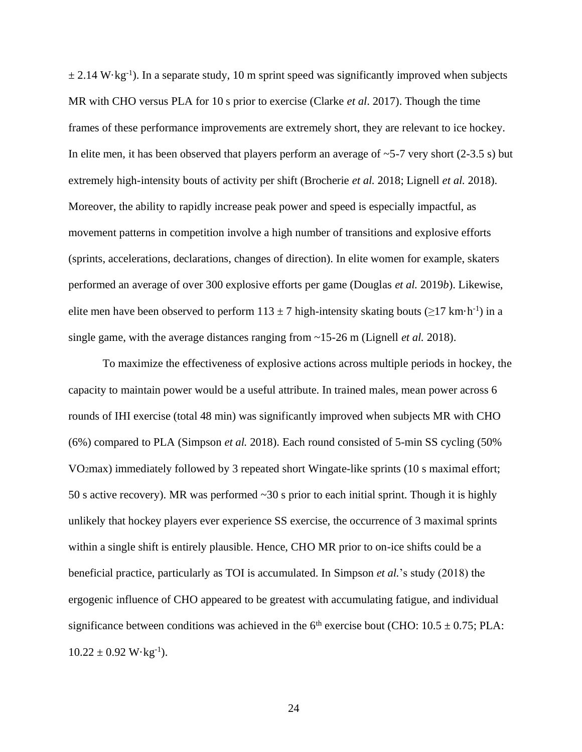$\pm$  2.14 W·kg<sup>-1</sup>). In a separate study, 10 m sprint speed was significantly improved when subjects MR with CHO versus PLA for 10 s prior to exercise (Clarke *et al*. 2017). Though the time frames of these performance improvements are extremely short, they are relevant to ice hockey. In elite men, it has been observed that players perform an average of  $\sim$ 5-7 very short (2-3.5 s) but extremely high-intensity bouts of activity per shift (Brocherie *et al.* 2018; Lignell *et al.* 2018). Moreover, the ability to rapidly increase peak power and speed is especially impactful, as movement patterns in competition involve a high number of transitions and explosive efforts (sprints, accelerations, declarations, changes of direction). In elite women for example, skaters performed an average of over 300 explosive efforts per game (Douglas *et al.* 2019*b*). Likewise, elite men have been observed to perform  $113 \pm 7$  high-intensity skating bouts ( $\geq 17$  km·h<sup>-1</sup>) in a single game, with the average distances ranging from ~15-26 m (Lignell *et al.* 2018).

To maximize the effectiveness of explosive actions across multiple periods in hockey, the capacity to maintain power would be a useful attribute. In trained males, mean power across 6 rounds of IHI exercise (total 48 min) was significantly improved when subjects MR with CHO (6%) compared to PLA (Simpson *et al.* 2018). Each round consisted of 5-min SS cycling (50% VO2max) immediately followed by 3 repeated short Wingate-like sprints (10 s maximal effort; 50 s active recovery). MR was performed ~30 s prior to each initial sprint. Though it is highly unlikely that hockey players ever experience SS exercise, the occurrence of 3 maximal sprints within a single shift is entirely plausible. Hence, CHO MR prior to on-ice shifts could be a beneficial practice, particularly as TOI is accumulated. In Simpson *et al.*'s study (2018) the ergogenic influence of CHO appeared to be greatest with accumulating fatigue, and individual significance between conditions was achieved in the  $6<sup>th</sup>$  exercise bout (CHO: 10.5  $\pm$  0.75; PLA:  $10.22 \pm 0.92$  W $\cdot$ kg<sup>-1</sup>).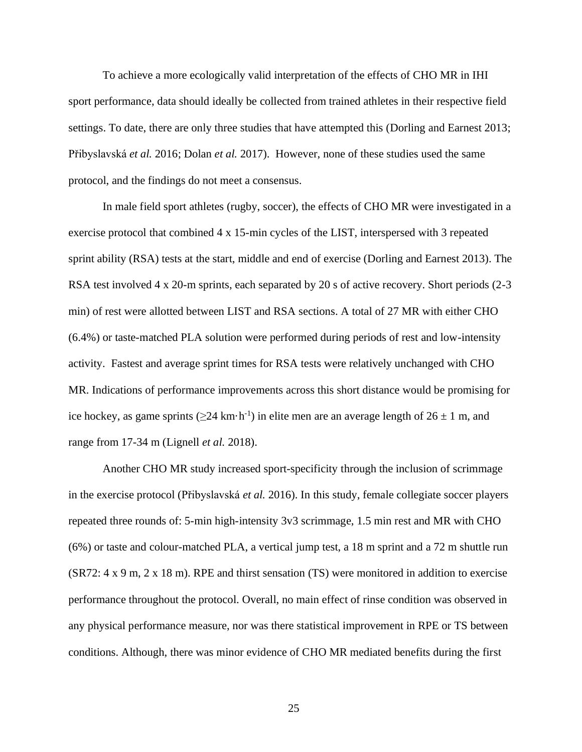To achieve a more ecologically valid interpretation of the effects of CHO MR in IHI sport performance, data should ideally be collected from trained athletes in their respective field settings. To date, there are only three studies that have attempted this (Dorling and Earnest 2013; Přibyslavská *et al.* 2016; Dolan *et al.* 2017). However, none of these studies used the same protocol, and the findings do not meet a consensus.

In male field sport athletes (rugby, soccer), the effects of CHO MR were investigated in a exercise protocol that combined 4 x 15-min cycles of the LIST, interspersed with 3 repeated sprint ability (RSA) tests at the start, middle and end of exercise (Dorling and Earnest 2013). The RSA test involved 4 x 20-m sprints, each separated by 20 s of active recovery. Short periods (2-3) min) of rest were allotted between LIST and RSA sections. A total of 27 MR with either CHO (6.4%) or taste-matched PLA solution were performed during periods of rest and low-intensity activity. Fastest and average sprint times for RSA tests were relatively unchanged with CHO MR. Indications of performance improvements across this short distance would be promising for ice hockey, as game sprints ( $\geq 24$  km·h<sup>-1</sup>) in elite men are an average length of  $26 \pm 1$  m, and range from 17-34 m (Lignell *et al.* 2018).

Another CHO MR study increased sport-specificity through the inclusion of scrimmage in the exercise protocol (Přibyslavská *et al.* 2016). In this study, female collegiate soccer players repeated three rounds of: 5-min high-intensity 3v3 scrimmage, 1.5 min rest and MR with CHO (6%) or taste and colour-matched PLA, a vertical jump test, a 18 m sprint and a 72 m shuttle run (SR72: 4 x 9 m, 2 x 18 m). RPE and thirst sensation (TS) were monitored in addition to exercise performance throughout the protocol. Overall, no main effect of rinse condition was observed in any physical performance measure, nor was there statistical improvement in RPE or TS between conditions. Although, there was minor evidence of CHO MR mediated benefits during the first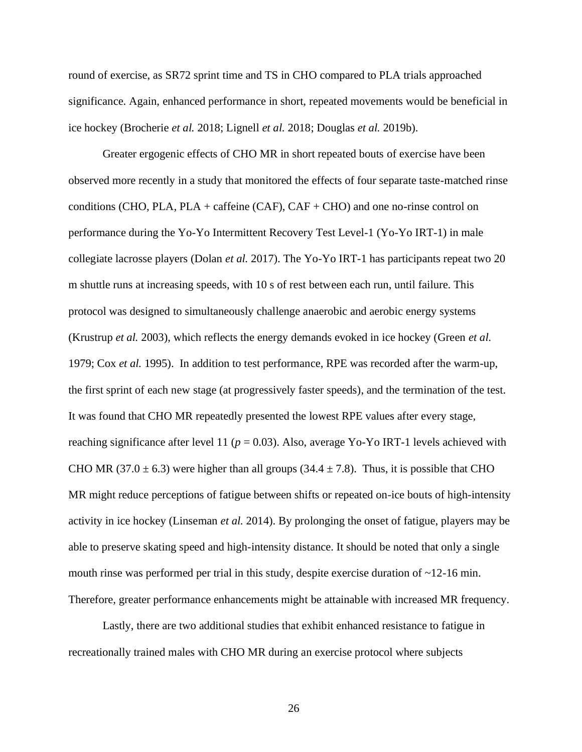round of exercise, as SR72 sprint time and TS in CHO compared to PLA trials approached significance. Again, enhanced performance in short, repeated movements would be beneficial in ice hockey (Brocherie *et al.* 2018; Lignell *et al.* 2018; Douglas *et al.* 2019b).

Greater ergogenic effects of CHO MR in short repeated bouts of exercise have been observed more recently in a study that monitored the effects of four separate taste-matched rinse conditions (CHO, PLA, PLA + caffeine (CAF),  $CAF + CHO$ ) and one no-rinse control on performance during the Yo-Yo Intermittent Recovery Test Level-1 (Yo-Yo IRT-1) in male collegiate lacrosse players (Dolan *et al.* 2017). The Yo-Yo IRT-1 has participants repeat two 20 m shuttle runs at increasing speeds, with 10 s of rest between each run, until failure. This protocol was designed to simultaneously challenge anaerobic and aerobic energy systems (Krustrup *et al.* 2003), which reflects the energy demands evoked in ice hockey (Green *et al.*  1979; Cox *et al.* 1995). In addition to test performance, RPE was recorded after the warm-up, the first sprint of each new stage (at progressively faster speeds), and the termination of the test. It was found that CHO MR repeatedly presented the lowest RPE values after every stage, reaching significance after level 11 ( $p = 0.03$ ). Also, average Yo-Yo IRT-1 levels achieved with CHO MR (37.0  $\pm$  6.3) were higher than all groups (34.4  $\pm$  7.8). Thus, it is possible that CHO MR might reduce perceptions of fatigue between shifts or repeated on-ice bouts of high-intensity activity in ice hockey (Linseman *et al.* 2014). By prolonging the onset of fatigue, players may be able to preserve skating speed and high-intensity distance. It should be noted that only a single mouth rinse was performed per trial in this study, despite exercise duration of  $\sim$  12-16 min. Therefore, greater performance enhancements might be attainable with increased MR frequency.

Lastly, there are two additional studies that exhibit enhanced resistance to fatigue in recreationally trained males with CHO MR during an exercise protocol where subjects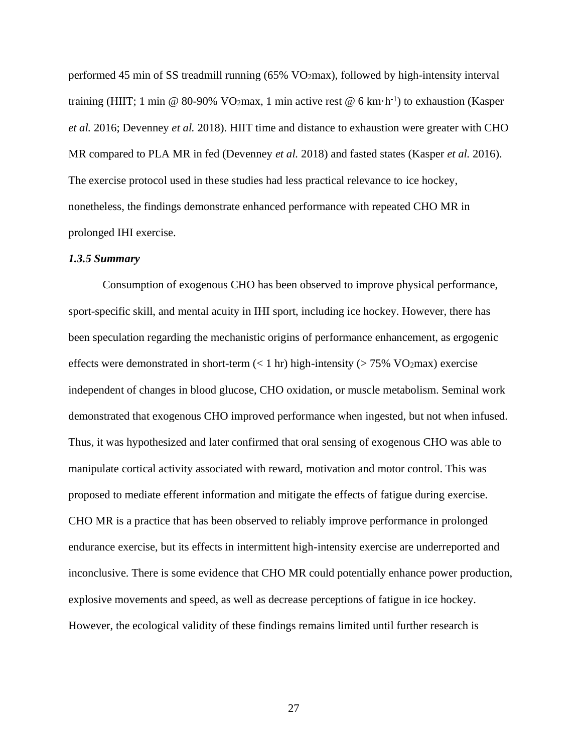performed 45 min of SS treadmill running (65% VO2max), followed by high-intensity interval training (HIIT; 1 min @ 80-90% VO<sub>2</sub>max, 1 min active rest @ 6 km·h<sup>-1</sup>) to exhaustion (Kasper *et al.* 2016; Devenney *et al.* 2018). HIIT time and distance to exhaustion were greater with CHO MR compared to PLA MR in fed (Devenney *et al.* 2018) and fasted states (Kasper *et al.* 2016). The exercise protocol used in these studies had less practical relevance to ice hockey, nonetheless, the findings demonstrate enhanced performance with repeated CHO MR in prolonged IHI exercise.

### *1.3.5 Summary*

Consumption of exogenous CHO has been observed to improve physical performance, sport-specific skill, and mental acuity in IHI sport, including ice hockey. However, there has been speculation regarding the mechanistic origins of performance enhancement, as ergogenic effects were demonstrated in short-term  $(< 1 \text{ hr})$  high-intensity ( $> 75\%$  VO<sub>2</sub>max) exercise independent of changes in blood glucose, CHO oxidation, or muscle metabolism. Seminal work demonstrated that exogenous CHO improved performance when ingested, but not when infused. Thus, it was hypothesized and later confirmed that oral sensing of exogenous CHO was able to manipulate cortical activity associated with reward, motivation and motor control. This was proposed to mediate efferent information and mitigate the effects of fatigue during exercise. CHO MR is a practice that has been observed to reliably improve performance in prolonged endurance exercise, but its effects in intermittent high-intensity exercise are underreported and inconclusive. There is some evidence that CHO MR could potentially enhance power production, explosive movements and speed, as well as decrease perceptions of fatigue in ice hockey. However, the ecological validity of these findings remains limited until further research is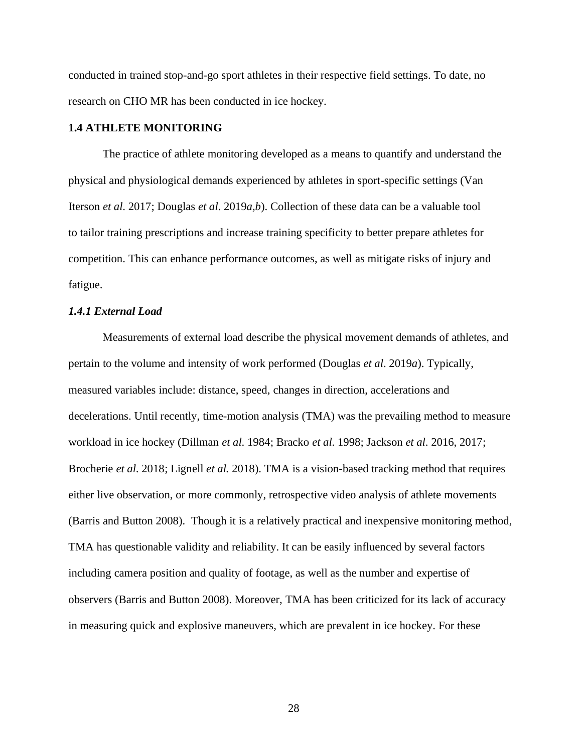conducted in trained stop-and-go sport athletes in their respective field settings. To date, no research on CHO MR has been conducted in ice hockey.

### **1.4 ATHLETE MONITORING**

The practice of athlete monitoring developed as a means to quantify and understand the physical and physiological demands experienced by athletes in sport-specific settings (Van Iterson *et al*. 2017; Douglas *et al*. 2019*a,b*). Collection of these data can be a valuable tool to tailor training prescriptions and increase training specificity to better prepare athletes for competition. This can enhance performance outcomes, as well as mitigate risks of injury and fatigue.

# *1.4.1 External Load*

Measurements of external load describe the physical movement demands of athletes, and pertain to the volume and intensity of work performed (Douglas *et al*. 2019*a*). Typically, measured variables include: distance, speed, changes in direction, accelerations and decelerations. Until recently, time-motion analysis (TMA) was the prevailing method to measure workload in ice hockey (Dillman *et al*. 1984; Bracko *et al*. 1998; Jackson *et al*. 2016, 2017; Brocherie *et al*. 2018; Lignell *et al.* 2018). TMA is a vision-based tracking method that requires either live observation, or more commonly, retrospective video analysis of athlete movements (Barris and Button 2008). Though it is a relatively practical and inexpensive monitoring method, TMA has questionable validity and reliability. It can be easily influenced by several factors including camera position and quality of footage, as well as the number and expertise of observers (Barris and Button 2008). Moreover, TMA has been criticized for its lack of accuracy in measuring quick and explosive maneuvers, which are prevalent in ice hockey. For these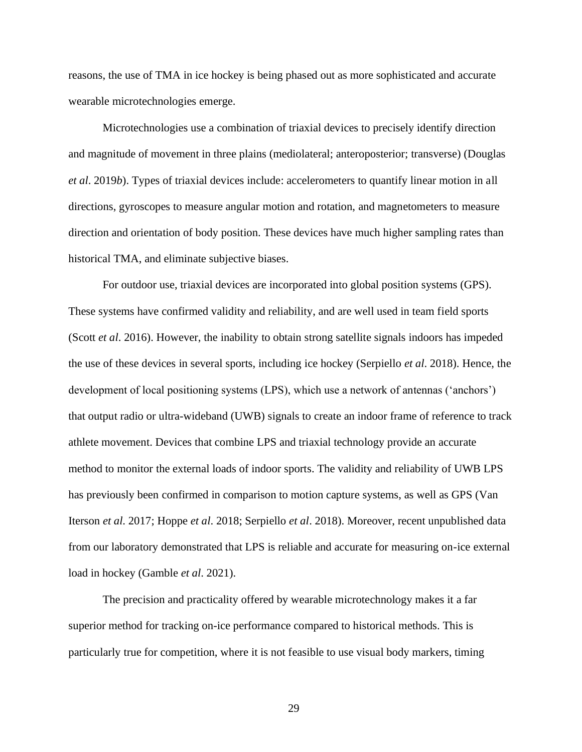reasons, the use of TMA in ice hockey is being phased out as more sophisticated and accurate wearable microtechnologies emerge.

Microtechnologies use a combination of triaxial devices to precisely identify direction and magnitude of movement in three plains (mediolateral; anteroposterior; transverse) (Douglas *et al*. 2019*b*). Types of triaxial devices include: accelerometers to quantify linear motion in all directions, gyroscopes to measure angular motion and rotation, and magnetometers to measure direction and orientation of body position. These devices have much higher sampling rates than historical TMA, and eliminate subjective biases.

For outdoor use, triaxial devices are incorporated into global position systems (GPS). These systems have confirmed validity and reliability, and are well used in team field sports (Scott *et al*. 2016). However, the inability to obtain strong satellite signals indoors has impeded the use of these devices in several sports, including ice hockey (Serpiello *et al*. 2018). Hence, the development of local positioning systems (LPS), which use a network of antennas ('anchors') that output radio or ultra-wideband (UWB) signals to create an indoor frame of reference to track athlete movement. Devices that combine LPS and triaxial technology provide an accurate method to monitor the external loads of indoor sports. The validity and reliability of UWB LPS has previously been confirmed in comparison to motion capture systems, as well as GPS (Van Iterson *et al*. 2017; Hoppe *et al*. 2018; Serpiello *et al*. 2018). Moreover, recent unpublished data from our laboratory demonstrated that LPS is reliable and accurate for measuring on-ice external load in hockey (Gamble *et al*. 2021).

The precision and practicality offered by wearable microtechnology makes it a far superior method for tracking on-ice performance compared to historical methods. This is particularly true for competition, where it is not feasible to use visual body markers, timing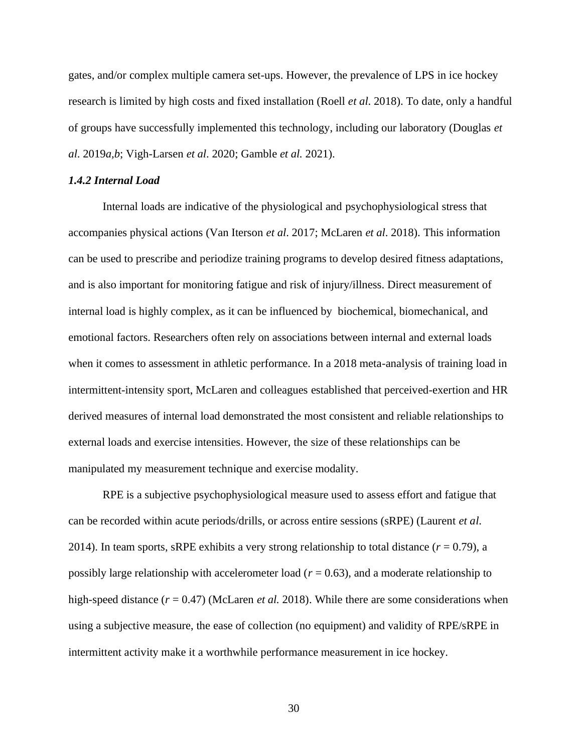gates, and/or complex multiple camera set-ups. However, the prevalence of LPS in ice hockey research is limited by high costs and fixed installation (Roell *et al*. 2018). To date, only a handful of groups have successfully implemented this technology, including our laboratory (Douglas *et al*. 2019*a,b*; Vigh-Larsen *et al*. 2020; Gamble *et al.* 2021).

# *1.4.2 Internal Load*

Internal loads are indicative of the physiological and psychophysiological stress that accompanies physical actions (Van Iterson *et al*. 2017; McLaren *et al*. 2018). This information can be used to prescribe and periodize training programs to develop desired fitness adaptations, and is also important for monitoring fatigue and risk of injury/illness. Direct measurement of internal load is highly complex, as it can be influenced by biochemical, biomechanical, and emotional factors. Researchers often rely on associations between internal and external loads when it comes to assessment in athletic performance. In a 2018 meta-analysis of training load in intermittent-intensity sport, McLaren and colleagues established that perceived-exertion and HR derived measures of internal load demonstrated the most consistent and reliable relationships to external loads and exercise intensities. However, the size of these relationships can be manipulated my measurement technique and exercise modality.

RPE is a subjective psychophysiological measure used to assess effort and fatigue that can be recorded within acute periods/drills, or across entire sessions (sRPE) (Laurent *et al*. 2014). In team sports, sRPE exhibits a very strong relationship to total distance  $(r = 0.79)$ , a possibly large relationship with accelerometer load ( $r = 0.63$ ), and a moderate relationship to high-speed distance (*r* = 0.47) (McLaren *et al.* 2018). While there are some considerations when using a subjective measure, the ease of collection (no equipment) and validity of RPE/sRPE in intermittent activity make it a worthwhile performance measurement in ice hockey.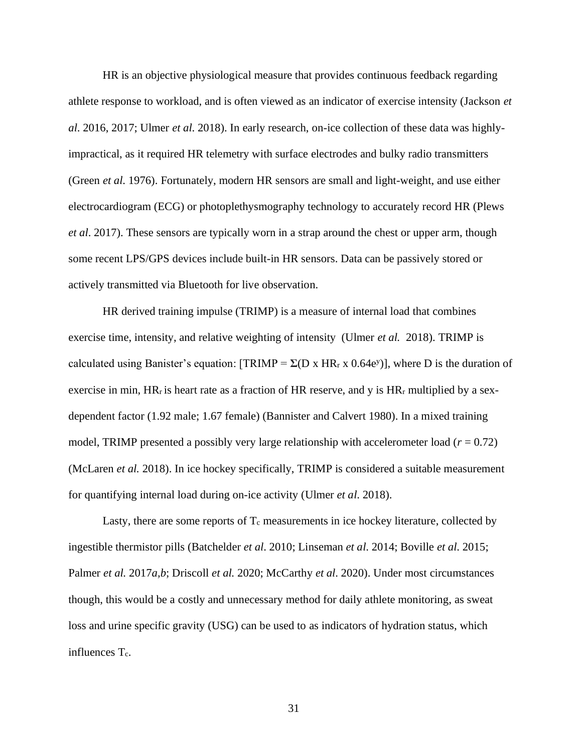HR is an objective physiological measure that provides continuous feedback regarding athlete response to workload, and is often viewed as an indicator of exercise intensity (Jackson *et al*. 2016, 2017; Ulmer *et al*. 2018). In early research, on-ice collection of these data was highlyimpractical, as it required HR telemetry with surface electrodes and bulky radio transmitters (Green *et al*. 1976). Fortunately, modern HR sensors are small and light-weight, and use either electrocardiogram (ECG) or photoplethysmography technology to accurately record HR (Plews *et al*. 2017). These sensors are typically worn in a strap around the chest or upper arm, though some recent LPS/GPS devices include built-in HR sensors. Data can be passively stored or actively transmitted via Bluetooth for live observation.

HR derived training impulse (TRIMP) is a measure of internal load that combines exercise time, intensity, and relative weighting of intensity (Ulmer *et al.* 2018). TRIMP is calculated using Banister's equation:  $[TRIMP = \Sigma(D \times HR_r \times 0.64e^y)]$ , where D is the duration of exercise in min,  $HR_r$  is heart rate as a fraction of HR reserve, and y is  $HR_r$  multiplied by a sexdependent factor (1.92 male; 1.67 female) (Bannister and Calvert 1980). In a mixed training model, TRIMP presented a possibly very large relationship with accelerometer load ( $r = 0.72$ ) (McLaren *et al.* 2018). In ice hockey specifically, TRIMP is considered a suitable measurement for quantifying internal load during on-ice activity (Ulmer *et al*. 2018).

Lasty, there are some reports of  $T_c$  measurements in ice hockey literature, collected by ingestible thermistor pills (Batchelder *et al*. 2010; Linseman *et al*. 2014; Boville *et al*. 2015; Palmer *et al.* 2017*a,b*; Driscoll *et al.* 2020; McCarthy *et al*. 2020). Under most circumstances though, this would be a costly and unnecessary method for daily athlete monitoring, as sweat loss and urine specific gravity (USG) can be used to as indicators of hydration status, which influences T<sub>c</sub>.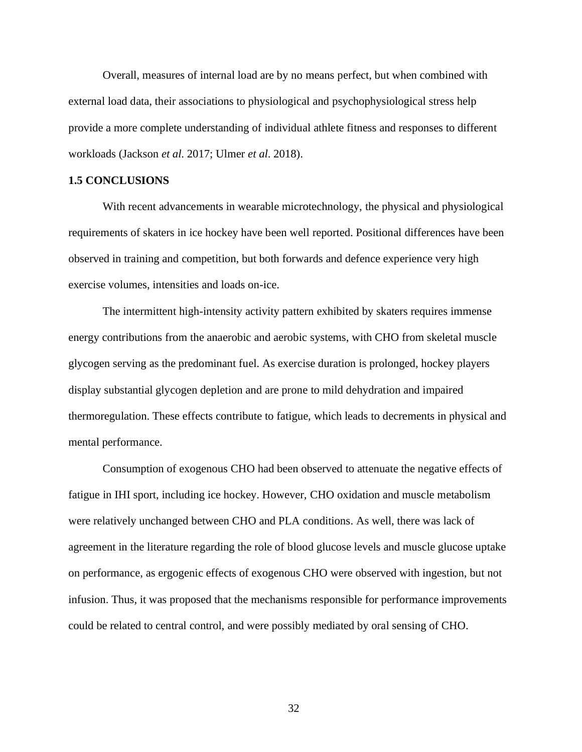Overall, measures of internal load are by no means perfect, but when combined with external load data, their associations to physiological and psychophysiological stress help provide a more complete understanding of individual athlete fitness and responses to different workloads (Jackson *et al*. 2017; Ulmer *et al*. 2018).

# **1.5 CONCLUSIONS**

With recent advancements in wearable microtechnology, the physical and physiological requirements of skaters in ice hockey have been well reported. Positional differences have been observed in training and competition, but both forwards and defence experience very high exercise volumes, intensities and loads on-ice.

The intermittent high-intensity activity pattern exhibited by skaters requires immense energy contributions from the anaerobic and aerobic systems, with CHO from skeletal muscle glycogen serving as the predominant fuel. As exercise duration is prolonged, hockey players display substantial glycogen depletion and are prone to mild dehydration and impaired thermoregulation. These effects contribute to fatigue, which leads to decrements in physical and mental performance.

Consumption of exogenous CHO had been observed to attenuate the negative effects of fatigue in IHI sport, including ice hockey. However, CHO oxidation and muscle metabolism were relatively unchanged between CHO and PLA conditions. As well, there was lack of agreement in the literature regarding the role of blood glucose levels and muscle glucose uptake on performance, as ergogenic effects of exogenous CHO were observed with ingestion, but not infusion. Thus, it was proposed that the mechanisms responsible for performance improvements could be related to central control, and were possibly mediated by oral sensing of CHO.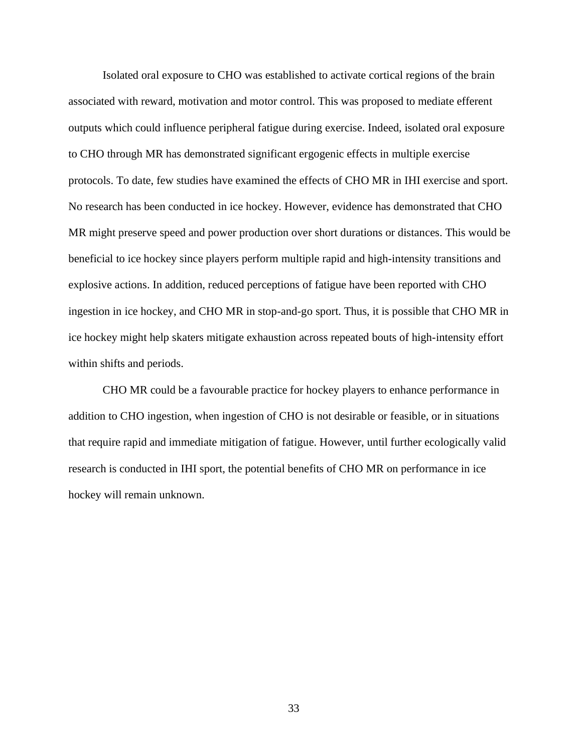Isolated oral exposure to CHO was established to activate cortical regions of the brain associated with reward, motivation and motor control. This was proposed to mediate efferent outputs which could influence peripheral fatigue during exercise. Indeed, isolated oral exposure to CHO through MR has demonstrated significant ergogenic effects in multiple exercise protocols. To date, few studies have examined the effects of CHO MR in IHI exercise and sport. No research has been conducted in ice hockey. However, evidence has demonstrated that CHO MR might preserve speed and power production over short durations or distances. This would be beneficial to ice hockey since players perform multiple rapid and high-intensity transitions and explosive actions. In addition, reduced perceptions of fatigue have been reported with CHO ingestion in ice hockey, and CHO MR in stop-and-go sport. Thus, it is possible that CHO MR in ice hockey might help skaters mitigate exhaustion across repeated bouts of high-intensity effort within shifts and periods.

CHO MR could be a favourable practice for hockey players to enhance performance in addition to CHO ingestion, when ingestion of CHO is not desirable or feasible, or in situations that require rapid and immediate mitigation of fatigue. However, until further ecologically valid research is conducted in IHI sport, the potential benefits of CHO MR on performance in ice hockey will remain unknown.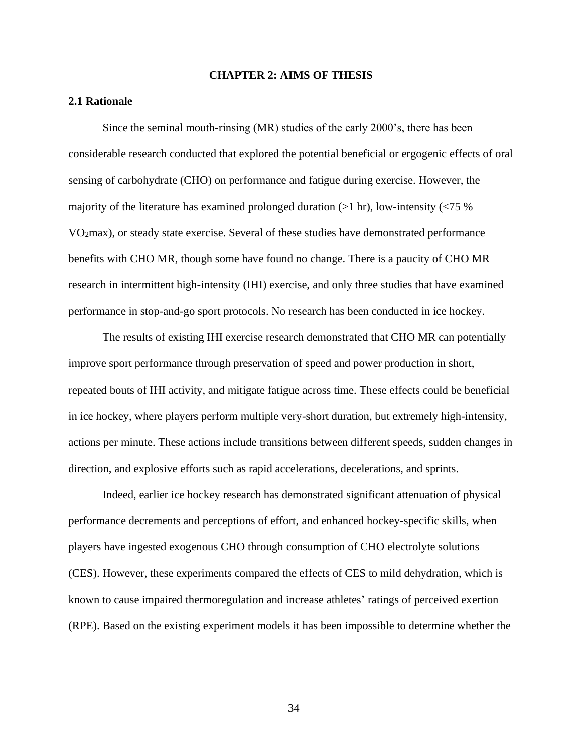### **CHAPTER 2: AIMS OF THESIS**

## **2.1 Rationale**

Since the seminal mouth-rinsing (MR) studies of the early 2000's, there has been considerable research conducted that explored the potential beneficial or ergogenic effects of oral sensing of carbohydrate (CHO) on performance and fatigue during exercise. However, the majority of the literature has examined prolonged duration  $(>1 \text{ hr})$ , low-intensity  $(< 75 \%$ VO2max), or steady state exercise. Several of these studies have demonstrated performance benefits with CHO MR, though some have found no change. There is a paucity of CHO MR research in intermittent high-intensity (IHI) exercise, and only three studies that have examined performance in stop-and-go sport protocols. No research has been conducted in ice hockey.

The results of existing IHI exercise research demonstrated that CHO MR can potentially improve sport performance through preservation of speed and power production in short, repeated bouts of IHI activity, and mitigate fatigue across time. These effects could be beneficial in ice hockey, where players perform multiple very-short duration, but extremely high-intensity, actions per minute. These actions include transitions between different speeds, sudden changes in direction, and explosive efforts such as rapid accelerations, decelerations, and sprints.

Indeed, earlier ice hockey research has demonstrated significant attenuation of physical performance decrements and perceptions of effort, and enhanced hockey-specific skills, when players have ingested exogenous CHO through consumption of CHO electrolyte solutions (CES). However, these experiments compared the effects of CES to mild dehydration, which is known to cause impaired thermoregulation and increase athletes' ratings of perceived exertion (RPE). Based on the existing experiment models it has been impossible to determine whether the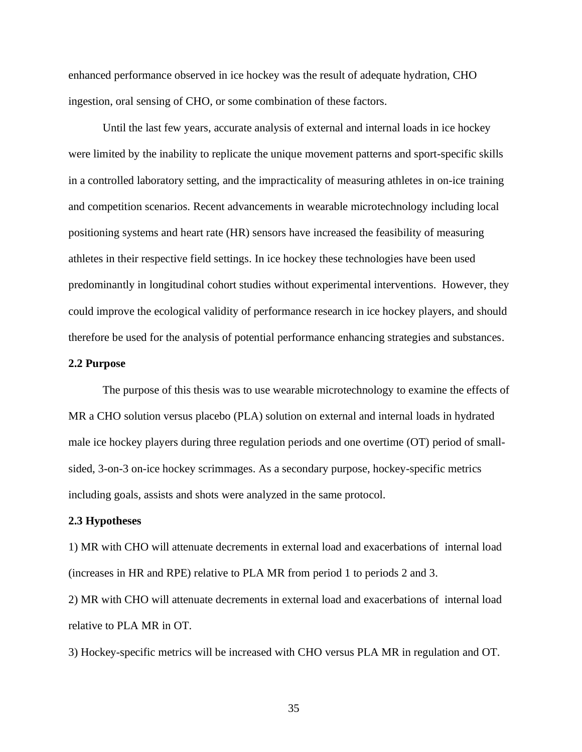enhanced performance observed in ice hockey was the result of adequate hydration, CHO ingestion, oral sensing of CHO, or some combination of these factors.

Until the last few years, accurate analysis of external and internal loads in ice hockey were limited by the inability to replicate the unique movement patterns and sport-specific skills in a controlled laboratory setting, and the impracticality of measuring athletes in on-ice training and competition scenarios. Recent advancements in wearable microtechnology including local positioning systems and heart rate (HR) sensors have increased the feasibility of measuring athletes in their respective field settings. In ice hockey these technologies have been used predominantly in longitudinal cohort studies without experimental interventions. However, they could improve the ecological validity of performance research in ice hockey players, and should therefore be used for the analysis of potential performance enhancing strategies and substances.

#### **2.2 Purpose**

The purpose of this thesis was to use wearable microtechnology to examine the effects of MR a CHO solution versus placebo (PLA) solution on external and internal loads in hydrated male ice hockey players during three regulation periods and one overtime (OT) period of smallsided, 3-on-3 on-ice hockey scrimmages. As a secondary purpose, hockey-specific metrics including goals, assists and shots were analyzed in the same protocol.

### **2.3 Hypotheses**

1) MR with CHO will attenuate decrements in external load and exacerbations of internal load (increases in HR and RPE) relative to PLA MR from period 1 to periods 2 and 3.

2) MR with CHO will attenuate decrements in external load and exacerbations of internal load relative to PLA MR in OT.

3) Hockey-specific metrics will be increased with CHO versus PLA MR in regulation and OT.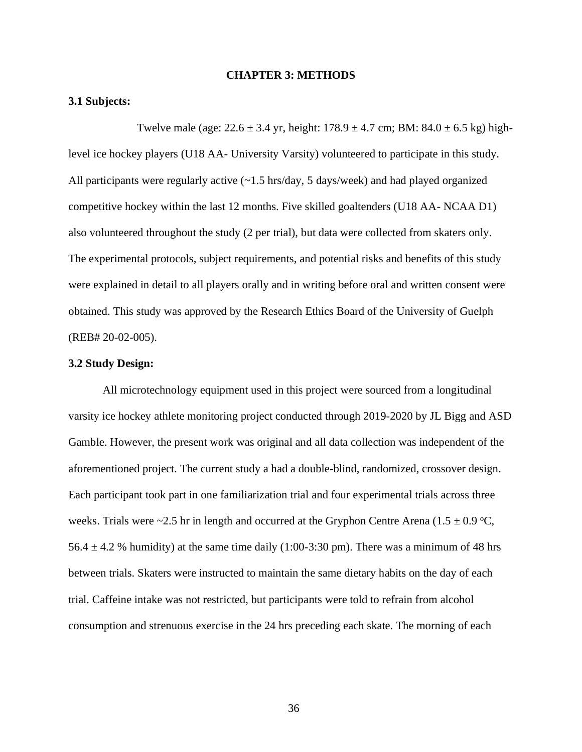#### **CHAPTER 3: METHODS**

### **3.1 Subjects:**

Twelve male (age:  $22.6 \pm 3.4$  yr, height:  $178.9 \pm 4.7$  cm; BM:  $84.0 \pm 6.5$  kg) highlevel ice hockey players (U18 AA- University Varsity) volunteered to participate in this study. All participants were regularly active  $(-1.5 \text{ hrs/day}, 5 \text{ days/week})$  and had played organized competitive hockey within the last 12 months. Five skilled goaltenders (U18 AA- NCAA D1) also volunteered throughout the study (2 per trial), but data were collected from skaters only. The experimental protocols, subject requirements, and potential risks and benefits of this study were explained in detail to all players orally and in writing before oral and written consent were obtained. This study was approved by the Research Ethics Board of the University of Guelph (REB# 20-02-005).

### **3.2 Study Design:**

All microtechnology equipment used in this project were sourced from a longitudinal varsity ice hockey athlete monitoring project conducted through 2019-2020 by JL Bigg and ASD Gamble. However, the present work was original and all data collection was independent of the aforementioned project. The current study a had a double-blind, randomized, crossover design. Each participant took part in one familiarization trial and four experimental trials across three weeks. Trials were ~2.5 hr in length and occurred at the Gryphon Centre Arena (1.5  $\pm$  0.9 °C, 56.4  $\pm$  4.2 % humidity) at the same time daily (1:00-3:30 pm). There was a minimum of 48 hrs between trials. Skaters were instructed to maintain the same dietary habits on the day of each trial. Caffeine intake was not restricted, but participants were told to refrain from alcohol consumption and strenuous exercise in the 24 hrs preceding each skate. The morning of each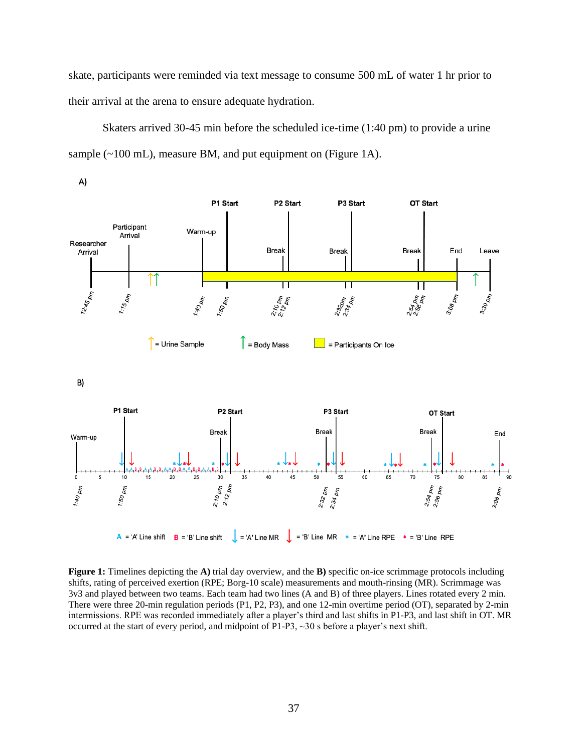skate, participants were reminded via text message to consume 500 mL of water 1 hr prior to their arrival at the arena to ensure adequate hydration.

Skaters arrived 30-45 min before the scheduled ice-time (1:40 pm) to provide a urine sample (~100 mL), measure BM, and put equipment on (Figure 1A).



**Figure 1:** Timelines depicting the **A)** trial day overview, and the **B)** specific on-ice scrimmage protocols including shifts, rating of perceived exertion (RPE; Borg-10 scale) measurements and mouth-rinsing (MR). Scrimmage was 3v3 and played between two teams. Each team had two lines (A and B) of three players. Lines rotated every 2 min. There were three 20-min regulation periods (P1, P2, P3), and one 12-min overtime period (OT), separated by 2-min intermissions. RPE was recorded immediately after a player's third and last shifts in P1-P3, and last shift in OT. MR occurred at the start of every period, and midpoint of P1-P3, ~30 s before a player's next shift.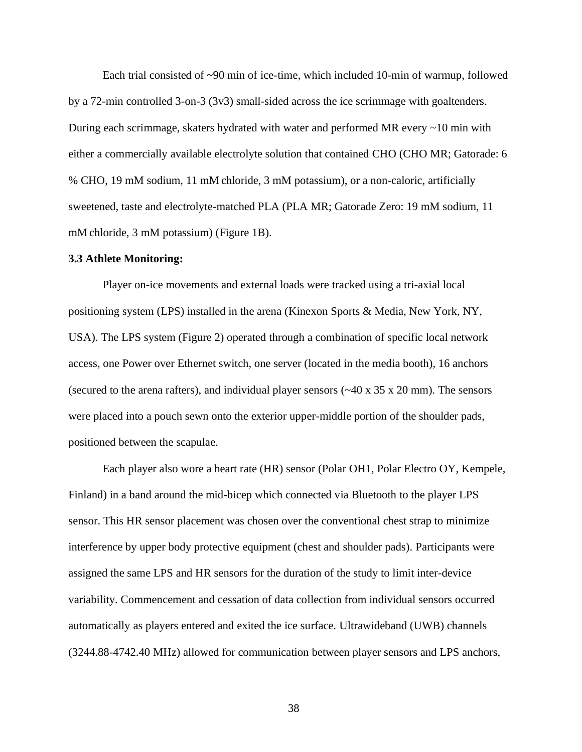Each trial consisted of  $\sim 90$  min of ice-time, which included 10-min of warmup, followed by a 72-min controlled 3-on-3 (3v3) small-sided across the ice scrimmage with goaltenders. During each scrimmage, skaters hydrated with water and performed MR every ~10 min with either a commercially available electrolyte solution that contained CHO (CHO MR; Gatorade: 6 % CHO, 19 mM sodium, 11 mM chloride, 3 mM potassium), or a non-caloric, artificially sweetened, taste and electrolyte-matched PLA (PLA MR; Gatorade Zero: 19 mM sodium, 11 mM chloride, 3 mM potassium) (Figure 1B).

### **3.3 Athlete Monitoring:**

Player on-ice movements and external loads were tracked using a tri-axial local positioning system (LPS) installed in the arena (Kinexon Sports & Media, New York, NY, USA). The LPS system (Figure 2) operated through a combination of specific local network access, one Power over Ethernet switch, one server (located in the media booth), 16 anchors (secured to the arena rafters), and individual player sensors (~40 x 35 x 20 mm). The sensors were placed into a pouch sewn onto the exterior upper-middle portion of the shoulder pads, positioned between the scapulae.

Each player also wore a heart rate (HR) sensor (Polar OH1, Polar Electro OY, Kempele, Finland) in a band around the mid-bicep which connected via Bluetooth to the player LPS sensor. This HR sensor placement was chosen over the conventional chest strap to minimize interference by upper body protective equipment (chest and shoulder pads). Participants were assigned the same LPS and HR sensors for the duration of the study to limit inter-device variability. Commencement and cessation of data collection from individual sensors occurred automatically as players entered and exited the ice surface. Ultrawideband (UWB) channels (3244.88-4742.40 MHz) allowed for communication between player sensors and LPS anchors,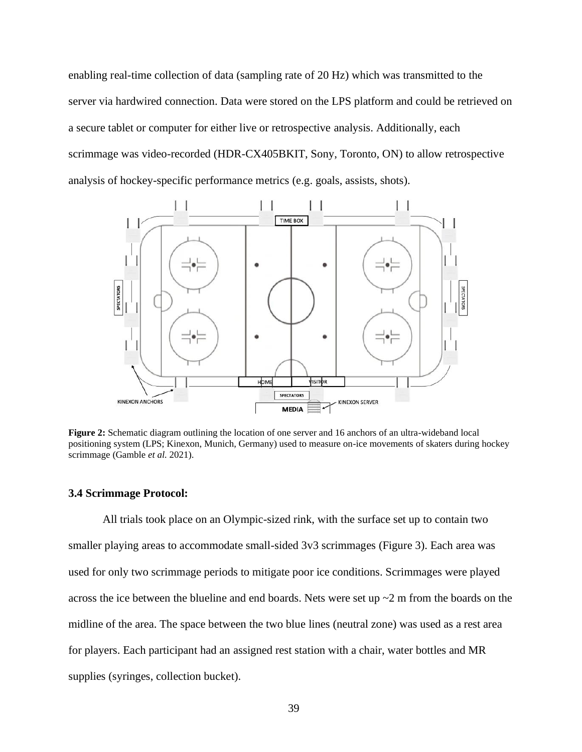enabling real-time collection of data (sampling rate of 20 Hz) which was transmitted to the server via hardwired connection. Data were stored on the LPS platform and could be retrieved on a secure tablet or computer for either live or retrospective analysis. Additionally, each scrimmage was video-recorded (HDR-CX405BKIT, Sony, Toronto, ON) to allow retrospective analysis of hockey-specific performance metrics (e.g. goals, assists, shots).



**Figure 2:** Schematic diagram outlining the location of one server and 16 anchors of an ultra-wideband local positioning system (LPS; Kinexon, Munich, Germany) used to measure on-ice movements of skaters during hockey scrimmage (Gamble *et al.* 2021).

#### **3.4 Scrimmage Protocol:**

All trials took place on an Olympic-sized rink, with the surface set up to contain two smaller playing areas to accommodate small-sided 3v3 scrimmages (Figure 3). Each area was used for only two scrimmage periods to mitigate poor ice conditions. Scrimmages were played across the ice between the blueline and end boards. Nets were set up  $\sim$  2 m from the boards on the midline of the area. The space between the two blue lines (neutral zone) was used as a rest area for players. Each participant had an assigned rest station with a chair, water bottles and MR supplies (syringes, collection bucket).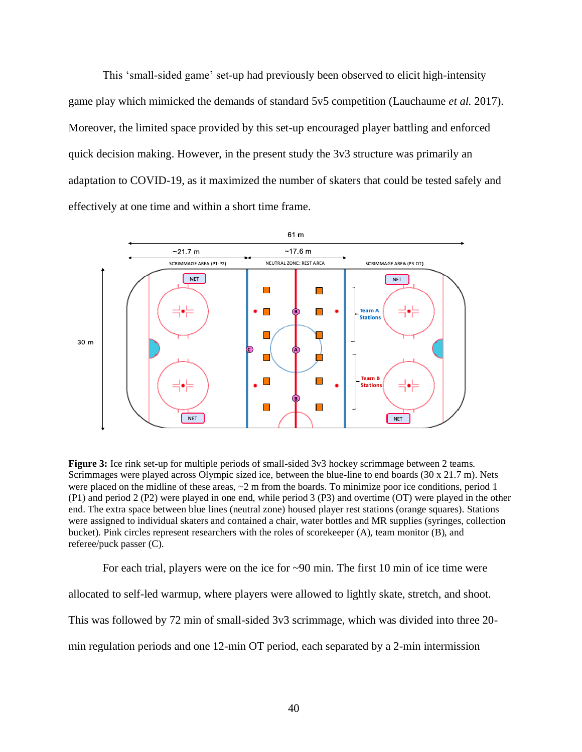This 'small-sided game' set-up had previously been observed to elicit high-intensity game play which mimicked the demands of standard 5v5 competition (Lauchaume *et al.* 2017). Moreover, the limited space provided by this set-up encouraged player battling and enforced quick decision making. However, in the present study the 3v3 structure was primarily an adaptation to COVID-19, as it maximized the number of skaters that could be tested safely and effectively at one time and within a short time frame.



**Figure 3:** Ice rink set-up for multiple periods of small-sided 3v3 hockey scrimmage between 2 teams. Scrimmages were played across Olympic sized ice, between the blue-line to end boards (30 x 21.7 m). Nets were placed on the midline of these areas,  $\sim$  2 m from the boards. To minimize poor ice conditions, period 1 (P1) and period 2 (P2) were played in one end, while period 3 (P3) and overtime (OT) were played in the other end. The extra space between blue lines (neutral zone) housed player rest stations (orange squares). Stations were assigned to individual skaters and contained a chair, water bottles and MR supplies (syringes, collection bucket). Pink circles represent researchers with the roles of scorekeeper (A), team monitor (B), and referee/puck passer (C).

For each trial, players were on the ice for ~90 min. The first 10 min of ice time were allocated to self-led warmup, where players were allowed to lightly skate, stretch, and shoot. This was followed by 72 min of small-sided 3v3 scrimmage, which was divided into three 20 min regulation periods and one 12-min OT period, each separated by a 2-min intermission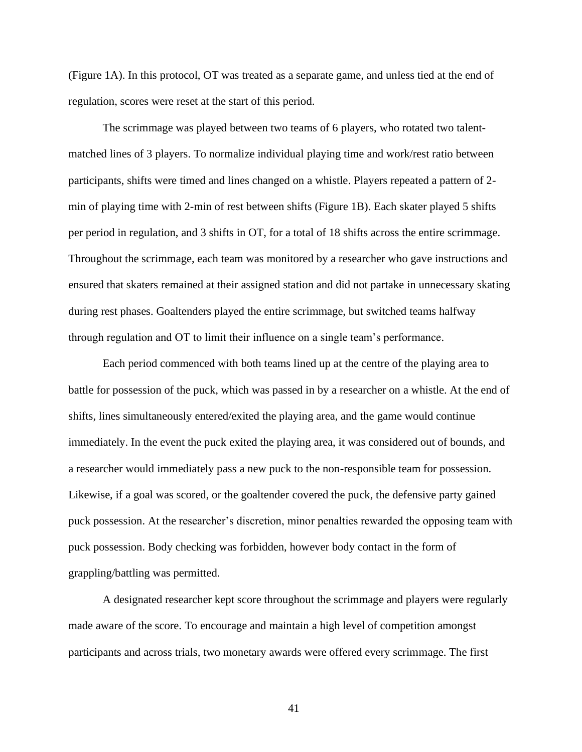(Figure 1A). In this protocol, OT was treated as a separate game, and unless tied at the end of regulation, scores were reset at the start of this period.

The scrimmage was played between two teams of 6 players, who rotated two talentmatched lines of 3 players. To normalize individual playing time and work/rest ratio between participants, shifts were timed and lines changed on a whistle. Players repeated a pattern of 2 min of playing time with 2-min of rest between shifts (Figure 1B). Each skater played 5 shifts per period in regulation, and 3 shifts in OT, for a total of 18 shifts across the entire scrimmage. Throughout the scrimmage, each team was monitored by a researcher who gave instructions and ensured that skaters remained at their assigned station and did not partake in unnecessary skating during rest phases. Goaltenders played the entire scrimmage, but switched teams halfway through regulation and OT to limit their influence on a single team's performance.

Each period commenced with both teams lined up at the centre of the playing area to battle for possession of the puck, which was passed in by a researcher on a whistle. At the end of shifts, lines simultaneously entered/exited the playing area, and the game would continue immediately. In the event the puck exited the playing area, it was considered out of bounds, and a researcher would immediately pass a new puck to the non-responsible team for possession. Likewise, if a goal was scored, or the goaltender covered the puck, the defensive party gained puck possession. At the researcher's discretion, minor penalties rewarded the opposing team with puck possession. Body checking was forbidden, however body contact in the form of grappling/battling was permitted.

A designated researcher kept score throughout the scrimmage and players were regularly made aware of the score. To encourage and maintain a high level of competition amongst participants and across trials, two monetary awards were offered every scrimmage. The first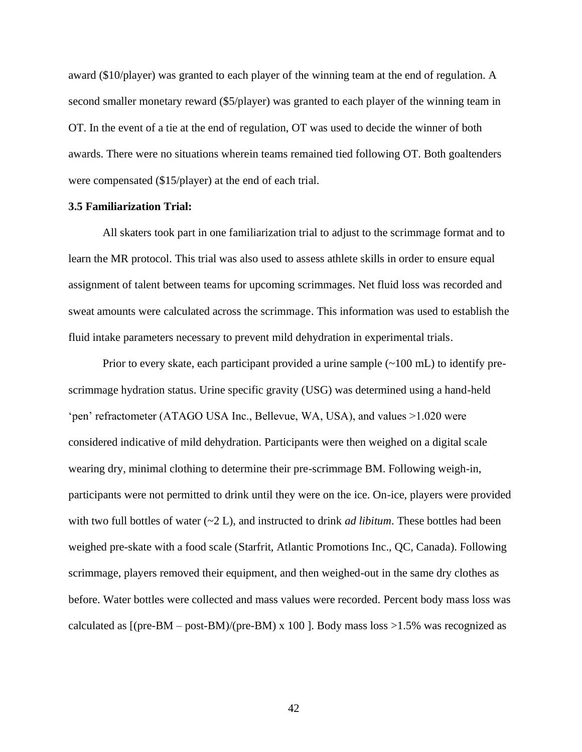award (\$10/player) was granted to each player of the winning team at the end of regulation. A second smaller monetary reward (\$5/player) was granted to each player of the winning team in OT. In the event of a tie at the end of regulation, OT was used to decide the winner of both awards. There were no situations wherein teams remained tied following OT. Both goaltenders were compensated (\$15/player) at the end of each trial.

### **3.5 Familiarization Trial:**

All skaters took part in one familiarization trial to adjust to the scrimmage format and to learn the MR protocol. This trial was also used to assess athlete skills in order to ensure equal assignment of talent between teams for upcoming scrimmages. Net fluid loss was recorded and sweat amounts were calculated across the scrimmage. This information was used to establish the fluid intake parameters necessary to prevent mild dehydration in experimental trials.

Prior to every skate, each participant provided a urine sample  $(\sim 100 \text{ mL})$  to identify prescrimmage hydration status. Urine specific gravity (USG) was determined using a hand-held 'pen' refractometer (ATAGO USA Inc., Bellevue, WA, USA), and values >1.020 were considered indicative of mild dehydration. Participants were then weighed on a digital scale wearing dry, minimal clothing to determine their pre-scrimmage BM. Following weigh-in, participants were not permitted to drink until they were on the ice. On-ice, players were provided with two full bottles of water (~2 L), and instructed to drink *ad libitum*. These bottles had been weighed pre-skate with a food scale (Starfrit, Atlantic Promotions Inc., QC, Canada). Following scrimmage, players removed their equipment, and then weighed-out in the same dry clothes as before. Water bottles were collected and mass values were recorded. Percent body mass loss was calculated as  $[(pre-BM - post-BM)/(pre-BM) \times 100]$ . Body mass loss >1.5% was recognized as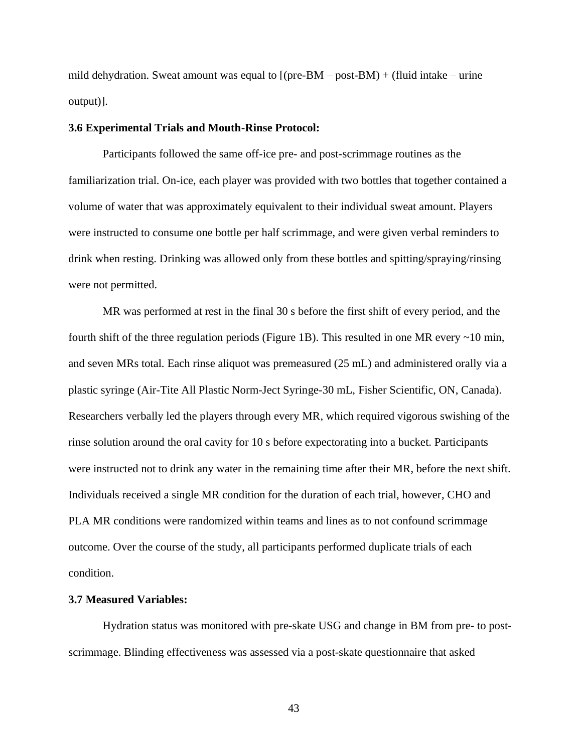mild dehydration. Sweat amount was equal to  $[(pre-BM - post-BM) + (fluid intake - urine$ output)].

#### **3.6 Experimental Trials and Mouth-Rinse Protocol:**

Participants followed the same off-ice pre- and post-scrimmage routines as the familiarization trial. On-ice, each player was provided with two bottles that together contained a volume of water that was approximately equivalent to their individual sweat amount. Players were instructed to consume one bottle per half scrimmage, and were given verbal reminders to drink when resting. Drinking was allowed only from these bottles and spitting/spraying/rinsing were not permitted.

MR was performed at rest in the final 30 s before the first shift of every period, and the fourth shift of the three regulation periods (Figure 1B). This resulted in one MR every ~10 min, and seven MRs total. Each rinse aliquot was premeasured (25 mL) and administered orally via a plastic syringe (Air-Tite All Plastic Norm-Ject Syringe-30 mL, Fisher Scientific, ON, Canada). Researchers verbally led the players through every MR, which required vigorous swishing of the rinse solution around the oral cavity for 10 s before expectorating into a bucket. Participants were instructed not to drink any water in the remaining time after their MR, before the next shift. Individuals received a single MR condition for the duration of each trial, however, CHO and PLA MR conditions were randomized within teams and lines as to not confound scrimmage outcome. Over the course of the study, all participants performed duplicate trials of each condition.

### **3.7 Measured Variables:**

Hydration status was monitored with pre-skate USG and change in BM from pre- to postscrimmage. Blinding effectiveness was assessed via a post-skate questionnaire that asked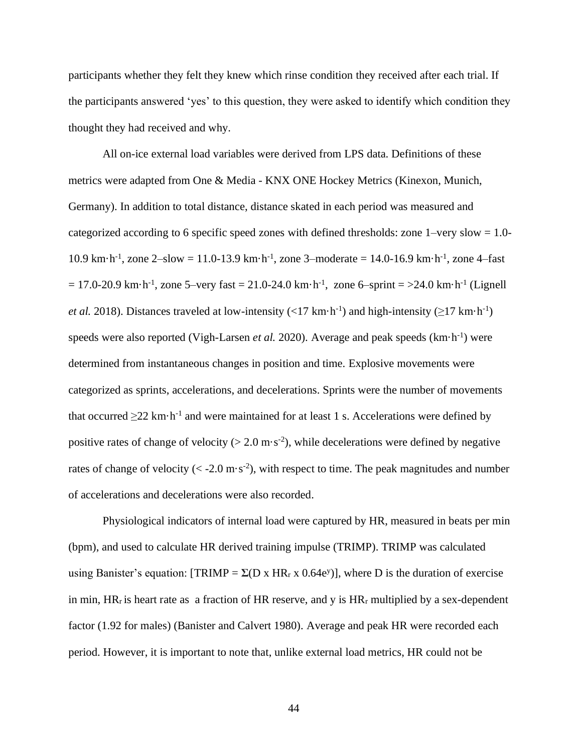participants whether they felt they knew which rinse condition they received after each trial. If the participants answered 'yes' to this question, they were asked to identify which condition they thought they had received and why.

All on-ice external load variables were derived from LPS data. Definitions of these metrics were adapted from One & Media - KNX ONE Hockey Metrics (Kinexon, Munich, Germany). In addition to total distance, distance skated in each period was measured and categorized according to 6 specific speed zones with defined thresholds: zone 1–very slow = 1.0- 10.9 km·h<sup>-1</sup>, zone 2-slow = 11.0-13.9 km·h<sup>-1</sup>, zone 3-moderate = 14.0-16.9 km·h<sup>-1</sup>, zone 4-fast  $= 17.0 - 20.9$  km·h<sup>-1</sup>, zone 5–very fast = 21.0-24.0 km·h<sup>-1</sup>, zone 6–sprint = >24.0 km·h<sup>-1</sup> (Lignell *et al.* 2018). Distances traveled at low-intensity (<17 km·h<sup>-1</sup>) and high-intensity ( $\geq$ 17 km·h<sup>-1</sup>) speeds were also reported (Vigh-Larsen *et al.* 2020). Average and peak speeds (km·h<sup>-1</sup>) were determined from instantaneous changes in position and time. Explosive movements were categorized as sprints, accelerations, and decelerations. Sprints were the number of movements that occurred  $\geq$ 22 km·h<sup>-1</sup> and were maintained for at least 1 s. Accelerations were defined by positive rates of change of velocity ( $> 2.0$  m·s<sup>-2</sup>), while decelerations were defined by negative rates of change of velocity ( $\langle$  -2.0 m·s<sup>-2</sup>), with respect to time. The peak magnitudes and number of accelerations and decelerations were also recorded.

Physiological indicators of internal load were captured by HR, measured in beats per min (bpm), and used to calculate HR derived training impulse (TRIMP). TRIMP was calculated using Banister's equation: [TRIMP =  $\Sigma(D \times HR_r \times 0.64e^y)$ ], where D is the duration of exercise in min,  $HR_r$  is heart rate as a fraction of HR reserve, and y is  $HR_r$  multiplied by a sex-dependent factor (1.92 for males) (Banister and Calvert 1980). Average and peak HR were recorded each period. However, it is important to note that, unlike external load metrics, HR could not be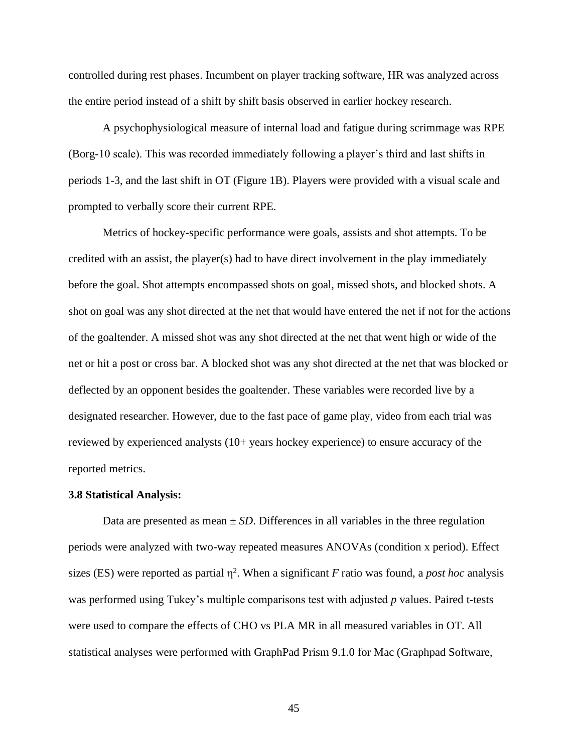controlled during rest phases. Incumbent on player tracking software, HR was analyzed across the entire period instead of a shift by shift basis observed in earlier hockey research.

A psychophysiological measure of internal load and fatigue during scrimmage was RPE (Borg-10 scale). This was recorded immediately following a player's third and last shifts in periods 1-3, and the last shift in OT (Figure 1B). Players were provided with a visual scale and prompted to verbally score their current RPE.

Metrics of hockey-specific performance were goals, assists and shot attempts. To be credited with an assist, the player(s) had to have direct involvement in the play immediately before the goal. Shot attempts encompassed shots on goal, missed shots, and blocked shots. A shot on goal was any shot directed at the net that would have entered the net if not for the actions of the goaltender. A missed shot was any shot directed at the net that went high or wide of the net or hit a post or cross bar. A blocked shot was any shot directed at the net that was blocked or deflected by an opponent besides the goaltender. These variables were recorded live by a designated researcher. However, due to the fast pace of game play, video from each trial was reviewed by experienced analysts (10+ years hockey experience) to ensure accuracy of the reported metrics.

#### **3.8 Statistical Analysis:**

Data are presented as mean  $\pm SD$ . Differences in all variables in the three regulation periods were analyzed with two-way repeated measures ANOVAs (condition x period). Effect sizes (ES) were reported as partial  $\eta^2$ . When a significant *F* ratio was found, a *post hoc* analysis was performed using Tukey's multiple comparisons test with adjusted *p* values. Paired t-tests were used to compare the effects of CHO vs PLA MR in all measured variables in OT. All statistical analyses were performed with GraphPad Prism 9.1.0 for Mac (Graphpad Software,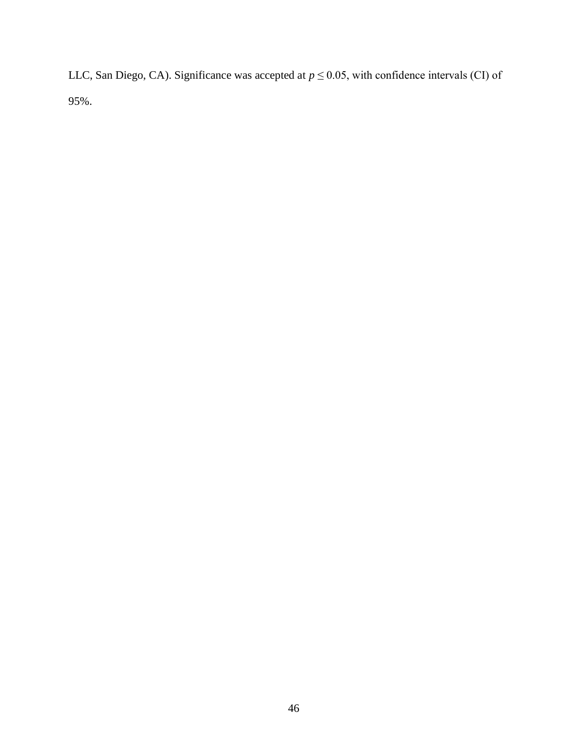LLC, San Diego, CA). Significance was accepted at  $p \le 0.05$ , with confidence intervals (CI) of 95%.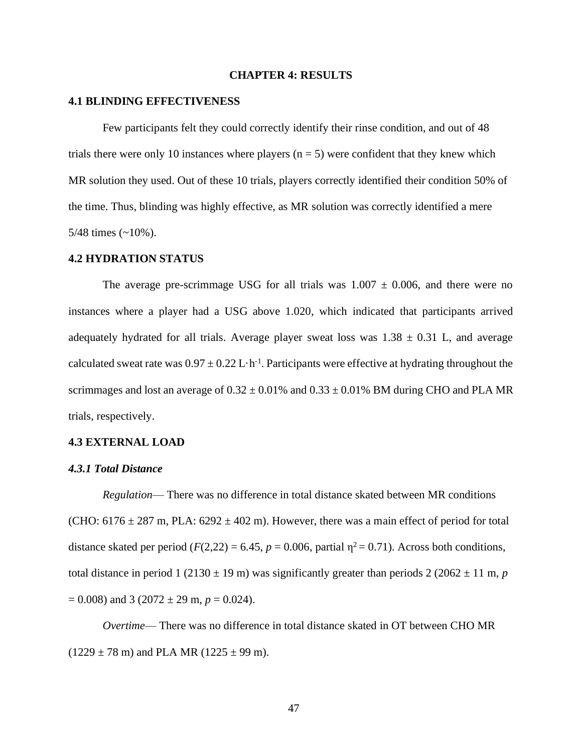#### **CHAPTER 4: RESULTS**

#### **4.1 BLINDING EFFECTIVENESS**

Few participants felt they could correctly identify their rinse condition, and out of 48 trials there were only 10 instances where players  $(n = 5)$  were confident that they knew which MR solution they used. Out of these 10 trials, players correctly identified their condition 50% of the time. Thus, blinding was highly effective, as MR solution was correctly identified a mere 5/48 times  $(-10\%)$ .

#### **4.2 HYDRATION STATUS**

The average pre-scrimmage USG for all trials was  $1.007 \pm 0.006$ , and there were no instances where a player had a USG above 1.020, which indicated that participants arrived adequately hydrated for all trials. Average player sweat loss was  $1.38 \pm 0.31$  L, and average calculated sweat rate was  $0.97 \pm 0.22$  L $\cdot$ h<sup>-1</sup>. Participants were effective at hydrating throughout the scrimmages and lost an average of  $0.32 \pm 0.01\%$  and  $0.33 \pm 0.01\%$  BM during CHO and PLA MR trials, respectively.

#### **4.3 EXTERNAL LOAD**

#### *4.3.1 Total Distance*

*Regulation*— There was no difference in total distance skated between MR conditions (CHO:  $6176 \pm 287$  m, PLA:  $6292 \pm 402$  m). However, there was a main effect of period for total distance skated per period  $(F(2,22) = 6.45, p = 0.006,$  partial  $\eta^2 = 0.71$ ). Across both conditions, total distance in period 1 (2130  $\pm$  19 m) was significantly greater than periods 2 (2062  $\pm$  11 m, *p*  $= 0.008$ ) and 3 (2072  $\pm$  29 m,  $p = 0.024$ ).

*Overtime*— There was no difference in total distance skated in OT between CHO MR  $(1229 \pm 78 \text{ m})$  and PLA MR  $(1225 \pm 99 \text{ m})$ .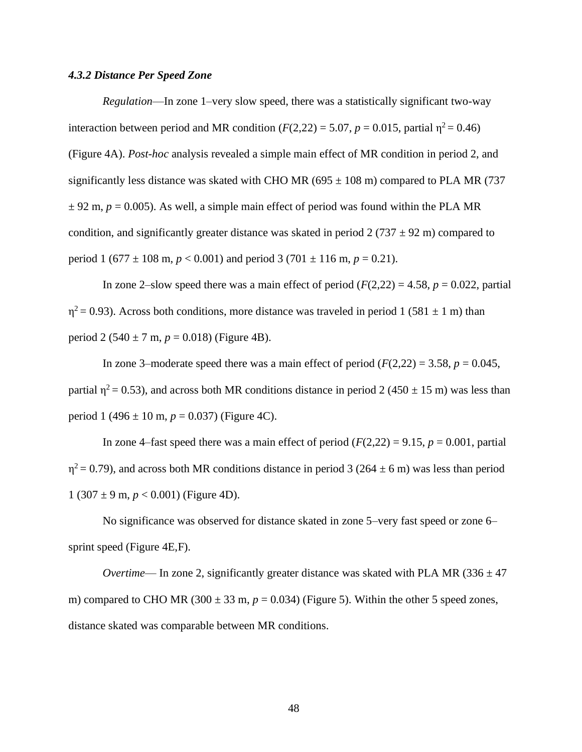### *4.3.2 Distance Per Speed Zone*

*Regulation*—In zone 1–very slow speed, there was a statistically significant two-way interaction between period and MR condition ( $F(2,22) = 5.07$ ,  $p = 0.015$ , partial  $\eta^2 = 0.46$ ) (Figure 4A). *Post-hoc* analysis revealed a simple main effect of MR condition in period 2, and significantly less distance was skated with CHO MR (695  $\pm$  108 m) compared to PLA MR (737  $\pm$  92 m,  $p = 0.005$ ). As well, a simple main effect of period was found within the PLA MR condition, and significantly greater distance was skated in period 2 (737  $\pm$  92 m) compared to period 1 (677  $\pm$  108 m,  $p < 0.001$ ) and period 3 (701  $\pm$  116 m,  $p = 0.21$ ).

In zone 2–slow speed there was a main effect of period  $(F(2,22) = 4.58, p = 0.022,$  partial  $\eta^2$  = 0.93). Across both conditions, more distance was traveled in period 1 (581  $\pm$  1 m) than period 2 (540  $\pm$  7 m,  $p = 0.018$ ) (Figure 4B).

In zone 3–moderate speed there was a main effect of period  $(F(2,22) = 3.58, p = 0.045,$ partial  $\eta^2$  = 0.53), and across both MR conditions distance in period 2 (450  $\pm$  15 m) was less than period 1 (496  $\pm$  10 m,  $p = 0.037$ ) (Figure 4C).

In zone 4–fast speed there was a main effect of period  $(F(2,22) = 9.15, p = 0.001,$  partial  $\eta^2$  = 0.79), and across both MR conditions distance in period 3 (264  $\pm$  6 m) was less than period 1 (307  $\pm$  9 m,  $p < 0.001$ ) (Figure 4D).

No significance was observed for distance skated in zone 5–very fast speed or zone 6– sprint speed (Figure 4E,F).

*Overtime*— In zone 2, significantly greater distance was skated with PLA MR (336  $\pm$  47 m) compared to CHO MR (300  $\pm$  33 m,  $p = 0.034$ ) (Figure 5). Within the other 5 speed zones, distance skated was comparable between MR conditions.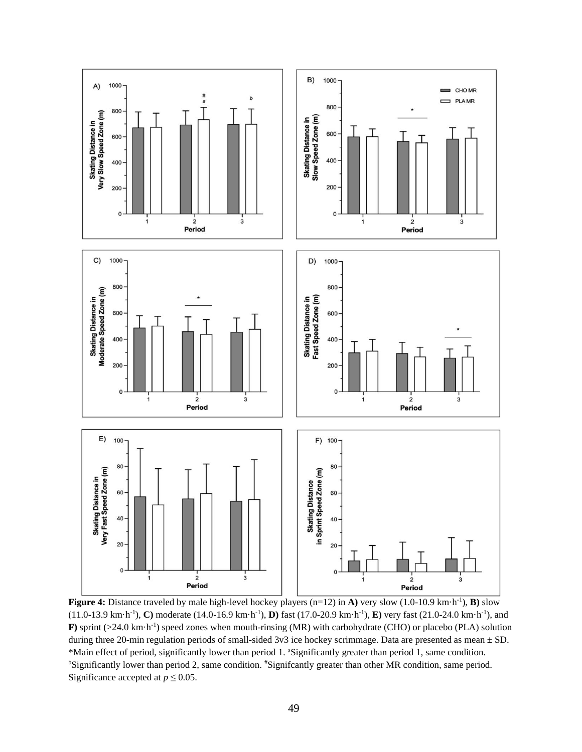

**Figure 4:** Distance traveled by male high-level hockey players (n=12) in **A)** very slow (1.0-10.9 km·h-1 ), **B)** slow (11.0-13.9 km·h-1 ), **C)** moderate (14.0-16.9 km·h-1 ), **D)** fast (17.0-20.9 km·h-1 ), **E)** very fast (21.0-24.0 km·h-1 ), and **F**) sprint  $(>24.0 \text{ km} \cdot \text{h}^{-1})$  speed zones when mouth-rinsing (MR) with carbohydrate (CHO) or placebo (PLA) solution during three 20-min regulation periods of small-sided 3v3 ice hockey scrimmage. Data are presented as mean  $\pm$  SD. \*Main effect of period, significantly lower than period 1. <sup>a</sup>Significantly greater than period 1, same condition. <sup>b</sup>Significantly lower than period 2, same condition. #Signifcantly greater than other MR condition, same period. Significance accepted at  $p \le 0.05$ .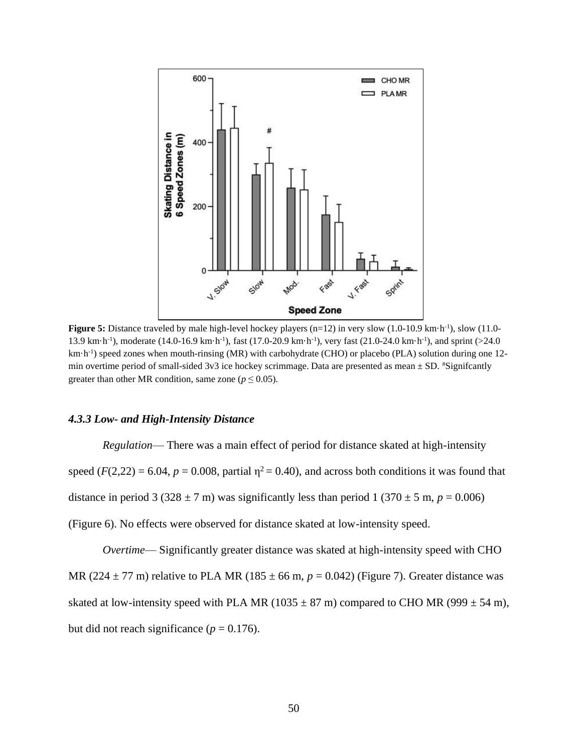

**Figure 5:** Distance traveled by male high-level hockey players  $(n=12)$  in very slow  $(1.0-10.9 \text{ km} \cdot \text{h}^{-1})$ , slow  $(11.0-10.9 \text{ km} \cdot \text{h}^{-1})$ 13.9 km·h<sup>-1</sup>), moderate (14.0-16.9 km·h<sup>-1</sup>), fast (17.0-20.9 km·h<sup>-1</sup>), very fast (21.0-24.0 km·h<sup>-1</sup>), and sprint (>24.0 km·h<sup>-1</sup>) speed zones when mouth-rinsing (MR) with carbohydrate (CHO) or placebo (PLA) solution during one 12min overtime period of small-sided 3v3 ice hockey scrimmage. Data are presented as mean  $\pm$  SD. \*Significantly greater than other MR condition, same zone ( $p \le 0.05$ ).

### *4.3.3 Low- and High-Intensity Distance*

*Regulation*— There was a main effect of period for distance skated at high-intensity speed  $(F(2,22) = 6.04, p = 0.008$ , partial  $\eta^2 = 0.40$ ), and across both conditions it was found that distance in period 3 (328  $\pm$  7 m) was significantly less than period 1 (370  $\pm$  5 m, *p* = 0.006) (Figure 6). No effects were observed for distance skated at low-intensity speed.

*Overtime*— Significantly greater distance was skated at high-intensity speed with CHO MR (224  $\pm$  77 m) relative to PLA MR (185  $\pm$  66 m,  $p = 0.042$ ) (Figure 7). Greater distance was skated at low-intensity speed with PLA MR (1035  $\pm$  87 m) compared to CHO MR (999  $\pm$  54 m), but did not reach significance ( $p = 0.176$ ).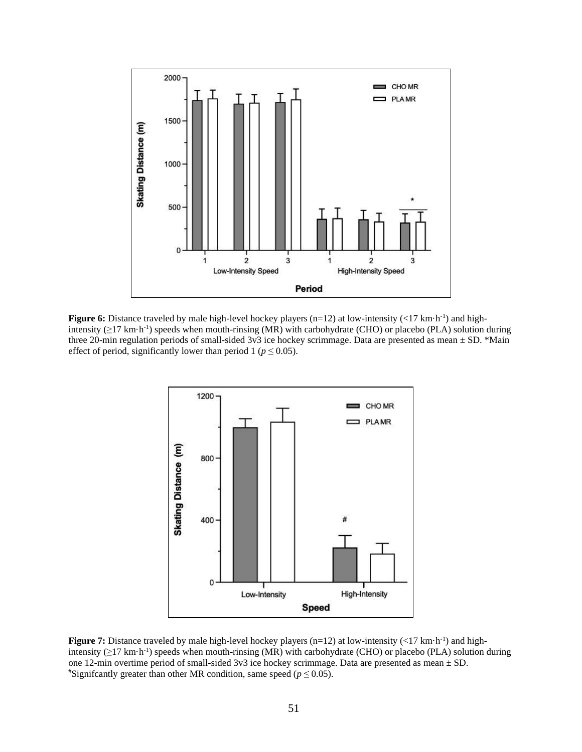

Figure 6: Distance traveled by male high-level hockey players (n=12) at low-intensity (<17 km·h<sup>-1</sup>) and highintensity  $(\geq 17 \text{ km} \cdot \text{h}^{-1})$  speeds when mouth-rinsing (MR) with carbohydrate (CHO) or placebo (PLA) solution during three 20-min regulation periods of small-sided 3v3 ice hockey scrimmage. Data are presented as mean  $\pm$  SD. \*Main effect of period, significantly lower than period 1 ( $p \le 0.05$ ).



**Figure 7:** Distance traveled by male high-level hockey players ( $n=12$ ) at low-intensity (<17 km·h<sup>-1</sup>) and highintensity  $(\geq 17 \text{ km} \cdot \text{h}^{-1})$  speeds when mouth-rinsing (MR) with carbohydrate (CHO) or placebo (PLA) solution during one 12-min overtime period of small-sided 3v3 ice hockey scrimmage. Data are presented as mean ± SD. <sup>#</sup>Signifcantly greater than other MR condition, same speed ( $p \le 0.05$ ).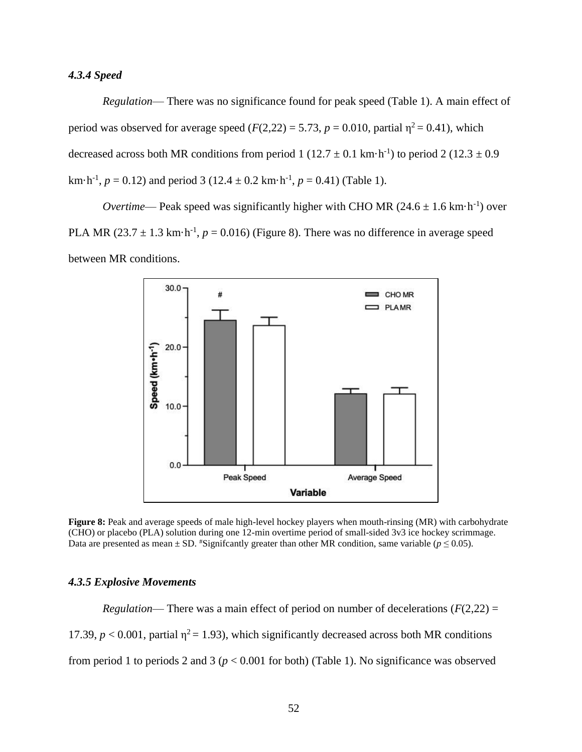## *4.3.4 Speed*

*Regulation*— There was no significance found for peak speed (Table 1). A main effect of period was observed for average speed  $(F(2,22) = 5.73, p = 0.010,$  partial  $\eta^2 = 0.41$ ), which decreased across both MR conditions from period 1 ( $12.7 \pm 0.1$  km·h<sup>-1</sup>) to period 2 ( $12.3 \pm 0.9$ km $\cdot$ h<sup>-1</sup>,  $p = 0.12$ ) and period 3 (12.4  $\pm$  0.2 km $\cdot$ h<sup>-1</sup>,  $p = 0.41$ ) (Table 1).

*Overtime*— Peak speed was significantly higher with CHO MR  $(24.6 \pm 1.6 \text{ km} \cdot \text{h}^{-1})$  over PLA MR  $(23.7 \pm 1.3 \text{ km} \cdot \text{h}^{-1}, p = 0.016)$  (Figure 8). There was no difference in average speed between MR conditions.



**Figure 8:** Peak and average speeds of male high-level hockey players when mouth-rinsing (MR) with carbohydrate (CHO) or placebo (PLA) solution during one 12-min overtime period of small-sided 3v3 ice hockey scrimmage. Data are presented as mean  $\pm$  SD. <sup>#</sup>Signifcantly greater than other MR condition, same variable ( $p \le 0.05$ ).

### *4.3.5 Explosive Movements*

*Regulation*— There was a main effect of period on number of decelerations  $(F(2,22) =$ 17.39,  $p < 0.001$ , partial  $\eta^2 = 1.93$ ), which significantly decreased across both MR conditions from period 1 to periods 2 and 3 (*p* < 0.001 for both) (Table 1). No significance was observed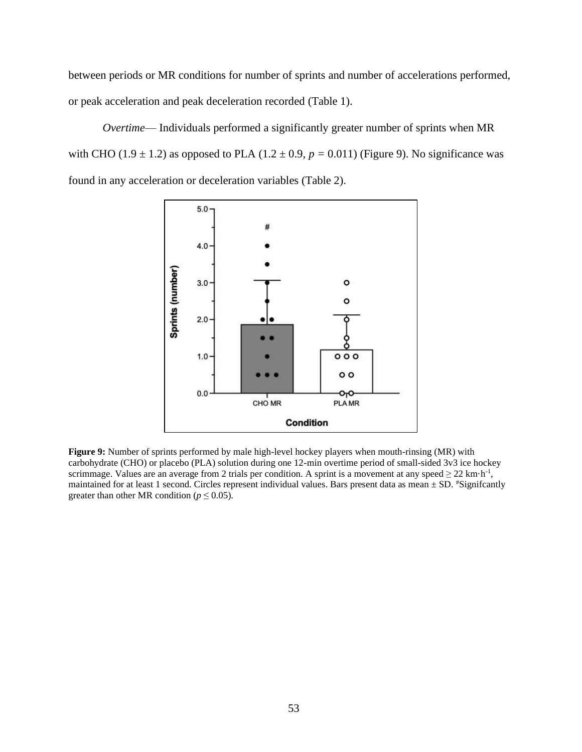between periods or MR conditions for number of sprints and number of accelerations performed, or peak acceleration and peak deceleration recorded (Table 1).

*Overtime*— Individuals performed a significantly greater number of sprints when MR with CHO (1.9  $\pm$  1.2) as opposed to PLA (1.2  $\pm$  0.9, *p* = 0.011) (Figure 9). No significance was found in any acceleration or deceleration variables (Table 2).



**Figure 9:** Number of sprints performed by male high-level hockey players when mouth-rinsing (MR) with carbohydrate (CHO) or placebo (PLA) solution during one 12-min overtime period of small-sided 3v3 ice hockey scrimmage. Values are an average from 2 trials per condition. A sprint is a movement at any speed  $\geq 22$  km·h<sup>-1</sup>, maintained for at least 1 second. Circles represent individual values. Bars present data as mean  $\pm$  SD. #Signifcantly greater than other MR condition ( $p \le 0.05$ ).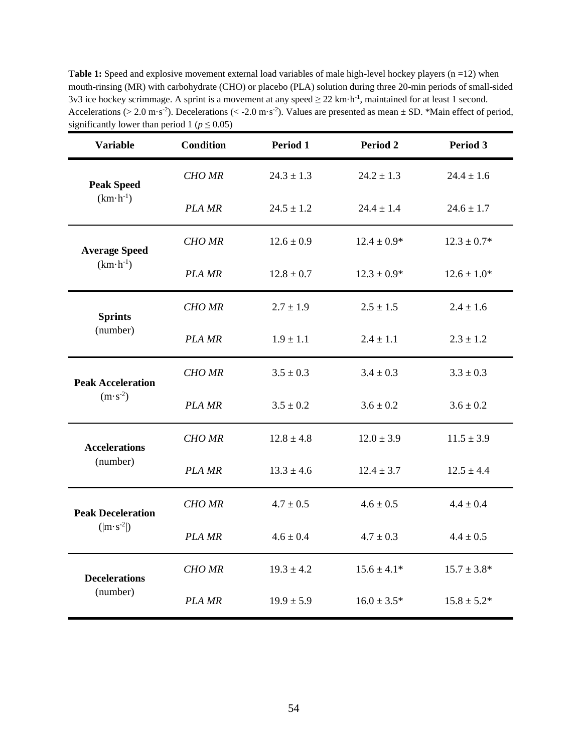**Table 1:** Speed and explosive movement external load variables of male high-level hockey players (n =12) when mouth-rinsing (MR) with carbohydrate (CHO) or placebo (PLA) solution during three 20-min periods of small-sided 3v3 ice hockey scrimmage. A sprint is a movement at any speed  $\geq 22$  km·h<sup>-1</sup>, maintained for at least 1 second. Accelerations ( $> 2.0$  m·s<sup>-2</sup>). Decelerations ( $< -2.0$  m·s<sup>-2</sup>). Values are presented as mean  $\pm$  SD. \*Main effect of period, significantly lower than period 1 ( $p \le 0.05$ )

| <b>Variable</b>                                | <b>Condition</b> | Period 1       | Period <sub>2</sub> | Period 3        |
|------------------------------------------------|------------------|----------------|---------------------|-----------------|
| <b>Peak Speed</b><br>$(km \cdot h^{-1})$       | <b>CHO MR</b>    | $24.3 \pm 1.3$ | $24.2 \pm 1.3$      | $24.4 \pm 1.6$  |
|                                                | PLA MR           | $24.5 \pm 1.2$ | $24.4 \pm 1.4$      | $24.6 \pm 1.7$  |
| <b>Average Speed</b><br>$(km\cdot h^{-1})$     | <b>CHO MR</b>    | $12.6 \pm 0.9$ | $12.4 \pm 0.9*$     | $12.3 \pm 0.7*$ |
|                                                | PLA MR           | $12.8 \pm 0.7$ | $12.3 \pm 0.9*$     | $12.6 \pm 1.0*$ |
| <b>Sprints</b><br>(number)                     | <b>CHO MR</b>    | $2.7 \pm 1.9$  | $2.5 \pm 1.5$       | $2.4 \pm 1.6$   |
|                                                | PLA MR           | $1.9 \pm 1.1$  | $2.4 \pm 1.1$       | $2.3 \pm 1.2$   |
| <b>Peak Acceleration</b><br>$(m \cdot s^{-2})$ | CHO MR           | $3.5 \pm 0.3$  | $3.4 \pm 0.3$       | $3.3 \pm 0.3$   |
|                                                | PLA MR           | $3.5 \pm 0.2$  | $3.6 \pm 0.2$       | $3.6 \pm 0.2$   |
| <b>Accelerations</b><br>(number)               | CHO MR           | $12.8 \pm 4.8$ | $12.0 \pm 3.9$      | $11.5 \pm 3.9$  |
|                                                | PLA MR           | $13.3 \pm 4.6$ | $12.4 \pm 3.7$      | $12.5 \pm 4.4$  |
| <b>Peak Deceleration</b><br>$( m \cdot s^2 )$  | <b>CHO MR</b>    | $4.7 \pm 0.5$  | $4.6 \pm 0.5$       | $4.4 \pm 0.4$   |
|                                                | <b>PLA MR</b>    | $4.6 \pm 0.4$  | $4.7 \pm 0.3$       | $4.4 \pm 0.5$   |
| <b>Decelerations</b><br>(number)               | <b>CHO MR</b>    | $19.3 \pm 4.2$ | $15.6 \pm 4.1*$     | $15.7 \pm 3.8*$ |
|                                                | PLA MR           | $19.9 \pm 5.9$ | $16.0 \pm 3.5*$     | $15.8 \pm 5.2*$ |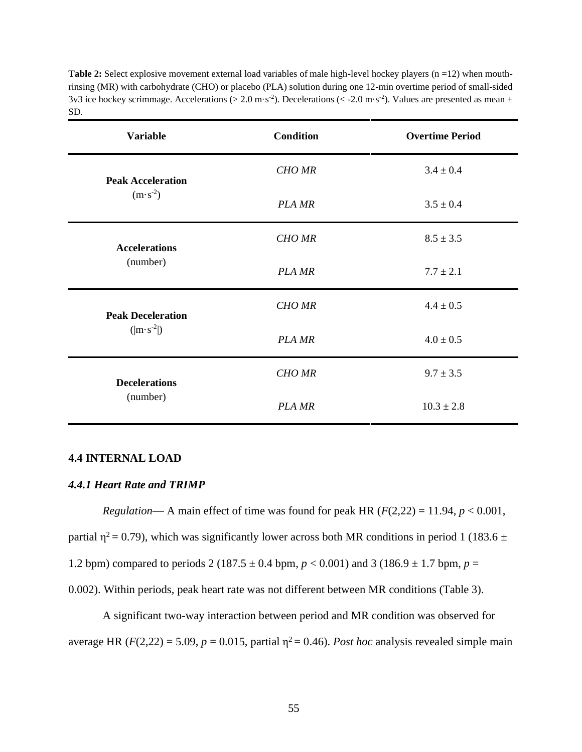| SD.                      |                  | $383$ ice noticely scriminage. Accelerations (> 2.0 m/s) ). Decelerations (< -2.0 m/s) ). Values are presented as ineall $\pm$ |
|--------------------------|------------------|--------------------------------------------------------------------------------------------------------------------------------|
| <b>Variable</b>          | <b>Condition</b> | <b>Overtime Period</b>                                                                                                         |
| <b>Peak Acceleration</b> | <b>CHO MR</b>    | $3.4 \pm 0.4$                                                                                                                  |
| $(m \cdot s^{-2})$       | PLA MR           | $3.5 \pm 0.4$                                                                                                                  |
| <b>Accelerations</b>     | <b>CHO MR</b>    | $8.5 \pm 3.5$                                                                                                                  |
| (number)                 | PLA MR           | $7.7 \pm 2.1$                                                                                                                  |
| <b>Peak Deceleration</b> | <b>CHO MR</b>    | $4.4 \pm 0.5$                                                                                                                  |
| $( m \cdot s^{-2} )$     | PLA MR           | $4.0 \pm 0.5$                                                                                                                  |

*CHO MR* 9.7  $\pm$  3.5

*PLA MR*  $10.3 \pm 2.8$ 

**Table 2:** Select explosive movement external load variables of male high-level hockey players (n =12) when mouthrinsing (MR) with carbohydrate (CHO) or placebo (PLA) solution during one 12-min overtime period of small-sided 3v3 ice hockey scrimmage. Accelerations (> 2.0 m·s<sup>-2</sup>). Decelerations (< -2.0 m·s<sup>-2</sup>). Values are presented as mean  $\pm$ 

### **4.4 INTERNAL LOAD**

### *4.4.1 Heart Rate and TRIMP*

**Decelerations** (number)

*Regulation*— A main effect of time was found for peak HR ( $F(2,22) = 11.94$ ,  $p < 0.001$ , partial  $\eta^2 = 0.79$ ), which was significantly lower across both MR conditions in period 1 (183.6  $\pm$ 1.2 bpm) compared to periods 2 (187.5  $\pm$  0.4 bpm,  $p < 0.001$ ) and 3 (186.9  $\pm$  1.7 bpm,  $p =$ 0.002). Within periods, peak heart rate was not different between MR conditions (Table 3).

A significant two-way interaction between period and MR condition was observed for average HR  $(F(2,22) = 5.09, p = 0.015$ , partial  $\eta^2 = 0.46$ ). *Post hoc* analysis revealed simple main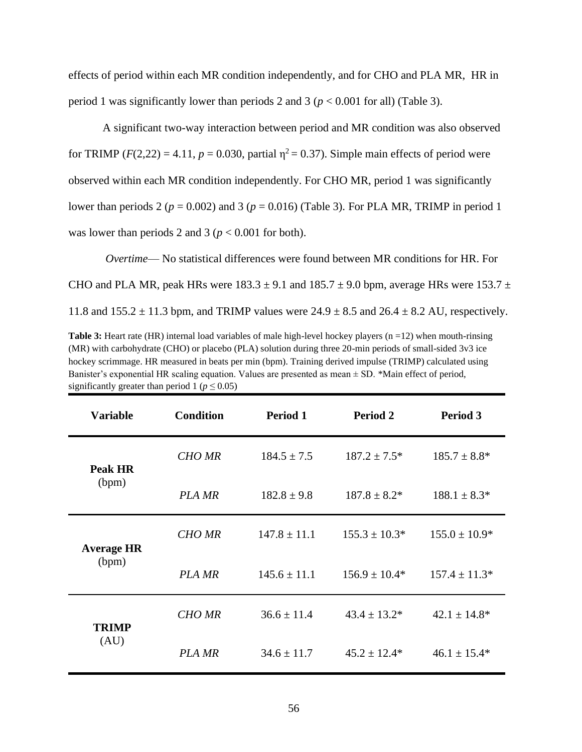effects of period within each MR condition independently, and for CHO and PLA MR, HR in period 1 was significantly lower than periods 2 and 3 ( $p < 0.001$  for all) (Table 3).

A significant two-way interaction between period and MR condition was also observed for TRIMP  $(F(2,22) = 4.11, p = 0.030,$  partial  $p^2 = 0.37$ ). Simple main effects of period were observed within each MR condition independently. For CHO MR, period 1 was significantly lower than periods 2 (*p* = 0.002) and 3 (*p* = 0.016) (Table 3). For PLA MR, TRIMP in period 1 was lower than periods 2 and 3 ( $p < 0.001$  for both).

*Overtime*— No statistical differences were found between MR conditions for HR. For CHO and PLA MR, peak HRs were  $183.3 \pm 9.1$  and  $185.7 \pm 9.0$  bpm, average HRs were 153.7  $\pm$ 11.8 and  $155.2 \pm 11.3$  bpm, and TRIMP values were  $24.9 \pm 8.5$  and  $26.4 \pm 8.2$  AU, respectively.

**Table 3:** Heart rate (HR) internal load variables of male high-level hockey players (n =12) when mouth-rinsing (MR) with carbohydrate (CHO) or placebo (PLA) solution during three 20-min periods of small-sided 3v3 ice hockey scrimmage. HR measured in beats per min (bpm). Training derived impulse (TRIMP) calculated using Banister's exponential HR scaling equation. Values are presented as mean  $\pm$  SD. \*Main effect of period, significantly greater than period 1 ( $p \le 0.05$ )

| <b>Variable</b>            | <b>Condition</b> | Period 1         | Period 2           | Period 3          |
|----------------------------|------------------|------------------|--------------------|-------------------|
| Peak HR<br>(bpm)           | <b>CHO MR</b>    | $184.5 \pm 7.5$  | $187.2 \pm 7.5^*$  | $185.7 \pm 8.8^*$ |
|                            | PLA MR           | $182.8 \pm 9.8$  | $187.8 \pm 8.2^*$  | $188.1 \pm 8.3*$  |
| <b>Average HR</b><br>(bpm) | <b>CHO MR</b>    | $147.8 \pm 11.1$ | $155.3 \pm 10.3^*$ | $155.0 \pm 10.9*$ |
|                            | <b>PLA MR</b>    | $145.6 \pm 11.1$ | $156.9 \pm 10.4*$  | $157.4 \pm 11.3*$ |
| <b>TRIMP</b><br>(AU)       | <b>CHO MR</b>    | $36.6 \pm 11.4$  | $43.4 \pm 13.2^*$  | $42.1 \pm 14.8^*$ |
|                            | <b>PLA MR</b>    | $34.6 \pm 11.7$  | $45.2 \pm 12.4*$   | $46.1 \pm 15.4*$  |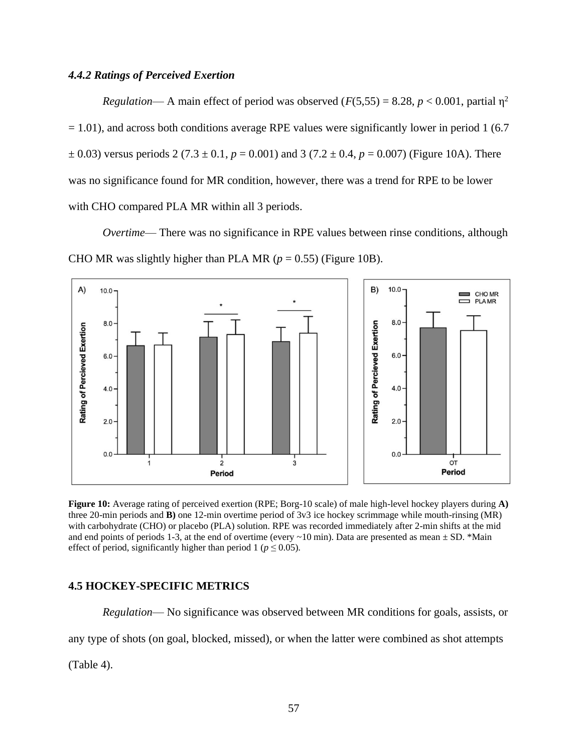### *4.4.2 Ratings of Perceived Exertion*

*Regulation*— A main effect of period was observed ( $F(5,55) = 8.28$ ,  $p < 0.001$ , partial  $\eta^2$  $= 1.01$ ), and across both conditions average RPE values were significantly lower in period 1 (6.7)  $\pm$  0.03) versus periods 2 (7.3  $\pm$  0.1, *p* = 0.001) and 3 (7.2  $\pm$  0.4, *p* = 0.007) (Figure 10A). There was no significance found for MR condition, however, there was a trend for RPE to be lower with CHO compared PLA MR within all 3 periods.

*Overtime*— There was no significance in RPE values between rinse conditions, although CHO MR was slightly higher than PLA MR ( $p = 0.55$ ) (Figure 10B).



**Figure 10:** Average rating of perceived exertion (RPE; Borg-10 scale) of male high-level hockey players during **A)**  three 20-min periods and **B)** one 12-min overtime period of 3v3 ice hockey scrimmage while mouth-rinsing (MR) with carbohydrate (CHO) or placebo (PLA) solution. RPE was recorded immediately after 2-min shifts at the mid and end points of periods 1-3, at the end of overtime (every  $\sim$ 10 min). Data are presented as mean  $\pm$  SD. \*Main effect of period, significantly higher than period 1 ( $p \le 0.05$ ).

# **4.5 HOCKEY-SPECIFIC METRICS**

*Regulation*— No significance was observed between MR conditions for goals, assists, or any type of shots (on goal, blocked, missed), or when the latter were combined as shot attempts

(Table 4).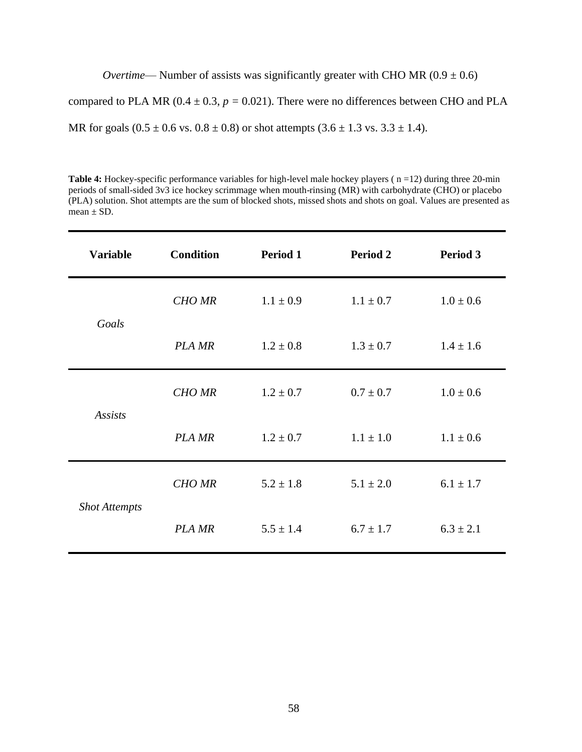*Overtime*— Number of assists was significantly greater with CHO MR  $(0.9 \pm 0.6)$ 

compared to PLA MR ( $0.4 \pm 0.3$ ,  $p = 0.021$ ). There were no differences between CHO and PLA

MR for goals  $(0.5 \pm 0.6 \text{ vs. } 0.8 \pm 0.8)$  or shot attempts  $(3.6 \pm 1.3 \text{ vs. } 3.3 \pm 1.4)$ .

**Table 4:** Hockey-specific performance variables for high-level male hockey players ( n =12) during three 20-min periods of small-sided 3v3 ice hockey scrimmage when mouth-rinsing (MR) with carbohydrate (CHO) or placebo (PLA) solution. Shot attempts are the sum of blocked shots, missed shots and shots on goal. Values are presented as mean  $\pm$  SD.

| <b>Variable</b>      | <b>Condition</b> | Period 1      | Period 2      | <b>Period 3</b> |
|----------------------|------------------|---------------|---------------|-----------------|
| Goals                | <b>CHO MR</b>    | $1.1 \pm 0.9$ | $1.1 \pm 0.7$ | $1.0 \pm 0.6$   |
|                      | <b>PLA MR</b>    | $1.2 \pm 0.8$ | $1.3 \pm 0.7$ | $1.4 \pm 1.6$   |
| <b>Assists</b>       | <b>CHO MR</b>    | $1.2 \pm 0.7$ | $0.7 \pm 0.7$ | $1.0 \pm 0.6$   |
|                      | <b>PLA MR</b>    | $1.2 \pm 0.7$ | $1.1 \pm 1.0$ | $1.1 \pm 0.6$   |
| <b>Shot Attempts</b> | <b>CHO MR</b>    | $5.2 \pm 1.8$ | $5.1 \pm 2.0$ | $6.1 \pm 1.7$   |
|                      | <b>PLA MR</b>    | $5.5 \pm 1.4$ | $6.7 \pm 1.7$ | $6.3 \pm 2.1$   |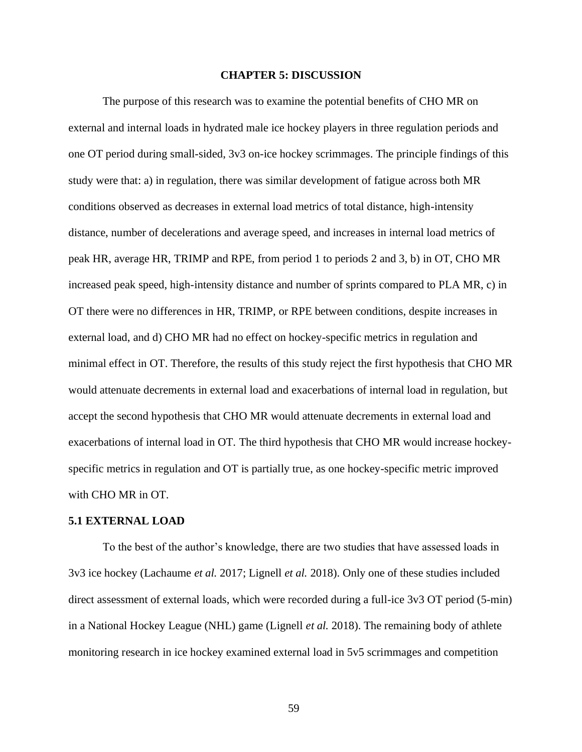### **CHAPTER 5: DISCUSSION**

The purpose of this research was to examine the potential benefits of CHO MR on external and internal loads in hydrated male ice hockey players in three regulation periods and one OT period during small-sided, 3v3 on-ice hockey scrimmages. The principle findings of this study were that: a) in regulation, there was similar development of fatigue across both MR conditions observed as decreases in external load metrics of total distance, high-intensity distance, number of decelerations and average speed, and increases in internal load metrics of peak HR, average HR, TRIMP and RPE, from period 1 to periods 2 and 3, b) in OT, CHO MR increased peak speed, high-intensity distance and number of sprints compared to PLA MR, c) in OT there were no differences in HR, TRIMP, or RPE between conditions, despite increases in external load, and d) CHO MR had no effect on hockey-specific metrics in regulation and minimal effect in OT. Therefore, the results of this study reject the first hypothesis that CHO MR would attenuate decrements in external load and exacerbations of internal load in regulation, but accept the second hypothesis that CHO MR would attenuate decrements in external load and exacerbations of internal load in OT. The third hypothesis that CHO MR would increase hockeyspecific metrics in regulation and OT is partially true, as one hockey-specific metric improved with CHO MR in OT.

#### **5.1 EXTERNAL LOAD**

To the best of the author's knowledge, there are two studies that have assessed loads in 3v3 ice hockey (Lachaume *et al.* 2017; Lignell *et al.* 2018). Only one of these studies included direct assessment of external loads, which were recorded during a full-ice 3v3 OT period (5-min) in a National Hockey League (NHL) game (Lignell *et al.* 2018). The remaining body of athlete monitoring research in ice hockey examined external load in 5v5 scrimmages and competition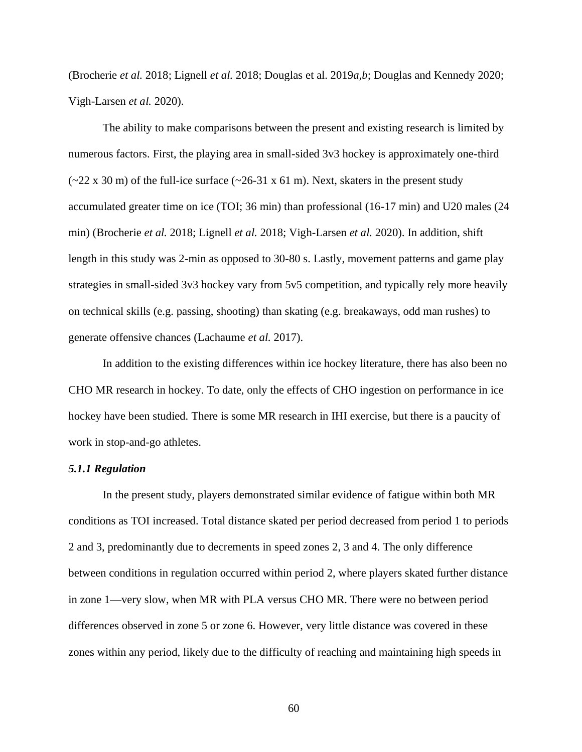(Brocherie *et al.* 2018; Lignell *et al.* 2018; Douglas et al. 2019*a,b*; Douglas and Kennedy 2020; Vigh-Larsen *et al.* 2020).

The ability to make comparisons between the present and existing research is limited by numerous factors. First, the playing area in small-sided 3v3 hockey is approximately one-third  $(-22 \times 30 \text{ m})$  of the full-ice surface  $(-26-31 \times 61 \text{ m})$ . Next, skaters in the present study accumulated greater time on ice (TOI; 36 min) than professional (16-17 min) and U20 males (24 min) (Brocherie *et al.* 2018; Lignell *et al.* 2018; Vigh-Larsen *et al.* 2020). In addition, shift length in this study was 2-min as opposed to 30-80 s. Lastly, movement patterns and game play strategies in small-sided 3v3 hockey vary from 5v5 competition, and typically rely more heavily on technical skills (e.g. passing, shooting) than skating (e.g. breakaways, odd man rushes) to generate offensive chances (Lachaume *et al.* 2017).

In addition to the existing differences within ice hockey literature, there has also been no CHO MR research in hockey. To date, only the effects of CHO ingestion on performance in ice hockey have been studied. There is some MR research in IHI exercise, but there is a paucity of work in stop-and-go athletes.

#### *5.1.1 Regulation*

In the present study, players demonstrated similar evidence of fatigue within both MR conditions as TOI increased. Total distance skated per period decreased from period 1 to periods 2 and 3, predominantly due to decrements in speed zones 2, 3 and 4. The only difference between conditions in regulation occurred within period 2, where players skated further distance in zone 1—very slow, when MR with PLA versus CHO MR. There were no between period differences observed in zone 5 or zone 6. However, very little distance was covered in these zones within any period, likely due to the difficulty of reaching and maintaining high speeds in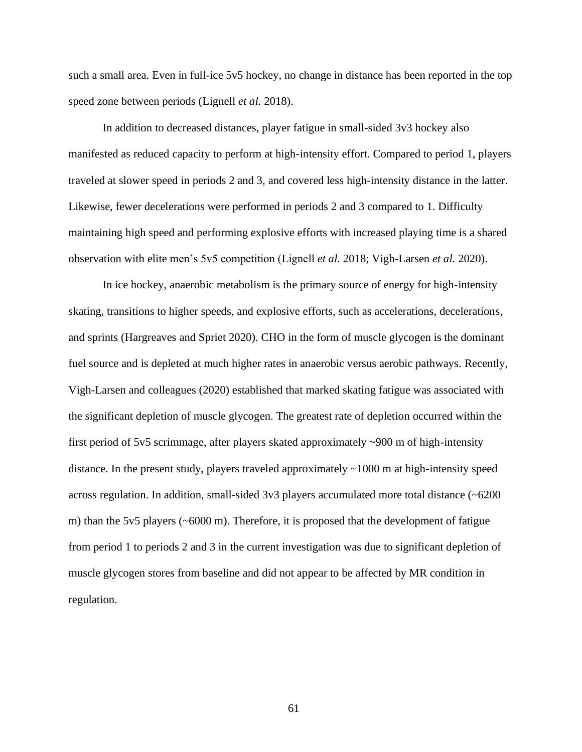such a small area. Even in full-ice 5v5 hockey, no change in distance has been reported in the top speed zone between periods (Lignell *et al.* 2018).

In addition to decreased distances, player fatigue in small-sided 3v3 hockey also manifested as reduced capacity to perform at high-intensity effort. Compared to period 1, players traveled at slower speed in periods 2 and 3, and covered less high-intensity distance in the latter. Likewise, fewer decelerations were performed in periods 2 and 3 compared to 1. Difficulty maintaining high speed and performing explosive efforts with increased playing time is a shared observation with elite men's 5v5 competition (Lignell *et al.* 2018; Vigh-Larsen *et al.* 2020).

In ice hockey, anaerobic metabolism is the primary source of energy for high-intensity skating, transitions to higher speeds, and explosive efforts, such as accelerations, decelerations, and sprints (Hargreaves and Spriet 2020). CHO in the form of muscle glycogen is the dominant fuel source and is depleted at much higher rates in anaerobic versus aerobic pathways. Recently, Vigh-Larsen and colleagues (2020) established that marked skating fatigue was associated with the significant depletion of muscle glycogen. The greatest rate of depletion occurred within the first period of 5v5 scrimmage, after players skated approximately ~900 m of high-intensity distance. In the present study, players traveled approximately ~1000 m at high-intensity speed across regulation. In addition, small-sided  $3v3$  players accumulated more total distance ( $\sim 6200$ ) m) than the 5v5 players (~6000 m). Therefore, it is proposed that the development of fatigue from period 1 to periods 2 and 3 in the current investigation was due to significant depletion of muscle glycogen stores from baseline and did not appear to be affected by MR condition in regulation.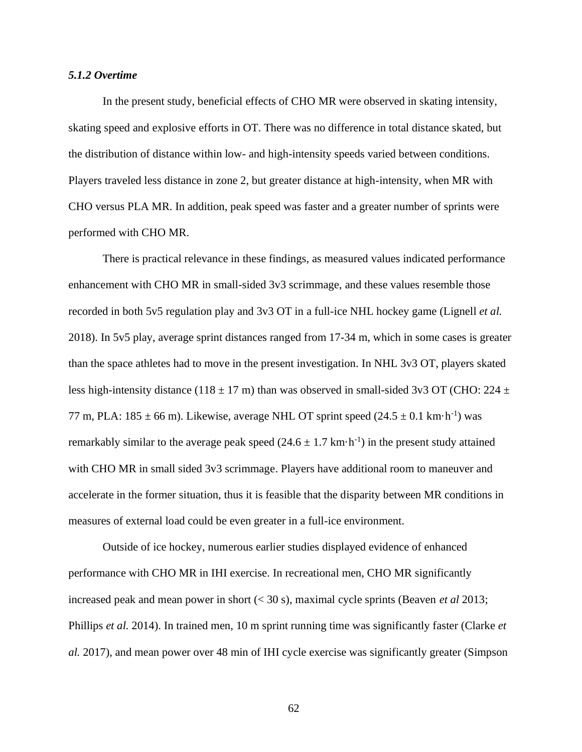## *5.1.2 Overtime*

In the present study, beneficial effects of CHO MR were observed in skating intensity, skating speed and explosive efforts in OT. There was no difference in total distance skated, but the distribution of distance within low- and high-intensity speeds varied between conditions. Players traveled less distance in zone 2, but greater distance at high-intensity, when MR with CHO versus PLA MR. In addition, peak speed was faster and a greater number of sprints were performed with CHO MR.

There is practical relevance in these findings, as measured values indicated performance enhancement with CHO MR in small-sided 3v3 scrimmage, and these values resemble those recorded in both 5v5 regulation play and 3v3 OT in a full-ice NHL hockey game (Lignell *et al.* 2018). In 5v5 play, average sprint distances ranged from 17-34 m, which in some cases is greater than the space athletes had to move in the present investigation. In NHL 3v3 OT, players skated less high-intensity distance (118  $\pm$  17 m) than was observed in small-sided 3v3 OT (CHO: 224  $\pm$ 77 m, PLA:  $185 \pm 66$  m). Likewise, average NHL OT sprint speed  $(24.5 \pm 0.1 \text{ km} \cdot \text{h}^{-1})$  was remarkably similar to the average peak speed  $(24.6 \pm 1.7 \text{ km} \cdot \text{h}^{-1})$  in the present study attained with CHO MR in small sided 3v3 scrimmage. Players have additional room to maneuver and accelerate in the former situation, thus it is feasible that the disparity between MR conditions in measures of external load could be even greater in a full-ice environment.

Outside of ice hockey, numerous earlier studies displayed evidence of enhanced performance with CHO MR in IHI exercise. In recreational men, CHO MR significantly increased peak and mean power in short (< 30 s), maximal cycle sprints (Beaven *et al* 2013; Phillips *et al.* 2014). In trained men, 10 m sprint running time was significantly faster (Clarke *et al.* 2017), and mean power over 48 min of IHI cycle exercise was significantly greater (Simpson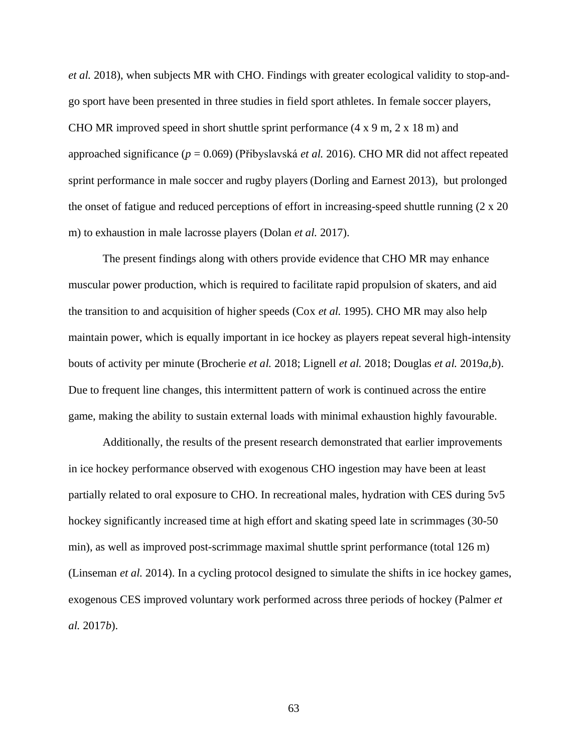*et al.* 2018), when subjects MR with CHO. Findings with greater ecological validity to stop-andgo sport have been presented in three studies in field sport athletes. In female soccer players, CHO MR improved speed in short shuttle sprint performance  $(4 \times 9 \text{ m}, 2 \times 18 \text{ m})$  and approached significance (*p* = 0.069) (Přibyslavská *et al.* 2016). CHO MR did not affect repeated sprint performance in male soccer and rugby players (Dorling and Earnest 2013), but prolonged the onset of fatigue and reduced perceptions of effort in increasing-speed shuttle running (2 x 20 m) to exhaustion in male lacrosse players (Dolan *et al.* 2017).

The present findings along with others provide evidence that CHO MR may enhance muscular power production, which is required to facilitate rapid propulsion of skaters, and aid the transition to and acquisition of higher speeds (Cox *et al.* 1995). CHO MR may also help maintain power, which is equally important in ice hockey as players repeat several high-intensity bouts of activity per minute (Brocherie *et al.* 2018; Lignell *et al.* 2018; Douglas *et al.* 2019*a,b*). Due to frequent line changes, this intermittent pattern of work is continued across the entire game, making the ability to sustain external loads with minimal exhaustion highly favourable.

Additionally, the results of the present research demonstrated that earlier improvements in ice hockey performance observed with exogenous CHO ingestion may have been at least partially related to oral exposure to CHO. In recreational males, hydration with CES during 5v5 hockey significantly increased time at high effort and skating speed late in scrimmages (30-50) min), as well as improved post-scrimmage maximal shuttle sprint performance (total 126 m) (Linseman *et al.* 2014). In a cycling protocol designed to simulate the shifts in ice hockey games, exogenous CES improved voluntary work performed across three periods of hockey (Palmer *et al.* 2017*b*).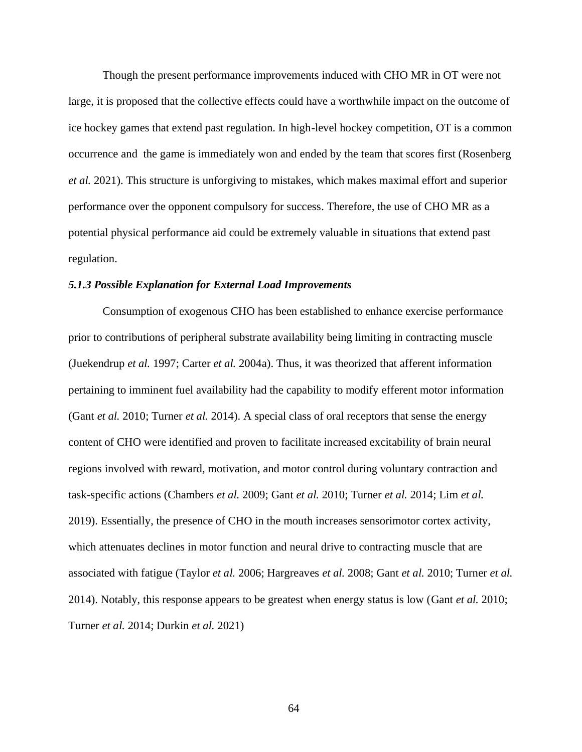Though the present performance improvements induced with CHO MR in OT were not large, it is proposed that the collective effects could have a worthwhile impact on the outcome of ice hockey games that extend past regulation. In high-level hockey competition, OT is a common occurrence and the game is immediately won and ended by the team that scores first (Rosenberg *et al.* 2021). This structure is unforgiving to mistakes, which makes maximal effort and superior performance over the opponent compulsory for success. Therefore, the use of CHO MR as a potential physical performance aid could be extremely valuable in situations that extend past regulation.

### *5.1.3 Possible Explanation for External Load Improvements*

Consumption of exogenous CHO has been established to enhance exercise performance prior to contributions of peripheral substrate availability being limiting in contracting muscle (Juekendrup *et al.* 1997; Carter *et al.* 2004a). Thus, it was theorized that afferent information pertaining to imminent fuel availability had the capability to modify efferent motor information (Gant *et al.* 2010; Turner *et al.* 2014). A special class of oral receptors that sense the energy content of CHO were identified and proven to facilitate increased excitability of brain neural regions involved with reward, motivation, and motor control during voluntary contraction and task-specific actions (Chambers *et al.* 2009; Gant *et al.* 2010; Turner *et al.* 2014; Lim *et al.* 2019). Essentially, the presence of CHO in the mouth increases sensorimotor cortex activity, which attenuates declines in motor function and neural drive to contracting muscle that are associated with fatigue (Taylor *et al.* 2006; Hargreaves *et al.* 2008; Gant *et al.* 2010; Turner *et al.* 2014). Notably, this response appears to be greatest when energy status is low (Gant *et al.* 2010; Turner *et al.* 2014; Durkin *et al.* 2021)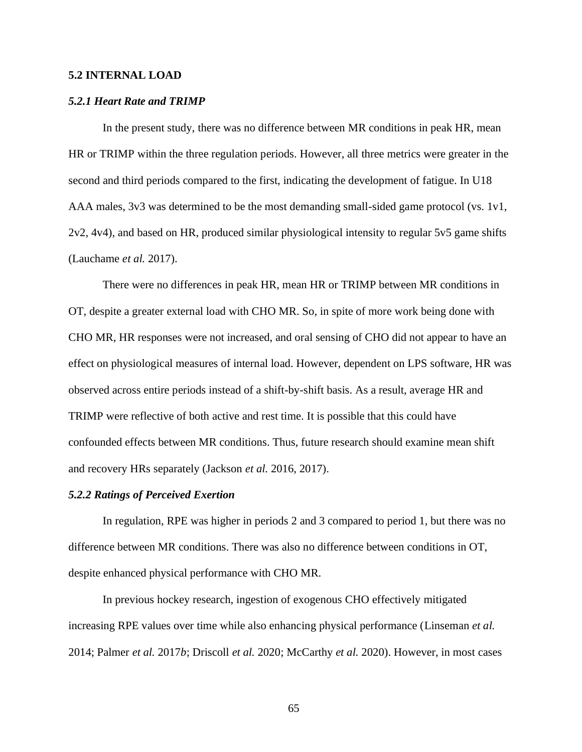## **5.2 INTERNAL LOAD**

#### *5.2.1 Heart Rate and TRIMP*

In the present study, there was no difference between MR conditions in peak HR, mean HR or TRIMP within the three regulation periods. However, all three metrics were greater in the second and third periods compared to the first, indicating the development of fatigue. In U18 AAA males, 3v3 was determined to be the most demanding small-sided game protocol (vs. 1v1, 2v2, 4v4), and based on HR, produced similar physiological intensity to regular 5v5 game shifts (Lauchame *et al.* 2017).

There were no differences in peak HR, mean HR or TRIMP between MR conditions in OT, despite a greater external load with CHO MR. So, in spite of more work being done with CHO MR, HR responses were not increased, and oral sensing of CHO did not appear to have an effect on physiological measures of internal load. However, dependent on LPS software, HR was observed across entire periods instead of a shift-by-shift basis. As a result, average HR and TRIMP were reflective of both active and rest time. It is possible that this could have confounded effects between MR conditions. Thus, future research should examine mean shift and recovery HRs separately (Jackson *et al.* 2016, 2017).

## *5.2.2 Ratings of Perceived Exertion*

In regulation, RPE was higher in periods 2 and 3 compared to period 1, but there was no difference between MR conditions. There was also no difference between conditions in OT, despite enhanced physical performance with CHO MR.

In previous hockey research, ingestion of exogenous CHO effectively mitigated increasing RPE values over time while also enhancing physical performance (Linseman *et al.* 2014; Palmer *et al.* 2017*b*; Driscoll *et al.* 2020; McCarthy *et al.* 2020). However, in most cases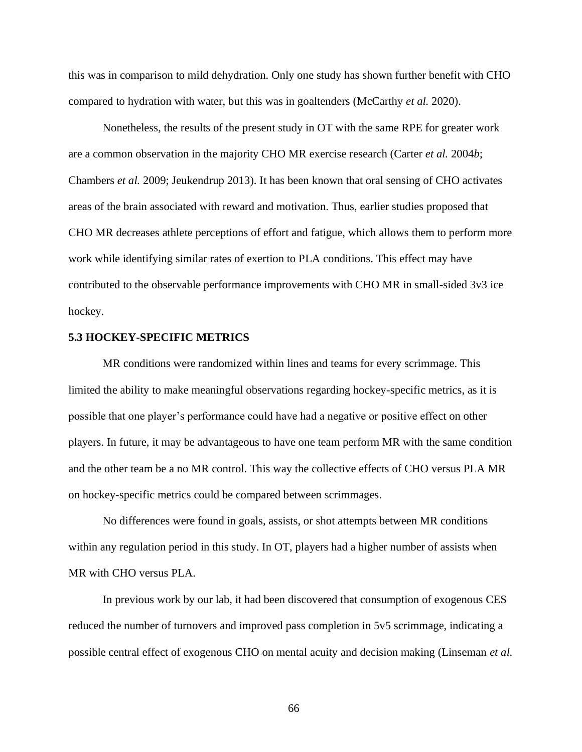this was in comparison to mild dehydration. Only one study has shown further benefit with CHO compared to hydration with water, but this was in goaltenders (McCarthy *et al.* 2020).

Nonetheless, the results of the present study in OT with the same RPE for greater work are a common observation in the majority CHO MR exercise research (Carter *et al.* 2004*b*; Chambers *et al.* 2009; Jeukendrup 2013). It has been known that oral sensing of CHO activates areas of the brain associated with reward and motivation. Thus, earlier studies proposed that CHO MR decreases athlete perceptions of effort and fatigue, which allows them to perform more work while identifying similar rates of exertion to PLA conditions. This effect may have contributed to the observable performance improvements with CHO MR in small-sided 3v3 ice hockey.

### **5.3 HOCKEY-SPECIFIC METRICS**

MR conditions were randomized within lines and teams for every scrimmage. This limited the ability to make meaningful observations regarding hockey-specific metrics, as it is possible that one player's performance could have had a negative or positive effect on other players. In future, it may be advantageous to have one team perform MR with the same condition and the other team be a no MR control. This way the collective effects of CHO versus PLA MR on hockey-specific metrics could be compared between scrimmages.

No differences were found in goals, assists, or shot attempts between MR conditions within any regulation period in this study. In OT, players had a higher number of assists when MR with CHO versus PLA.

In previous work by our lab, it had been discovered that consumption of exogenous CES reduced the number of turnovers and improved pass completion in 5v5 scrimmage, indicating a possible central effect of exogenous CHO on mental acuity and decision making (Linseman *et al.*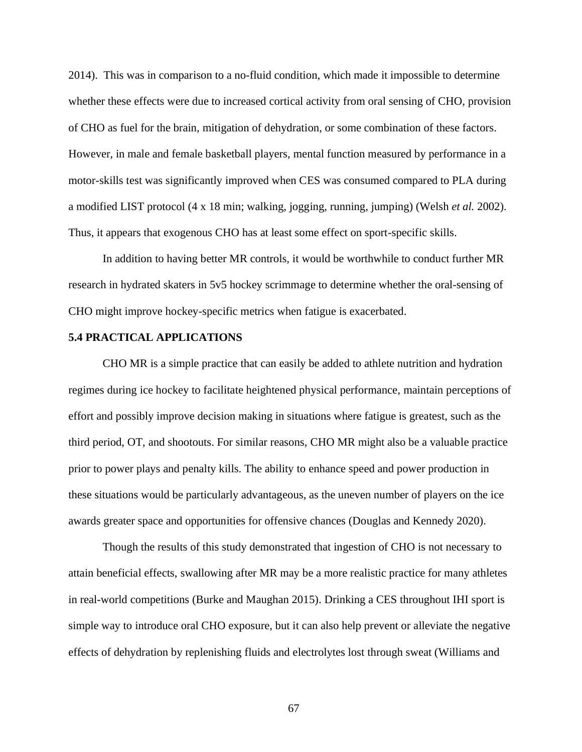2014). This was in comparison to a no-fluid condition, which made it impossible to determine whether these effects were due to increased cortical activity from oral sensing of CHO, provision of CHO as fuel for the brain, mitigation of dehydration, or some combination of these factors. However, in male and female basketball players, mental function measured by performance in a motor-skills test was significantly improved when CES was consumed compared to PLA during a modified LIST protocol (4 x 18 min; walking, jogging, running, jumping) (Welsh *et al.* 2002). Thus, it appears that exogenous CHO has at least some effect on sport-specific skills.

In addition to having better MR controls, it would be worthwhile to conduct further MR research in hydrated skaters in 5v5 hockey scrimmage to determine whether the oral-sensing of CHO might improve hockey-specific metrics when fatigue is exacerbated.

## **5.4 PRACTICAL APPLICATIONS**

CHO MR is a simple practice that can easily be added to athlete nutrition and hydration regimes during ice hockey to facilitate heightened physical performance, maintain perceptions of effort and possibly improve decision making in situations where fatigue is greatest, such as the third period, OT, and shootouts. For similar reasons, CHO MR might also be a valuable practice prior to power plays and penalty kills. The ability to enhance speed and power production in these situations would be particularly advantageous, as the uneven number of players on the ice awards greater space and opportunities for offensive chances (Douglas and Kennedy 2020).

Though the results of this study demonstrated that ingestion of CHO is not necessary to attain beneficial effects, swallowing after MR may be a more realistic practice for many athletes in real-world competitions (Burke and Maughan 2015). Drinking a CES throughout IHI sport is simple way to introduce oral CHO exposure, but it can also help prevent or alleviate the negative effects of dehydration by replenishing fluids and electrolytes lost through sweat (Williams and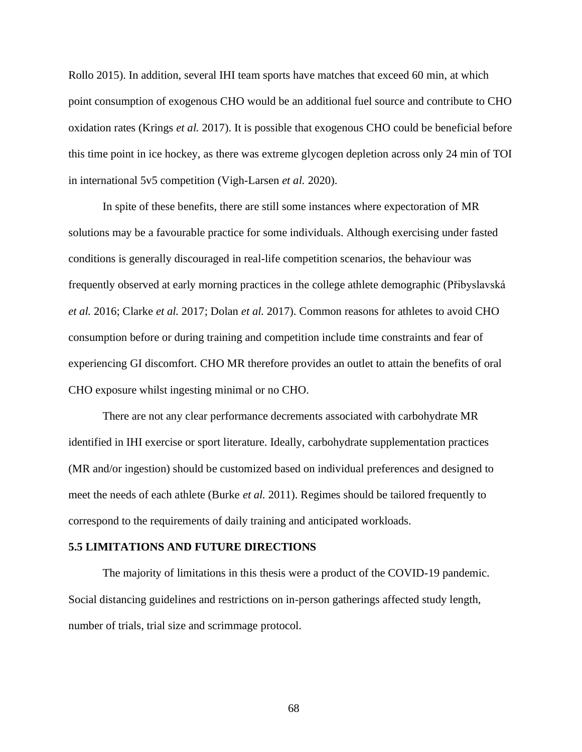Rollo 2015). In addition, several IHI team sports have matches that exceed 60 min, at which point consumption of exogenous CHO would be an additional fuel source and contribute to CHO oxidation rates (Krings *et al.* 2017). It is possible that exogenous CHO could be beneficial before this time point in ice hockey, as there was extreme glycogen depletion across only 24 min of TOI in international 5v5 competition (Vigh-Larsen *et al.* 2020).

In spite of these benefits, there are still some instances where expectoration of MR solutions may be a favourable practice for some individuals. Although exercising under fasted conditions is generally discouraged in real-life competition scenarios, the behaviour was frequently observed at early morning practices in the college athlete demographic (Přibyslavská *et al.* 2016; Clarke *et al.* 2017; Dolan *et al.* 2017). Common reasons for athletes to avoid CHO consumption before or during training and competition include time constraints and fear of experiencing GI discomfort. CHO MR therefore provides an outlet to attain the benefits of oral CHO exposure whilst ingesting minimal or no CHO.

There are not any clear performance decrements associated with carbohydrate MR identified in IHI exercise or sport literature. Ideally, carbohydrate supplementation practices (MR and/or ingestion) should be customized based on individual preferences and designed to meet the needs of each athlete (Burke *et al.* 2011). Regimes should be tailored frequently to correspond to the requirements of daily training and anticipated workloads.

#### **5.5 LIMITATIONS AND FUTURE DIRECTIONS**

The majority of limitations in this thesis were a product of the COVID-19 pandemic. Social distancing guidelines and restrictions on in-person gatherings affected study length, number of trials, trial size and scrimmage protocol.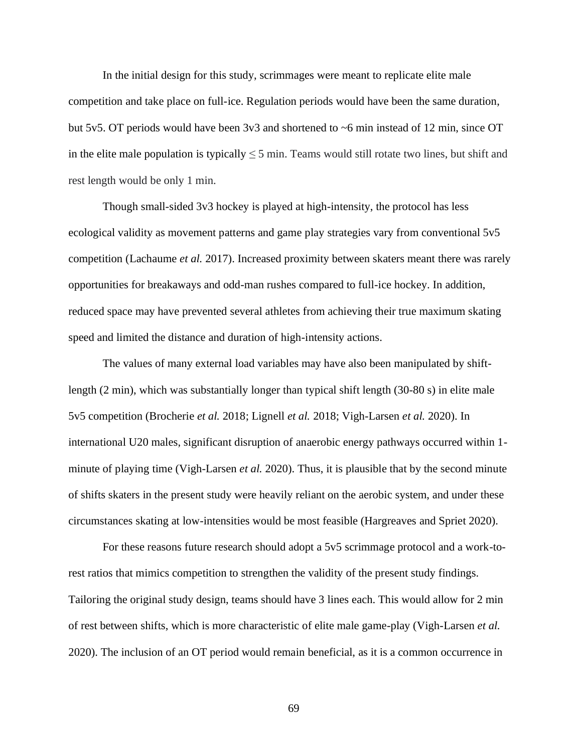In the initial design for this study, scrimmages were meant to replicate elite male competition and take place on full-ice. Regulation periods would have been the same duration, but 5v5. OT periods would have been 3v3 and shortened to ~6 min instead of 12 min, since OT in the elite male population is typically  $\leq$  5 min. Teams would still rotate two lines, but shift and rest length would be only 1 min.

Though small-sided 3v3 hockey is played at high-intensity, the protocol has less ecological validity as movement patterns and game play strategies vary from conventional 5v5 competition (Lachaume *et al.* 2017). Increased proximity between skaters meant there was rarely opportunities for breakaways and odd-man rushes compared to full-ice hockey. In addition, reduced space may have prevented several athletes from achieving their true maximum skating speed and limited the distance and duration of high-intensity actions.

The values of many external load variables may have also been manipulated by shiftlength (2 min), which was substantially longer than typical shift length (30-80 s) in elite male 5v5 competition (Brocherie *et al.* 2018; Lignell *et al.* 2018; Vigh-Larsen *et al.* 2020). In international U20 males, significant disruption of anaerobic energy pathways occurred within 1 minute of playing time (Vigh-Larsen *et al.* 2020). Thus, it is plausible that by the second minute of shifts skaters in the present study were heavily reliant on the aerobic system, and under these circumstances skating at low-intensities would be most feasible (Hargreaves and Spriet 2020).

For these reasons future research should adopt a 5v5 scrimmage protocol and a work-torest ratios that mimics competition to strengthen the validity of the present study findings. Tailoring the original study design, teams should have 3 lines each. This would allow for 2 min of rest between shifts, which is more characteristic of elite male game-play (Vigh-Larsen *et al.* 2020). The inclusion of an OT period would remain beneficial, as it is a common occurrence in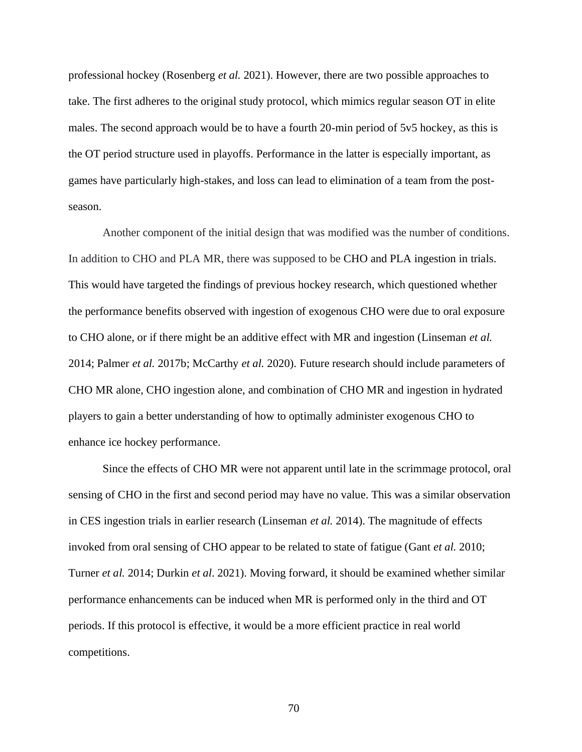professional hockey (Rosenberg *et al.* 2021). However, there are two possible approaches to take. The first adheres to the original study protocol, which mimics regular season OT in elite males. The second approach would be to have a fourth 20-min period of 5v5 hockey, as this is the OT period structure used in playoffs. Performance in the latter is especially important, as games have particularly high-stakes, and loss can lead to elimination of a team from the postseason.

Another component of the initial design that was modified was the number of conditions. In addition to CHO and PLA MR, there was supposed to be CHO and PLA ingestion in trials. This would have targeted the findings of previous hockey research, which questioned whether the performance benefits observed with ingestion of exogenous CHO were due to oral exposure to CHO alone, or if there might be an additive effect with MR and ingestion (Linseman *et al.* 2014; Palmer *et al.* 2017b; McCarthy *et al.* 2020). Future research should include parameters of CHO MR alone, CHO ingestion alone, and combination of CHO MR and ingestion in hydrated players to gain a better understanding of how to optimally administer exogenous CHO to enhance ice hockey performance.

Since the effects of CHO MR were not apparent until late in the scrimmage protocol, oral sensing of CHO in the first and second period may have no value. This was a similar observation in CES ingestion trials in earlier research (Linseman *et al.* 2014). The magnitude of effects invoked from oral sensing of CHO appear to be related to state of fatigue (Gant *et al.* 2010; Turner *et al.* 2014; Durkin *et al*. 2021). Moving forward, it should be examined whether similar performance enhancements can be induced when MR is performed only in the third and OT periods. If this protocol is effective, it would be a more efficient practice in real world competitions.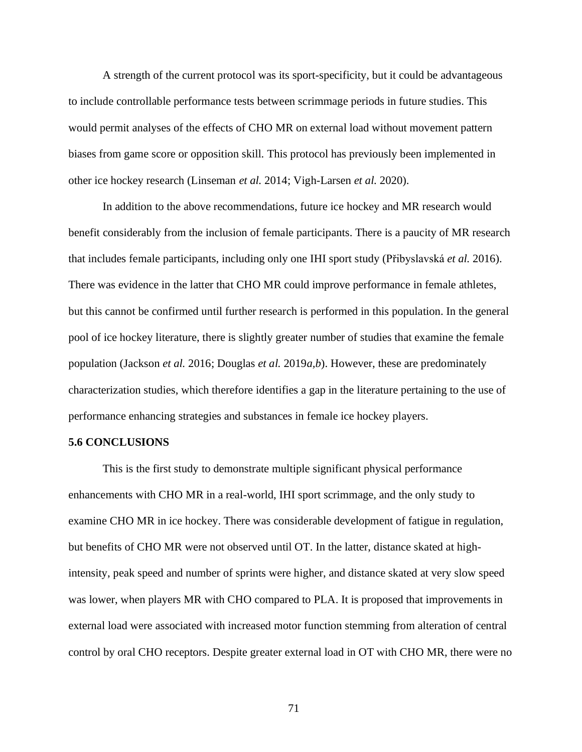A strength of the current protocol was its sport-specificity, but it could be advantageous to include controllable performance tests between scrimmage periods in future studies. This would permit analyses of the effects of CHO MR on external load without movement pattern biases from game score or opposition skill. This protocol has previously been implemented in other ice hockey research (Linseman *et al.* 2014; Vigh-Larsen *et al.* 2020).

In addition to the above recommendations, future ice hockey and MR research would benefit considerably from the inclusion of female participants. There is a paucity of MR research that includes female participants, including only one IHI sport study (Přibyslavská *et al.* 2016). There was evidence in the latter that CHO MR could improve performance in female athletes, but this cannot be confirmed until further research is performed in this population. In the general pool of ice hockey literature, there is slightly greater number of studies that examine the female population (Jackson *et al.* 2016; Douglas *et al.* 2019*a,b*). However, these are predominately characterization studies, which therefore identifies a gap in the literature pertaining to the use of performance enhancing strategies and substances in female ice hockey players.

## **5.6 CONCLUSIONS**

This is the first study to demonstrate multiple significant physical performance enhancements with CHO MR in a real-world, IHI sport scrimmage, and the only study to examine CHO MR in ice hockey. There was considerable development of fatigue in regulation, but benefits of CHO MR were not observed until OT. In the latter, distance skated at highintensity, peak speed and number of sprints were higher, and distance skated at very slow speed was lower, when players MR with CHO compared to PLA. It is proposed that improvements in external load were associated with increased motor function stemming from alteration of central control by oral CHO receptors. Despite greater external load in OT with CHO MR, there were no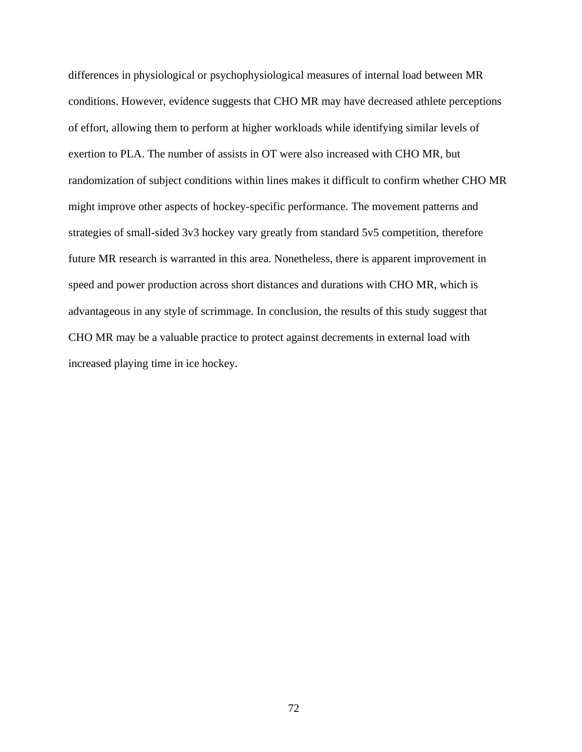differences in physiological or psychophysiological measures of internal load between MR conditions. However, evidence suggests that CHO MR may have decreased athlete perceptions of effort, allowing them to perform at higher workloads while identifying similar levels of exertion to PLA. The number of assists in OT were also increased with CHO MR, but randomization of subject conditions within lines makes it difficult to confirm whether CHO MR might improve other aspects of hockey-specific performance. The movement patterns and strategies of small-sided 3v3 hockey vary greatly from standard 5v5 competition, therefore future MR research is warranted in this area. Nonetheless, there is apparent improvement in speed and power production across short distances and durations with CHO MR, which is advantageous in any style of scrimmage. In conclusion, the results of this study suggest that CHO MR may be a valuable practice to protect against decrements in external load with increased playing time in ice hockey.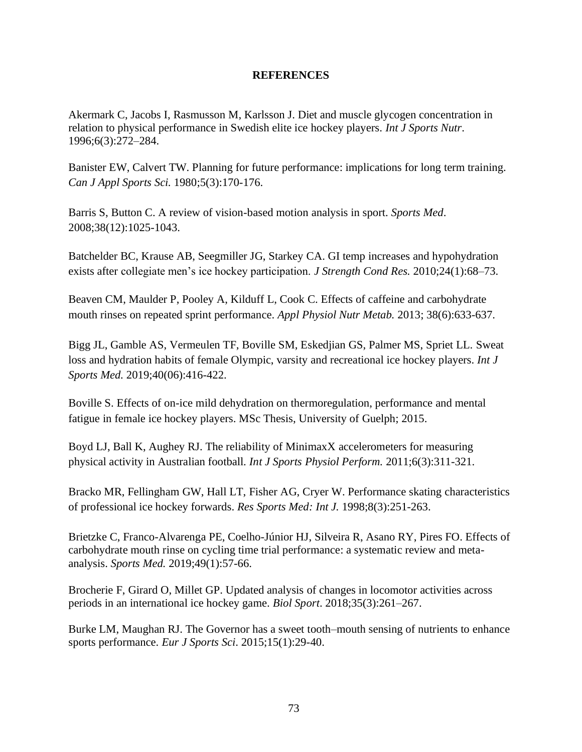# **REFERENCES**

Akermark C, Jacobs I, Rasmusson M, Karlsson J. Diet and muscle glycogen concentration in relation to physical performance in Swedish elite ice hockey players. *Int J Sports Nutr*. 1996;6(3):272–284.

Banister EW, Calvert TW. Planning for future performance: implications for long term training. *Can J Appl Sports Sci.* 1980;5(3):170-176.

Barris S, Button C. A review of vision-based motion analysis in sport. *Sports Med*. 2008;38(12):1025-1043.

Batchelder BC, Krause AB, Seegmiller JG, Starkey CA. GI temp increases and hypohydration exists after collegiate men's ice hockey participation. *J Strength Cond Res.* 2010;24(1):68–73.

Beaven CM, Maulder P, Pooley A, Kilduff L, Cook C. Effects of caffeine and carbohydrate mouth rinses on repeated sprint performance. *Appl Physiol Nutr Metab.* 2013; 38(6):633-637.

Bigg JL, Gamble AS, Vermeulen TF, Boville SM, Eskedjian GS, Palmer MS, Spriet LL. Sweat loss and hydration habits of female Olympic, varsity and recreational ice hockey players. *Int J Sports Med.* 2019;40(06):416-422.

Boville S. Effects of on-ice mild dehydration on thermoregulation, performance and mental fatigue in female ice hockey players. MSc Thesis, University of Guelph; 2015.

Boyd LJ, Ball K, Aughey RJ. The reliability of MinimaxX accelerometers for measuring physical activity in Australian football. *Int J Sports Physiol Perform.* 2011;6(3):311-321.

Bracko MR, Fellingham GW, Hall LT, Fisher AG, Cryer W. Performance skating characteristics of professional ice hockey forwards. *Res Sports Med: Int J.* 1998;8(3):251-263.

Brietzke C, Franco-Alvarenga PE, Coelho-Júnior HJ, Silveira R, Asano RY, Pires FO. Effects of carbohydrate mouth rinse on cycling time trial performance: a systematic review and metaanalysis. *Sports Med.* 2019;49(1):57-66.

Brocherie F, Girard O, Millet GP. Updated analysis of changes in locomotor activities across periods in an international ice hockey game. *Biol Sport*. 2018;35(3):261–267.

Burke LM, Maughan RJ. The Governor has a sweet tooth–mouth sensing of nutrients to enhance sports performance. *Eur J Sports Sci*. 2015;15(1):29-40.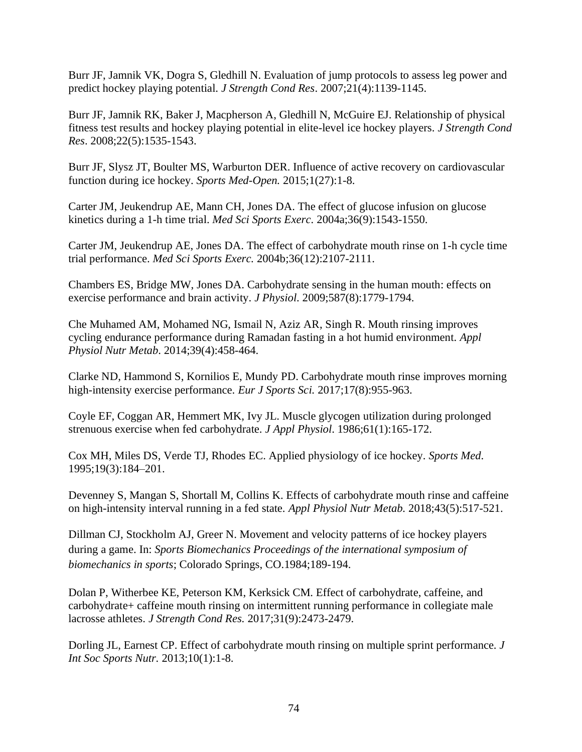Burr JF, Jamnik VK, Dogra S, Gledhill N. Evaluation of jump protocols to assess leg power and predict hockey playing potential. *J Strength Cond Res*. 2007;21(4):1139-1145.

Burr JF, Jamnik RK, Baker J, Macpherson A, Gledhill N, McGuire EJ. Relationship of physical fitness test results and hockey playing potential in elite-level ice hockey players. *J Strength Cond Res*. 2008;22(5):1535-1543.

Burr JF, Slysz JT, Boulter MS, Warburton DER. Influence of active recovery on cardiovascular function during ice hockey. *Sports Med-Open.* 2015;1(27):1-8.

Carter JM, Jeukendrup AE, Mann CH, Jones DA. The effect of glucose infusion on glucose kinetics during a 1-h time trial. *Med Sci Sports Exerc.* 2004a;36(9):1543-1550.

Carter JM, Jeukendrup AE, Jones DA. The effect of carbohydrate mouth rinse on 1-h cycle time trial performance. *Med Sci Sports Exerc.* 2004b;36(12):2107-2111.

Chambers ES, Bridge MW, Jones DA. Carbohydrate sensing in the human mouth: effects on exercise performance and brain activity. *J Physiol*. 2009;587(8):1779-1794.

Che Muhamed AM, Mohamed NG, Ismail N, Aziz AR, Singh R. Mouth rinsing improves cycling endurance performance during Ramadan fasting in a hot humid environment. *Appl Physiol Nutr Metab*. 2014;39(4):458-464.

Clarke ND, Hammond S, Kornilios E, Mundy PD. Carbohydrate mouth rinse improves morning high-intensity exercise performance. *Eur J Sports Sci.* 2017;17(8):955-963.

Coyle EF, Coggan AR, Hemmert MK, Ivy JL. Muscle glycogen utilization during prolonged strenuous exercise when fed carbohydrate. *J Appl Physiol*. 1986;61(1):165-172.

Cox MH, Miles DS, Verde TJ, Rhodes EC. Applied physiology of ice hockey. *Sports Med*. 1995;19(3):184–201.

Devenney S, Mangan S, Shortall M, Collins K. Effects of carbohydrate mouth rinse and caffeine on high-intensity interval running in a fed state. *Appl Physiol Nutr Metab.* 2018;43(5):517-521.

Dillman CJ, Stockholm AJ, Greer N. Movement and velocity patterns of ice hockey players during a game. In: *Sports Biomechanics Proceedings of the international symposium of biomechanics in sports*; Colorado Springs, CO.1984;189-194.

Dolan P, Witherbee KE, Peterson KM, Kerksick CM. Effect of carbohydrate, caffeine, and carbohydrate+ caffeine mouth rinsing on intermittent running performance in collegiate male lacrosse athletes. *J Strength Cond Res.* 2017;31(9):2473-2479.

Dorling JL, Earnest CP. Effect of carbohydrate mouth rinsing on multiple sprint performance. *J Int Soc Sports Nutr.* 2013;10(1):1-8.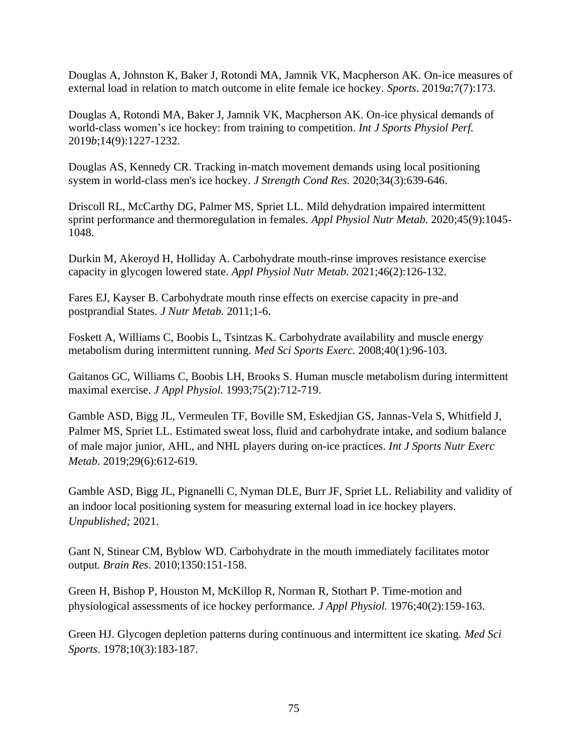Douglas A, Johnston K, Baker J, Rotondi MA, Jamnik VK, Macpherson AK. On-ice measures of external load in relation to match outcome in elite female ice hockey. *Sports*. 2019*a*;7(7):173.

Douglas A, Rotondi MA, Baker J, Jamnik VK, Macpherson AK. On-ice physical demands of world-class women's ice hockey: from training to competition. *Int J Sports Physiol Perf.*  2019*b*;14(9):1227-1232.

Douglas AS, Kennedy CR. Tracking in-match movement demands using local positioning system in world-class men's ice hockey. *J Strength Cond Res.* 2020;34(3):639-646.

Driscoll RL, McCarthy DG, Palmer MS, Spriet LL. Mild dehydration impaired intermittent sprint performance and thermoregulation in females. *Appl Physiol Nutr Metab.* 2020;45(9):1045- 1048.

Durkin M, Akeroyd H, Holliday A. Carbohydrate mouth-rinse improves resistance exercise capacity in glycogen lowered state. *Appl Physiol Nutr Metab.* 2021;46(2):126-132.

Fares EJ, Kayser B. Carbohydrate mouth rinse effects on exercise capacity in pre-and postprandial States. *J Nutr Metab.* 2011;1-6.

Foskett A, Williams C, Boobis L, Tsintzas K. Carbohydrate availability and muscle energy metabolism during intermittent running. *Med Sci Sports Exerc.* 2008;40(1):96-103.

Gaitanos GC, Williams C, Boobis LH, Brooks S. Human muscle metabolism during intermittent maximal exercise. *J Appl Physiol.* 1993;75(2):712-719.

Gamble ASD, Bigg JL, Vermeulen TF, Boville SM, Eskedjian GS, Jannas-Vela S, Whitfield J, Palmer MS, Spriet LL. Estimated sweat loss, fluid and carbohydrate intake, and sodium balance of male major junior, AHL, and NHL players during on-ice practices. *Int J Sports Nutr Exerc Metab*. 2019;29(6):612-619.

Gamble ASD, Bigg JL, Pignanelli C, Nyman DLE, Burr JF, Spriet LL. Reliability and validity of an indoor local positioning system for measuring external load in ice hockey players. *Unpublished;* 2021.

Gant N, Stinear CM, Byblow WD. Carbohydrate in the mouth immediately facilitates motor output. *Brain Res*. 2010;1350:151-158.

Green H, Bishop P, Houston M, McKillop R, Norman R, Stothart P. Time-motion and physiological assessments of ice hockey performance. *J Appl Physiol.* 1976;40(2):159-163.

Green HJ. Glycogen depletion patterns during continuous and intermittent ice skating. *Med Sci Sports*. 1978;10(3):183-187.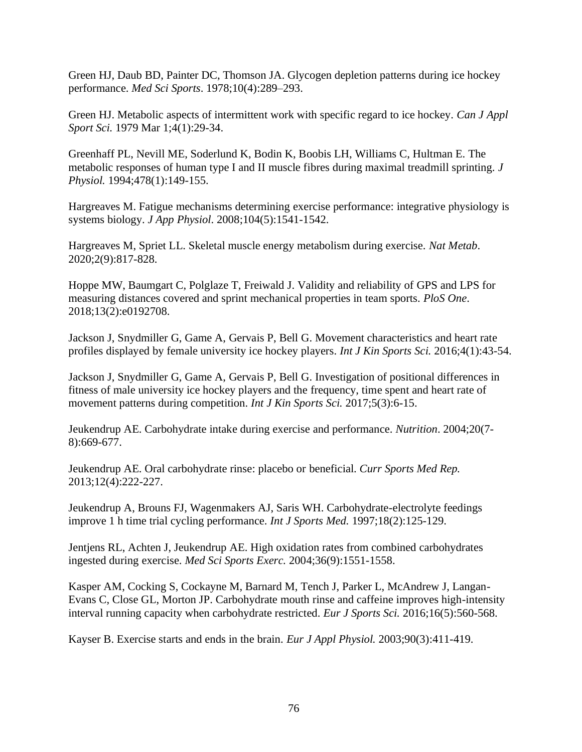Green HJ, Daub BD, Painter DC, Thomson JA. Glycogen depletion patterns during ice hockey performance. *Med Sci Sports*. 1978;10(4):289–293.

Green HJ. Metabolic aspects of intermittent work with specific regard to ice hockey. *Can J Appl Sport Sci.* 1979 Mar 1;4(1):29-34.

Greenhaff PL, Nevill ME, Soderlund K, Bodin K, Boobis LH, Williams C, Hultman E. The metabolic responses of human type I and II muscle fibres during maximal treadmill sprinting. *J Physiol.* 1994;478(1):149-155.

Hargreaves M. Fatigue mechanisms determining exercise performance: integrative physiology is systems biology. *J App Physiol*. 2008;104(5):1541-1542.

Hargreaves M, Spriet LL. Skeletal muscle energy metabolism during exercise. *Nat Metab*. 2020;2(9):817-828.

Hoppe MW, Baumgart C, Polglaze T, Freiwald J. Validity and reliability of GPS and LPS for measuring distances covered and sprint mechanical properties in team sports. *PloS One*. 2018;13(2):e0192708.

Jackson J, Snydmiller G, Game A, Gervais P, Bell G. Movement characteristics and heart rate profiles displayed by female university ice hockey players. *Int J Kin Sports Sci.* 2016;4(1):43-54.

Jackson J, Snydmiller G, Game A, Gervais P, Bell G. Investigation of positional differences in fitness of male university ice hockey players and the frequency, time spent and heart rate of movement patterns during competition. *Int J Kin Sports Sci.* 2017;5(3):6-15.

Jeukendrup AE. Carbohydrate intake during exercise and performance. *Nutrition*. 2004;20(7- 8):669-677.

Jeukendrup AE. Oral carbohydrate rinse: placebo or beneficial. *Curr Sports Med Rep.*  2013;12(4):222-227.

Jeukendrup A, Brouns FJ, Wagenmakers AJ, Saris WH. Carbohydrate-electrolyte feedings improve 1 h time trial cycling performance. *Int J Sports Med.* 1997;18(2):125-129.

Jentjens RL, Achten J, Jeukendrup AE. High oxidation rates from combined carbohydrates ingested during exercise. *Med Sci Sports Exerc.* 2004;36(9):1551-1558.

Kasper AM, Cocking S, Cockayne M, Barnard M, Tench J, Parker L, McAndrew J, Langan-Evans C, Close GL, Morton JP. Carbohydrate mouth rinse and caffeine improves high-intensity interval running capacity when carbohydrate restricted. *Eur J Sports Sci.* 2016;16(5):560-568.

Kayser B. Exercise starts and ends in the brain. *Eur J Appl Physiol.* 2003;90(3):411-419.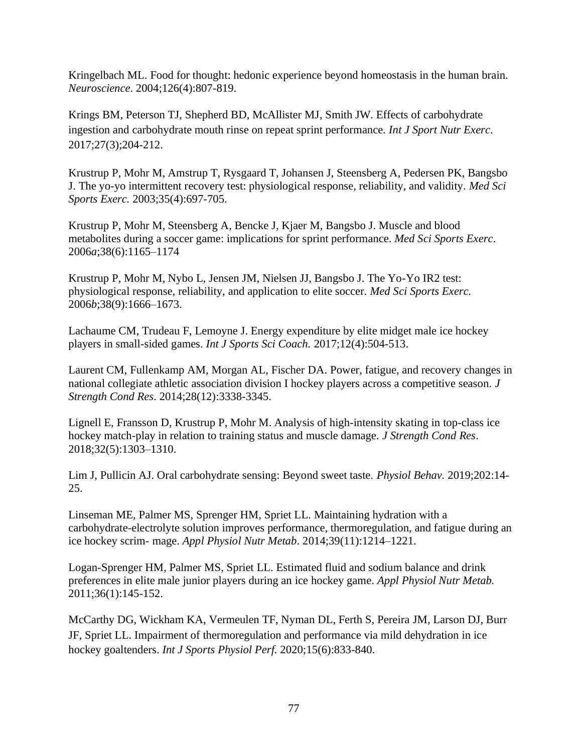Kringelbach ML. Food for thought: hedonic experience beyond homeostasis in the human brain. *Neuroscience*. 2004;126(4):807-819.

Krings BM, Peterson TJ, Shepherd BD, McAllister MJ, Smith JW. Effects of carbohydrate ingestion and carbohydrate mouth rinse on repeat sprint performance. *Int J Sport Nutr Exerc*. 2017;27(3);204-212.

Krustrup P, Mohr M, Amstrup T, Rysgaard T, Johansen J, Steensberg A, Pedersen PK, Bangsbo J. The yo-yo intermittent recovery test: physiological response, reliability, and validity. *Med Sci Sports Exerc.* 2003;35(4):697-705.

Krustrup P, Mohr M, Steensberg A, Bencke J, Kjaer M, Bangsbo J. Muscle and blood metabolites during a soccer game: implications for sprint performance. *Med Sci Sports Exerc*. 2006*a*;38(6):1165–1174

Krustrup P, Mohr M, Nybo L, Jensen JM, Nielsen JJ, Bangsbo J. The Yo-Yo IR2 test: physiological response, reliability, and application to elite soccer. *Med Sci Sports Exerc.* 2006*b*;38(9):1666–1673.

Lachaume CM, Trudeau F, Lemoyne J. Energy expenditure by elite midget male ice hockey players in small-sided games. *Int J Sports Sci Coach.* 2017;12(4):504-513.

Laurent CM, Fullenkamp AM, Morgan AL, Fischer DA. Power, fatigue, and recovery changes in national collegiate athletic association division I hockey players across a competitive season. *J Strength Cond Res*. 2014;28(12):3338-3345.

Lignell E, Fransson D, Krustrup P, Mohr M. Analysis of high-intensity skating in top-class ice hockey match-play in relation to training status and muscle damage. *J Strength Cond Res*. 2018;32(5):1303–1310.

Lim J, Pullicin AJ. Oral carbohydrate sensing: Beyond sweet taste. *Physiol Behav.* 2019;202:14- 25.

Linseman ME, Palmer MS, Sprenger HM, Spriet LL. Maintaining hydration with a carbohydrate-electrolyte solution improves performance, thermoregulation, and fatigue during an ice hockey scrim- mage. *Appl Physiol Nutr Metab*. 2014;39(11):1214–1221.

Logan-Sprenger HM, Palmer MS, Spriet LL. Estimated fluid and sodium balance and drink preferences in elite male junior players during an ice hockey game. *Appl Physiol Nutr Metab.*  2011;36(1):145-152.

McCarthy DG, Wickham KA, Vermeulen TF, Nyman DL, Ferth S, Pereira JM, Larson DJ, Burr JF, Spriet LL. Impairment of thermoregulation and performance via mild dehydration in ice hockey goaltenders. *Int J Sports Physiol Perf.* 2020;15(6):833-840.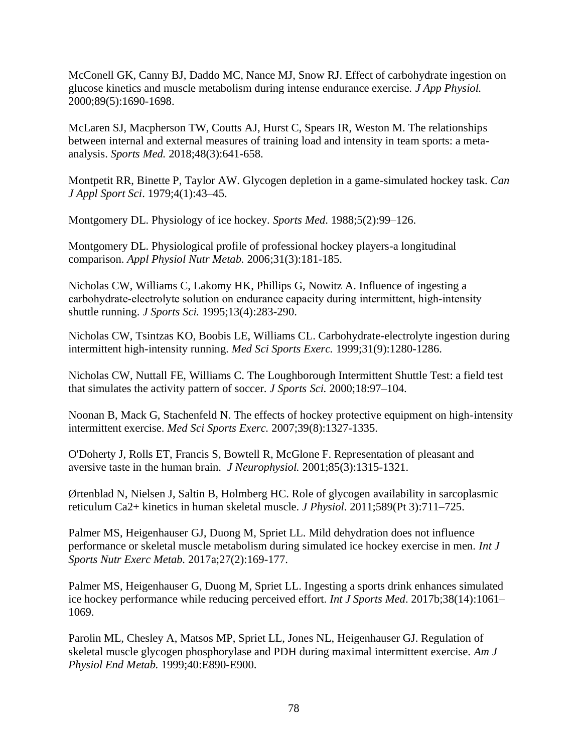McConell GK, Canny BJ, Daddo MC, Nance MJ, Snow RJ. Effect of carbohydrate ingestion on glucose kinetics and muscle metabolism during intense endurance exercise. *J App Physiol.*  2000;89(5):1690-1698.

McLaren SJ, Macpherson TW, Coutts AJ, Hurst C, Spears IR, Weston M. The relationships between internal and external measures of training load and intensity in team sports: a metaanalysis. *Sports Med.* 2018;48(3):641-658.

Montpetit RR, Binette P, Taylor AW. Glycogen depletion in a game-simulated hockey task. *Can J Appl Sport Sci*. 1979;4(1):43–45.

Montgomery DL. Physiology of ice hockey. *Sports Med*. 1988;5(2):99–126.

Montgomery DL. Physiological profile of professional hockey players-a longitudinal comparison. *Appl Physiol Nutr Metab.* 2006;31(3):181-185.

Nicholas CW, Williams C, Lakomy HK, Phillips G, Nowitz A. Influence of ingesting a carbohydrate-electrolyte solution on endurance capacity during intermittent, high-intensity shuttle running. *J Sports Sci.* 1995;13(4):283-290.

Nicholas CW, Tsintzas KO, Boobis LE, Williams CL. Carbohydrate-electrolyte ingestion during intermittent high-intensity running. *Med Sci Sports Exerc.* 1999;31(9):1280-1286.

Nicholas CW, Nuttall FE, Williams C. The Loughborough Intermittent Shuttle Test: a field test that simulates the activity pattern of soccer. *J Sports Sci.* 2000;18:97–104.

Noonan B, Mack G, Stachenfeld N. The effects of hockey protective equipment on high-intensity intermittent exercise. *Med Sci Sports Exerc.* 2007;39(8):1327-1335.

O'Doherty J, Rolls ET, Francis S, Bowtell R, McGlone F. Representation of pleasant and aversive taste in the human brain. *J Neurophysiol.* 2001;85(3):1315-1321.

Ørtenblad N, Nielsen J, Saltin B, Holmberg HC. Role of glycogen availability in sarcoplasmic reticulum Ca2+ kinetics in human skeletal muscle. *J Physiol*. 2011;589(Pt 3):711–725.

Palmer MS, Heigenhauser GJ, Duong M, Spriet LL. Mild dehydration does not influence performance or skeletal muscle metabolism during simulated ice hockey exercise in men. *Int J Sports Nutr Exerc Metab.* 2017a;27(2):169-177.

Palmer MS, Heigenhauser G, Duong M, Spriet LL. Ingesting a sports drink enhances simulated ice hockey performance while reducing perceived effort. *Int J Sports Med*. 2017b;38(14):1061– 1069.

Parolin ML, Chesley A, Matsos MP, Spriet LL, Jones NL, Heigenhauser GJ. Regulation of skeletal muscle glycogen phosphorylase and PDH during maximal intermittent exercise. *Am J Physiol End Metab.* 1999;40:E890-E900.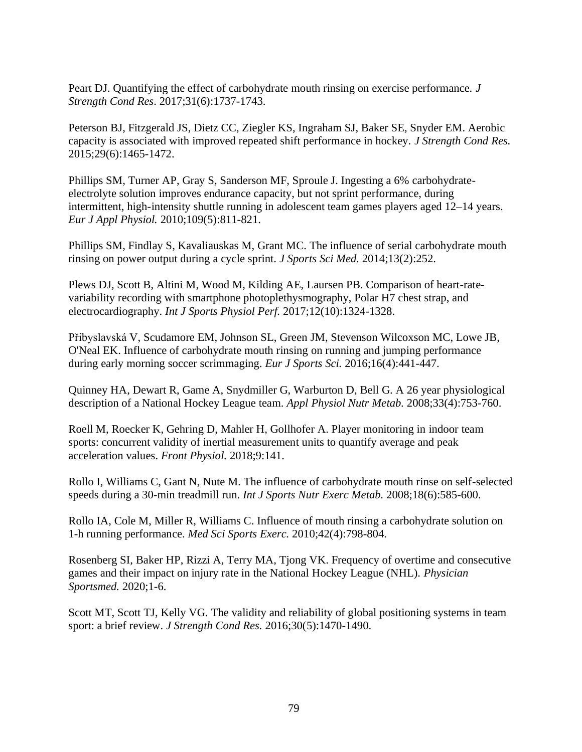Peart DJ. Quantifying the effect of carbohydrate mouth rinsing on exercise performance. *J Strength Cond Res*. 2017;31(6):1737-1743.

Peterson BJ, Fitzgerald JS, Dietz CC, Ziegler KS, Ingraham SJ, Baker SE, Snyder EM. Aerobic capacity is associated with improved repeated shift performance in hockey. *J Strength Cond Res.*  2015;29(6):1465-1472.

Phillips SM, Turner AP, Gray S, Sanderson MF, Sproule J. Ingesting a 6% carbohydrateelectrolyte solution improves endurance capacity, but not sprint performance, during intermittent, high-intensity shuttle running in adolescent team games players aged 12–14 years. *Eur J Appl Physiol.* 2010;109(5):811-821.

Phillips SM, Findlay S, Kavaliauskas M, Grant MC. The influence of serial carbohydrate mouth rinsing on power output during a cycle sprint. *J Sports Sci Med.* 2014;13(2):252.

Plews DJ, Scott B, Altini M, Wood M, Kilding AE, Laursen PB. Comparison of heart-ratevariability recording with smartphone photoplethysmography, Polar H7 chest strap, and electrocardiography. *Int J Sports Physiol Perf.* 2017;12(10):1324-1328.

Přibyslavská V, Scudamore EM, Johnson SL, Green JM, Stevenson Wilcoxson MC, Lowe JB, O'Neal EK. Influence of carbohydrate mouth rinsing on running and jumping performance during early morning soccer scrimmaging. *Eur J Sports Sci.* 2016;16(4):441-447.

Quinney HA, Dewart R, Game A, Snydmiller G, Warburton D, Bell G. A 26 year physiological description of a National Hockey League team. *Appl Physiol Nutr Metab.* 2008;33(4):753-760.

Roell M, Roecker K, Gehring D, Mahler H, Gollhofer A. Player monitoring in indoor team sports: concurrent validity of inertial measurement units to quantify average and peak acceleration values. *Front Physiol.* 2018;9:141.

Rollo I, Williams C, Gant N, Nute M. The influence of carbohydrate mouth rinse on self-selected speeds during a 30-min treadmill run. *Int J Sports Nutr Exerc Metab.* 2008;18(6):585-600.

Rollo IA, Cole M, Miller R, Williams C. Influence of mouth rinsing a carbohydrate solution on 1-h running performance. *Med Sci Sports Exerc.* 2010;42(4):798-804.

Rosenberg SI, Baker HP, Rizzi A, Terry MA, Tjong VK. Frequency of overtime and consecutive games and their impact on injury rate in the National Hockey League (NHL). *Physician Sportsmed.* 2020;1-6.

Scott MT, Scott TJ, Kelly VG. The validity and reliability of global positioning systems in team sport: a brief review. *J Strength Cond Res.* 2016;30(5):1470-1490.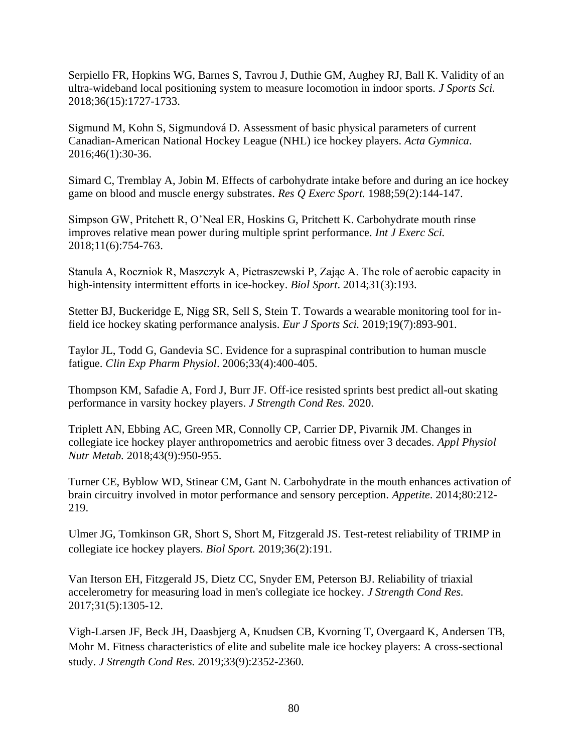Serpiello FR, Hopkins WG, Barnes S, Tavrou J, Duthie GM, Aughey RJ, Ball K. Validity of an ultra-wideband local positioning system to measure locomotion in indoor sports. *J Sports Sci.*  2018;36(15):1727-1733.

Sigmund M, Kohn S, Sigmundová D. Assessment of basic physical parameters of current Canadian-American National Hockey League (NHL) ice hockey players. *Acta Gymnica*. 2016;46(1):30-36.

Simard C, Tremblay A, Jobin M. Effects of carbohydrate intake before and during an ice hockey game on blood and muscle energy substrates. *Res Q Exerc Sport.* 1988;59(2):144-147.

Simpson GW, Pritchett R, O'Neal ER, Hoskins G, Pritchett K. Carbohydrate mouth rinse improves relative mean power during multiple sprint performance. *Int J Exerc Sci.*  2018;11(6):754-763.

Stanula A, Roczniok R, Maszczyk A, Pietraszewski P, Zając A. The role of aerobic capacity in high-intensity intermittent efforts in ice-hockey. *Biol Sport*. 2014;31(3):193.

Stetter BJ, Buckeridge E, Nigg SR, Sell S, Stein T. Towards a wearable monitoring tool for infield ice hockey skating performance analysis. *Eur J Sports Sci.* 2019;19(7):893-901.

Taylor JL, Todd G, Gandevia SC. Evidence for a supraspinal contribution to human muscle fatigue. *Clin Exp Pharm Physiol*. 2006;33(4):400-405.

Thompson KM, Safadie A, Ford J, Burr JF. Off-ice resisted sprints best predict all-out skating performance in varsity hockey players. *J Strength Cond Res.* 2020.

Triplett AN, Ebbing AC, Green MR, Connolly CP, Carrier DP, Pivarnik JM. Changes in collegiate ice hockey player anthropometrics and aerobic fitness over 3 decades. *Appl Physiol Nutr Metab.* 2018;43(9):950-955.

Turner CE, Byblow WD, Stinear CM, Gant N. Carbohydrate in the mouth enhances activation of brain circuitry involved in motor performance and sensory perception. *Appetite*. 2014;80:212- 219.

Ulmer JG, Tomkinson GR, Short S, Short M, Fitzgerald JS. Test-retest reliability of TRIMP in collegiate ice hockey players. *Biol Sport.* 2019;36(2):191.

Van Iterson EH, Fitzgerald JS, Dietz CC, Snyder EM, Peterson BJ. Reliability of triaxial accelerometry for measuring load in men's collegiate ice hockey. *J Strength Cond Res.*  2017;31(5):1305-12.

Vigh-Larsen JF, Beck JH, Daasbjerg A, Knudsen CB, Kvorning T, Overgaard K, Andersen TB, Mohr M. Fitness characteristics of elite and subelite male ice hockey players: A cross-sectional study. *J Strength Cond Res.* 2019;33(9):2352-2360.